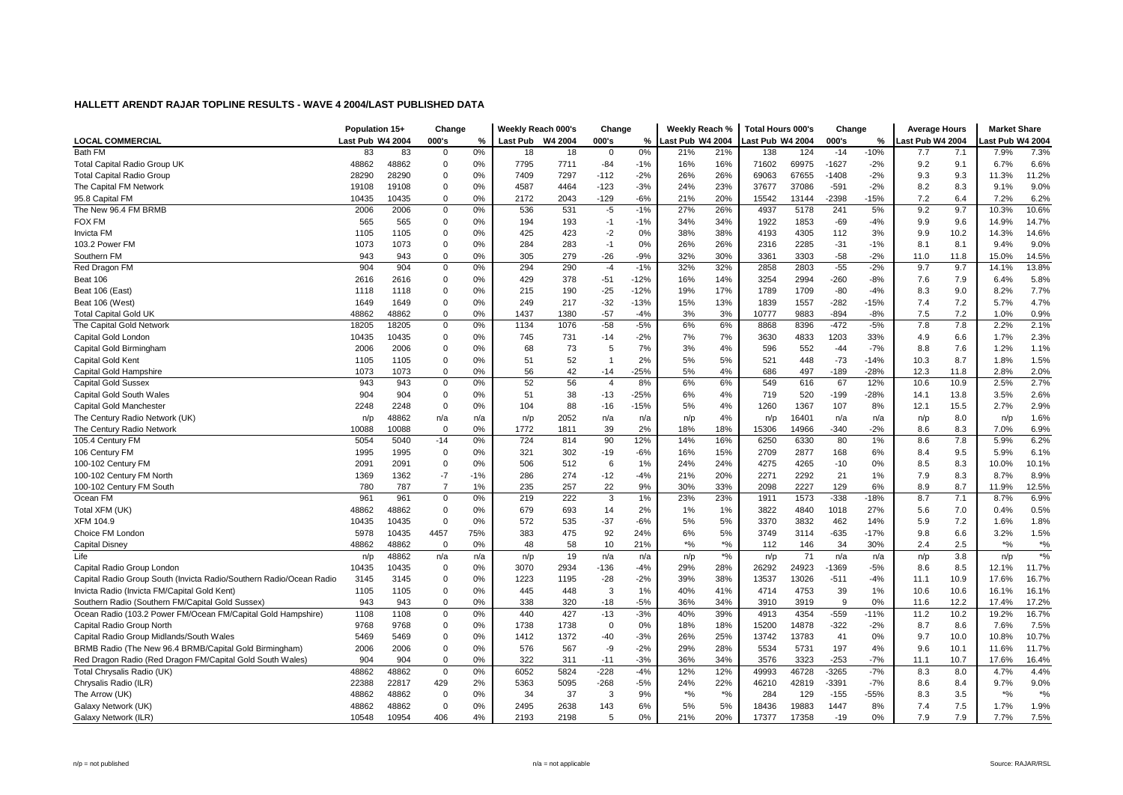| ast Pub W4 2004<br><b>LOCAL COMMERCIAL</b><br>Last Pub W4 2004<br>000's<br>%<br>Last Pub<br>W4 2004<br>000's<br>%<br>Last Pub W4 2004<br>000's<br>%<br>Last Pub W4 2004<br>ast Pub W4 2004<br><b>Bath FM</b><br>0%<br>$-14$<br>$-10%$<br>7.3%<br>83<br>83<br>0%<br>18<br>21%<br>21%<br>138<br>124<br>7.1<br>7.9%<br>18<br>$\Omega$<br>7.7<br>0<br>48862<br>48862<br>0<br>0%<br>7795<br>16%<br>71602<br>69975<br>$-1627$<br>9.2<br>9.1<br>6.6%<br><b>Total Capital Radio Group UK</b><br>7711<br>$-84$<br>$-1%$<br>16%<br>$-2%$<br>6.7%<br>28290<br>28290<br>0%<br>7409<br>7297<br>$-112$<br>$-2%$<br>26%<br>26%<br>67655<br>$-1408$<br>$-2%$<br>9.3<br>11.3%<br>11.2%<br><b>Total Capital Radio Group</b><br>$\Omega$<br>69063<br>9.3<br>9.0%<br>0%<br>4587<br>4464<br>$-123$<br>$-3%$<br>24%<br>23%<br>37086<br>$-591$<br>$-2%$<br>8.2<br>8.3<br>9.1%<br>The Capital FM Network<br>19108<br>19108<br>0<br>37677<br>6.2%<br>0%<br>2172<br>$-129$<br>$-6%$<br>20%<br>2398<br>$-15%$<br>7.2<br>6.4<br>95.8 Capital FM<br>10435<br>10435<br>0<br>2043<br>21%<br>15542<br>13144<br>7.2%<br>10.6%<br>The New 96.4 FM BRMB<br>2006<br>0%<br>536<br>531<br>$-5$<br>$-1%$<br>27%<br>26%<br>4937<br>5178<br>241<br>5%<br>9.2<br>9.7<br>2006<br>0<br>10.3%<br><b>FOX FM</b><br>14.7%<br>565<br>565<br>0<br>0%<br>194<br>193<br>$-1$<br>$-1%$<br>34%<br>34%<br>1922<br>1853<br>$-69$<br>$-4%$<br>9.9<br>9.6<br>14.9%<br>14.6%<br>$-2$<br>38%<br><b>Invicta FM</b><br>1105<br>1105<br>0<br>0%<br>425<br>423<br>0%<br>38%<br>4193<br>4305<br>112<br>3%<br>9.9<br>10.2<br>14.3%<br>9.0%<br>1073<br>1073<br>$\mathbf 0$<br>0%<br>284<br>283<br>$-1$<br>0%<br>26%<br>2285<br>$-31$<br>$-1%$<br>8.1<br>9.4%<br>103.2 Power FM<br>26%<br>2316<br>8.1<br>943<br>943<br>$\mathbf 0$<br>0%<br>305<br>279<br>$-26$<br>$-9%$<br>32%<br>30%<br>3361<br>3303<br>$-58$<br>$-2%$<br>14.5%<br>Southern FM<br>11.0<br>11.8<br>15.0%<br>$-55$<br>$-1%$<br>13.8%<br>Red Dragon FM<br>904<br>904<br>0<br>0%<br>294<br>290<br>$-4$<br>32%<br>32%<br>2858<br>2803<br>$-2%$<br>9.7<br>9.7<br>14.1%<br>7.9<br>5.8%<br>0<br>0%<br>429<br>378<br>$-51$<br>$-12%$<br>14%<br>2994<br>$-260$<br>$-8%$<br>Beat 106<br>2616<br>2616<br>16%<br>3254<br>7.6<br>6.4%<br>215<br>$-25$<br>$-12%$<br>17%<br>1789<br>1709<br>$-80$<br>9.0<br>7.7%<br>Beat 106 (East)<br>1118<br>1118<br>0%<br>190<br>19%<br>$-4%$<br>8.3<br>8.2%<br>0<br>4.7%<br>249<br>$-32$<br>$-13%$<br>13%<br>$-282$<br>7.2<br>Beat 106 (West)<br>1649<br>1649<br>0<br>0%<br>217<br>15%<br>1839<br>1557<br>$-15%$<br>7.4<br>5.7%<br>0%<br>$-57$<br>3%<br>$-894$<br>7.5<br>7.2<br>0.9%<br><b>Total Capital Gold UK</b><br>48862<br>48862<br>0<br>1437<br>1380<br>$-4%$<br>3%<br>10777<br>9883<br>$-8%$<br>1.0%<br>0%<br>1134<br>1076<br>$-58$<br>$-5%$<br>6%<br>$-472$<br>$-5%$<br>7.8<br>7.8<br>2.2%<br>2.1%<br>The Capital Gold Network<br>18205<br>18205<br>$\Omega$<br>6%<br>8868<br>8396<br>Capital Gold Londor<br>10435<br>10435<br>0%<br>731<br>$-14$<br>$-2%$<br>7%<br>3630<br>4833<br>1203<br>33%<br>6.6<br>1.7%<br>2.3%<br>0<br>745<br>7%<br>4.9<br>1.1%<br>2006<br>2006<br>0%<br>68<br>73<br>5<br>7%<br>3%<br>4%<br>552<br>$-44$<br>$-7%$<br>8.8<br>7.6<br>1.2%<br>Capital Gold Birmingham<br>0<br>596<br>52<br>5%<br>$-73$<br>8.7<br>1.5%<br>Capital Gold Kent<br>0<br>0%<br>51<br>$\overline{1}$<br>2%<br>5%<br>521<br>$-14%$<br>10.3<br>1.8%<br>1105<br>1105<br>448<br>42<br>$-25%$<br>$-28%$<br>2.0%<br>Capital Gold Hampshire<br>1073<br>0<br>0%<br>56<br>$-14$<br>5%<br>4%<br>686<br>497<br>$-189$<br>12.3<br>11.8<br>2.8%<br>1073<br>56<br>6%<br><b>Capital Gold Sussex</b><br>943<br>0<br>0%<br>52<br>$\overline{4}$<br>8%<br>6%<br>549<br>67<br>12%<br>10.6<br>10.9<br>2.5%<br>2.7%<br>943<br>616<br>2.6%<br>904<br>38<br>$-13$<br>$-25%$<br>4%<br>719<br>520<br>$-199$<br>$-28%$<br>13.8<br>3.5%<br>Capital Gold South Wales<br>904<br>0<br>0%<br>51<br>6%<br>14.1<br>2.9%<br>$\mathbf 0$<br>0%<br>104<br>88<br>$-15%$<br>4%<br>107<br>2.7%<br>Capital Gold Manchester<br>2248<br>2248<br>$-16$<br>5%<br>1260<br>1367<br>8%<br>12.1<br>15.5<br>2052<br>1.6%<br>The Century Radio Network (UK)<br>48862<br>4%<br>16401<br>8.0<br>n/p<br>n/a<br>n/a<br>n/p<br>n/a<br>n/p<br>n/a<br>n/a<br>n/p<br>n/a<br>n/p<br>n/p<br>6.9%<br>The Century Radio Network<br>10088<br>10088<br>0%<br>1772<br>1811<br>39<br>2%<br>18%<br>18%<br>15306<br>14966<br>$-340$<br>$-2%$<br>8.6<br>8.3<br>7.0%<br>0<br>6.2%<br>105.4 Century FM<br>5054<br>5040<br>$-14$<br>0%<br>724<br>814<br>90<br>12%<br>14%<br>16%<br>6250<br>6330<br>80<br>1%<br>8.6<br>7.8<br>5.9%<br>321<br>15%<br>2877<br>9.5<br>6.1%<br>1995<br>1995<br>0<br>0%<br>302<br>$-19$<br>$-6%$<br>16%<br>2709<br>168<br>6%<br>5.9%<br>106 Century FM<br>8.4<br>100-102 Century FM<br>2091<br>0<br>0%<br>506<br>6<br>1%<br>24%<br>4275<br>4265<br>$-10$<br>8.3<br>10.1%<br>2091<br>512<br>24%<br>0%<br>8.5<br>10.0%<br>8.9%<br>100-102 Century FM North<br>1369<br>1362<br>$-7$<br>$-1%$<br>286<br>274<br>$-12$<br>$-4%$<br>21%<br>20%<br>2271<br>2292<br>21<br>7.9<br>8.3<br>1%<br>8.7%<br>$\overline{7}$<br>1%<br>235<br>257<br>22<br>9%<br>33%<br>8.9<br>8.7<br>12.5%<br>100-102 Century FM South<br>780<br>787<br>30%<br>2098<br>2227<br>129<br>6%<br>11.9%<br>Ocean FM<br>$0\%$<br>219<br>222<br>3<br>1%<br>23%<br>1573<br>$-338$<br>$-18%$<br>7.1<br>6.9%<br>961<br>961<br>0<br>23%<br>1911<br>8.7<br>8.7%<br>0.5%<br>Total XFM (UK)<br>48862<br>48862<br>0<br>0%<br>679<br>693<br>2%<br>1%<br>1%<br>3822<br>4840<br>1018<br>27%<br>7.0<br>0.4%<br>14<br>5.6<br>5%<br>7.2<br>1.8%<br>XFM 104.9<br>10435<br>10435<br>0<br>0%<br>572<br>535<br>$-37$<br>$-6%$<br>5%<br>3370<br>3832<br>462<br>14%<br>5.9<br>1.6%<br>Choice FM London<br>75%<br>383<br>5%<br>6.6<br>1.5%<br>5978<br>10435<br>4457<br>475<br>92<br>24%<br>6%<br>3749<br>3114<br>$-635$<br>$-17%$<br>9.8<br>3.2%<br>$\frac{1}{2}$<br>Capital Disney<br>48862<br>48862<br>0%<br>58<br>10<br>21%<br>$*9/6$<br>$\frac{1}{2}$<br>34<br>30%<br>2.4<br>2.5<br>$*9/6$<br>$\mathbf 0$<br>48<br>112<br>146<br>$*9/0$<br>Life<br>19<br>$\boldsymbol{*}$ %<br>3.8<br>48862<br>n/a<br>71<br>n/p<br>n/a<br>n/a<br>n/p<br>n/a<br>n/p<br>n/p<br>n/a<br>n/a<br>n/p<br>n/p<br>10435<br>3070<br>2934<br>$-136$<br>28%<br>26292<br>24923<br>8.5<br>11.7%<br>Capital Radio Group London<br>10435<br>0<br>0%<br>$-4%$<br>29%<br>1369<br>$-5%$<br>8.6<br>12.1%<br>16.7%<br>Capital Radio Group South (Invicta Radio/Southern Radio/Ocean Radio<br>3145<br>0%<br>1223<br>$-28$<br>$-2%$<br>39%<br>38%<br>13537<br>13026<br>$-4%$<br>10.9<br>17.6%<br>3145<br>0<br>1195<br>$-511$<br>11.1<br>16.1%<br>Invicta Radio (Invicta FM/Capital Gold Kent)<br>1105<br>1105<br>0<br>0%<br>445<br>448<br>3<br>1%<br>40%<br>41%<br>4714<br>4753<br>39<br>1%<br>10.6<br>10.6<br>16.1%<br>9<br>Southern Radio (Southern FM/Capital Gold Sussex)<br>943<br>943<br>0<br>0%<br>338<br>320<br>$-18$<br>$-5%$<br>36%<br>34%<br>3910<br>3919<br>0%<br>12.2<br>17.4%<br>17.2%<br>11.6<br>16.7%<br>Ocean Radio (103.2 Power FM/Ocean FM/Capital Gold Hampshire)<br>427<br>$-3%$<br>39%<br>4354<br>$-559$<br>1108<br>1108<br>0%<br>440<br>$-13$<br>40%<br>4913<br>$-11%$<br>11.2<br>10.2<br>19.2%<br>0<br>9768<br>0%<br>1738<br>$\Omega$<br>0%<br>18%<br>14878<br>$-322$<br>$-2%$<br>7.6%<br>7.5%<br>Capital Radio Group North<br>9768<br>0<br>1738<br>18%<br>15200<br>8.7<br>8.6<br>10.7%<br>5469<br>0%<br>1412<br>1372<br>$-40$<br>$-3%$<br>26%<br>25%<br>13742<br>13783<br>9.7<br>10.0<br>10.8%<br>Capital Radio Group Midlands/South Wales<br>5469<br>0<br>41<br>0%<br>11.7%<br>BRMB Radio (The New 96.4 BRMB/Capital Gold Birmingham)<br>2006<br>0<br>0%<br>576<br>567<br>-9<br>$-2%$<br>29%<br>28%<br>5534<br>5731<br>197<br>9.6<br>10.1<br>11.6%<br>2006<br>4%<br>Red Dragon Radio (Red Dragon FM/Capital Gold South Wales)<br>0%<br>322<br>$-11$<br>$-3%$<br>36%<br>34%<br>3576<br>3323<br>$-253$<br>$-7%$<br>10.7<br>16.4%<br>904<br>904<br>0<br>311<br>11.1<br>17.6%<br>Total Chrysalis Radio (UK)<br>48862<br>48862<br>0%<br>6052<br>5824<br>$-228$<br>$-4%$<br>12%<br>49993<br>46728<br>$-3265$<br>$-7%$<br>4.4%<br>$\mathbf 0$<br>12%<br>8.3<br>8.0<br>4.7%<br>$-268$<br>22%<br>$-7%$<br>9.0%<br>Chrysalis Radio (ILR)<br>22388<br>22817<br>429<br>2%<br>5363<br>5095<br>$-5%$<br>24%<br>46210<br>42819<br>-3391<br>8.6<br>8.4<br>9.7%<br>$*$ %<br>$*9/6$<br>3.5<br>$*9/6$<br>The Arrow (UK)<br>48862<br>48862<br>0<br>0%<br>34<br>37<br>3<br>9%<br>$*9/6$<br>284<br>129<br>$-155$<br>$-55%$<br>8.3<br>48862<br>$\mathbf 0$<br>0%<br>6%<br>19883<br>1447<br>8%<br>7.5<br>1.9%<br>Galaxy Network (UK)<br>48862<br>2495<br>2638<br>143<br>5%<br>5%<br>18436<br>7.4<br>1.7%<br>10548<br>10954<br>406<br>4%<br>2193<br>2198<br>5<br>0%<br>21%<br>20%<br>17358<br>$-19$<br>0%<br>7.9<br>7.9<br>7.7%<br>7.5%<br>Galaxy Network (ILR)<br>17377 | Population 15+ | Change | Weekly Reach 000's | Change | Weekly Reach % | Total Hours 000's | Change | <b>Average Hours</b> | <b>Market Share</b> |  |
|------------------------------------------------------------------------------------------------------------------------------------------------------------------------------------------------------------------------------------------------------------------------------------------------------------------------------------------------------------------------------------------------------------------------------------------------------------------------------------------------------------------------------------------------------------------------------------------------------------------------------------------------------------------------------------------------------------------------------------------------------------------------------------------------------------------------------------------------------------------------------------------------------------------------------------------------------------------------------------------------------------------------------------------------------------------------------------------------------------------------------------------------------------------------------------------------------------------------------------------------------------------------------------------------------------------------------------------------------------------------------------------------------------------------------------------------------------------------------------------------------------------------------------------------------------------------------------------------------------------------------------------------------------------------------------------------------------------------------------------------------------------------------------------------------------------------------------------------------------------------------------------------------------------------------------------------------------------------------------------------------------------------------------------------------------------------------------------------------------------------------------------------------------------------------------------------------------------------------------------------------------------------------------------------------------------------------------------------------------------------------------------------------------------------------------------------------------------------------------------------------------------------------------------------------------------------------------------------------------------------------------------------------------------------------------------------------------------------------------------------------------------------------------------------------------------------------------------------------------------------------------------------------------------------------------------------------------------------------------------------------------------------------------------------------------------------------------------------------------------------------------------------------------------------------------------------------------------------------------------------------------------------------------------------------------------------------------------------------------------------------------------------------------------------------------------------------------------------------------------------------------------------------------------------------------------------------------------------------------------------------------------------------------------------------------------------------------------------------------------------------------------------------------------------------------------------------------------------------------------------------------------------------------------------------------------------------------------------------------------------------------------------------------------------------------------------------------------------------------------------------------------------------------------------------------------------------------------------------------------------------------------------------------------------------------------------------------------------------------------------------------------------------------------------------------------------------------------------------------------------------------------------------------------------------------------------------------------------------------------------------------------------------------------------------------------------------------------------------------------------------------------------------------------------------------------------------------------------------------------------------------------------------------------------------------------------------------------------------------------------------------------------------------------------------------------------------------------------------------------------------------------------------------------------------------------------------------------------------------------------------------------------------------------------------------------------------------------------------------------------------------------------------------------------------------------------------------------------------------------------------------------------------------------------------------------------------------------------------------------------------------------------------------------------------------------------------------------------------------------------------------------------------------------------------------------------------------------------------------------------------------------------------------------------------------------------------------------------------------------------------------------------------------------------------------------------------------------------------------------------------------------------------------------------------------------------------------------------------------------------------------------------------------------------------------------------------------------------------------------------------------------------------------------------------------------------------------------------------------------------------------------------------------------------------------------------------------------------------------------------------------------------------------------------------------------------------------------------------------------------------------------------------------------------------------------------------------------------------------------------------------------------------------------------------------------------------------------------------------------------------------------------------------------------------------------------------------------------------------------------------------------------------------------------------------------------------------------------------------------------------------------------------------------------------------------------------------------------------------------------------------------------------------------------------------------------------------------------------------------------------------------------------------------------------------------------------------------------------------------------------------------------------------------------------------------------------------------------------------------------------------------------------------------------------------------------------------------------------------------------------------------------------------------------------------------------------------------------------------------------------------------------------------------------------------------------------------------------------------------------------------------------------------------------------------------------------------------------------------------------------------------------------------------------------------------------------------------------------------------------------------------------------------------------------------------------------------------------------------------------------------------------------------------------------------------------------------------------------------------------------------------------------------------------------------------------------------------------------------------------------------------------------------------------------------------------------------------------------|----------------|--------|--------------------|--------|----------------|-------------------|--------|----------------------|---------------------|--|
|                                                                                                                                                                                                                                                                                                                                                                                                                                                                                                                                                                                                                                                                                                                                                                                                                                                                                                                                                                                                                                                                                                                                                                                                                                                                                                                                                                                                                                                                                                                                                                                                                                                                                                                                                                                                                                                                                                                                                                                                                                                                                                                                                                                                                                                                                                                                                                                                                                                                                                                                                                                                                                                                                                                                                                                                                                                                                                                                                                                                                                                                                                                                                                                                                                                                                                                                                                                                                                                                                                                                                                                                                                                                                                                                                                                                                                                                                                                                                                                                                                                                                                                                                                                                                                                                                                                                                                                                                                                                                                                                                                                                                                                                                                                                                                                                                                                                                                                                                                                                                                                                                                                                                                                                                                                                                                                                                                                                                                                                                                                                                                                                                                                                                                                                                                                                                                                                                                                                                                                                                                                                                                                                                                                                                                                                                                                                                                                                                                                                                                                                                                                                                                                                                                                                                                                                                                                                                                                                                                                                                                                                                                                                                                                                                                                                                                                                                                                                                                                                                                                                                                                                                                                                                                                                                                                                                                                                                                                                                                                                                                                                                                                                                                                                                                                                                                                                                                                                                                                                                                                                                                                                                                                                                                                                                                                                                                                      |                |        |                    |        |                |                   |        |                      |                     |  |
|                                                                                                                                                                                                                                                                                                                                                                                                                                                                                                                                                                                                                                                                                                                                                                                                                                                                                                                                                                                                                                                                                                                                                                                                                                                                                                                                                                                                                                                                                                                                                                                                                                                                                                                                                                                                                                                                                                                                                                                                                                                                                                                                                                                                                                                                                                                                                                                                                                                                                                                                                                                                                                                                                                                                                                                                                                                                                                                                                                                                                                                                                                                                                                                                                                                                                                                                                                                                                                                                                                                                                                                                                                                                                                                                                                                                                                                                                                                                                                                                                                                                                                                                                                                                                                                                                                                                                                                                                                                                                                                                                                                                                                                                                                                                                                                                                                                                                                                                                                                                                                                                                                                                                                                                                                                                                                                                                                                                                                                                                                                                                                                                                                                                                                                                                                                                                                                                                                                                                                                                                                                                                                                                                                                                                                                                                                                                                                                                                                                                                                                                                                                                                                                                                                                                                                                                                                                                                                                                                                                                                                                                                                                                                                                                                                                                                                                                                                                                                                                                                                                                                                                                                                                                                                                                                                                                                                                                                                                                                                                                                                                                                                                                                                                                                                                                                                                                                                                                                                                                                                                                                                                                                                                                                                                                                                                                                                                      |                |        |                    |        |                |                   |        |                      |                     |  |
|                                                                                                                                                                                                                                                                                                                                                                                                                                                                                                                                                                                                                                                                                                                                                                                                                                                                                                                                                                                                                                                                                                                                                                                                                                                                                                                                                                                                                                                                                                                                                                                                                                                                                                                                                                                                                                                                                                                                                                                                                                                                                                                                                                                                                                                                                                                                                                                                                                                                                                                                                                                                                                                                                                                                                                                                                                                                                                                                                                                                                                                                                                                                                                                                                                                                                                                                                                                                                                                                                                                                                                                                                                                                                                                                                                                                                                                                                                                                                                                                                                                                                                                                                                                                                                                                                                                                                                                                                                                                                                                                                                                                                                                                                                                                                                                                                                                                                                                                                                                                                                                                                                                                                                                                                                                                                                                                                                                                                                                                                                                                                                                                                                                                                                                                                                                                                                                                                                                                                                                                                                                                                                                                                                                                                                                                                                                                                                                                                                                                                                                                                                                                                                                                                                                                                                                                                                                                                                                                                                                                                                                                                                                                                                                                                                                                                                                                                                                                                                                                                                                                                                                                                                                                                                                                                                                                                                                                                                                                                                                                                                                                                                                                                                                                                                                                                                                                                                                                                                                                                                                                                                                                                                                                                                                                                                                                                                                      |                |        |                    |        |                |                   |        |                      |                     |  |
|                                                                                                                                                                                                                                                                                                                                                                                                                                                                                                                                                                                                                                                                                                                                                                                                                                                                                                                                                                                                                                                                                                                                                                                                                                                                                                                                                                                                                                                                                                                                                                                                                                                                                                                                                                                                                                                                                                                                                                                                                                                                                                                                                                                                                                                                                                                                                                                                                                                                                                                                                                                                                                                                                                                                                                                                                                                                                                                                                                                                                                                                                                                                                                                                                                                                                                                                                                                                                                                                                                                                                                                                                                                                                                                                                                                                                                                                                                                                                                                                                                                                                                                                                                                                                                                                                                                                                                                                                                                                                                                                                                                                                                                                                                                                                                                                                                                                                                                                                                                                                                                                                                                                                                                                                                                                                                                                                                                                                                                                                                                                                                                                                                                                                                                                                                                                                                                                                                                                                                                                                                                                                                                                                                                                                                                                                                                                                                                                                                                                                                                                                                                                                                                                                                                                                                                                                                                                                                                                                                                                                                                                                                                                                                                                                                                                                                                                                                                                                                                                                                                                                                                                                                                                                                                                                                                                                                                                                                                                                                                                                                                                                                                                                                                                                                                                                                                                                                                                                                                                                                                                                                                                                                                                                                                                                                                                                                                      |                |        |                    |        |                |                   |        |                      |                     |  |
|                                                                                                                                                                                                                                                                                                                                                                                                                                                                                                                                                                                                                                                                                                                                                                                                                                                                                                                                                                                                                                                                                                                                                                                                                                                                                                                                                                                                                                                                                                                                                                                                                                                                                                                                                                                                                                                                                                                                                                                                                                                                                                                                                                                                                                                                                                                                                                                                                                                                                                                                                                                                                                                                                                                                                                                                                                                                                                                                                                                                                                                                                                                                                                                                                                                                                                                                                                                                                                                                                                                                                                                                                                                                                                                                                                                                                                                                                                                                                                                                                                                                                                                                                                                                                                                                                                                                                                                                                                                                                                                                                                                                                                                                                                                                                                                                                                                                                                                                                                                                                                                                                                                                                                                                                                                                                                                                                                                                                                                                                                                                                                                                                                                                                                                                                                                                                                                                                                                                                                                                                                                                                                                                                                                                                                                                                                                                                                                                                                                                                                                                                                                                                                                                                                                                                                                                                                                                                                                                                                                                                                                                                                                                                                                                                                                                                                                                                                                                                                                                                                                                                                                                                                                                                                                                                                                                                                                                                                                                                                                                                                                                                                                                                                                                                                                                                                                                                                                                                                                                                                                                                                                                                                                                                                                                                                                                                                                      |                |        |                    |        |                |                   |        |                      |                     |  |
|                                                                                                                                                                                                                                                                                                                                                                                                                                                                                                                                                                                                                                                                                                                                                                                                                                                                                                                                                                                                                                                                                                                                                                                                                                                                                                                                                                                                                                                                                                                                                                                                                                                                                                                                                                                                                                                                                                                                                                                                                                                                                                                                                                                                                                                                                                                                                                                                                                                                                                                                                                                                                                                                                                                                                                                                                                                                                                                                                                                                                                                                                                                                                                                                                                                                                                                                                                                                                                                                                                                                                                                                                                                                                                                                                                                                                                                                                                                                                                                                                                                                                                                                                                                                                                                                                                                                                                                                                                                                                                                                                                                                                                                                                                                                                                                                                                                                                                                                                                                                                                                                                                                                                                                                                                                                                                                                                                                                                                                                                                                                                                                                                                                                                                                                                                                                                                                                                                                                                                                                                                                                                                                                                                                                                                                                                                                                                                                                                                                                                                                                                                                                                                                                                                                                                                                                                                                                                                                                                                                                                                                                                                                                                                                                                                                                                                                                                                                                                                                                                                                                                                                                                                                                                                                                                                                                                                                                                                                                                                                                                                                                                                                                                                                                                                                                                                                                                                                                                                                                                                                                                                                                                                                                                                                                                                                                                                                      |                |        |                    |        |                |                   |        |                      |                     |  |
|                                                                                                                                                                                                                                                                                                                                                                                                                                                                                                                                                                                                                                                                                                                                                                                                                                                                                                                                                                                                                                                                                                                                                                                                                                                                                                                                                                                                                                                                                                                                                                                                                                                                                                                                                                                                                                                                                                                                                                                                                                                                                                                                                                                                                                                                                                                                                                                                                                                                                                                                                                                                                                                                                                                                                                                                                                                                                                                                                                                                                                                                                                                                                                                                                                                                                                                                                                                                                                                                                                                                                                                                                                                                                                                                                                                                                                                                                                                                                                                                                                                                                                                                                                                                                                                                                                                                                                                                                                                                                                                                                                                                                                                                                                                                                                                                                                                                                                                                                                                                                                                                                                                                                                                                                                                                                                                                                                                                                                                                                                                                                                                                                                                                                                                                                                                                                                                                                                                                                                                                                                                                                                                                                                                                                                                                                                                                                                                                                                                                                                                                                                                                                                                                                                                                                                                                                                                                                                                                                                                                                                                                                                                                                                                                                                                                                                                                                                                                                                                                                                                                                                                                                                                                                                                                                                                                                                                                                                                                                                                                                                                                                                                                                                                                                                                                                                                                                                                                                                                                                                                                                                                                                                                                                                                                                                                                                                                      |                |        |                    |        |                |                   |        |                      |                     |  |
|                                                                                                                                                                                                                                                                                                                                                                                                                                                                                                                                                                                                                                                                                                                                                                                                                                                                                                                                                                                                                                                                                                                                                                                                                                                                                                                                                                                                                                                                                                                                                                                                                                                                                                                                                                                                                                                                                                                                                                                                                                                                                                                                                                                                                                                                                                                                                                                                                                                                                                                                                                                                                                                                                                                                                                                                                                                                                                                                                                                                                                                                                                                                                                                                                                                                                                                                                                                                                                                                                                                                                                                                                                                                                                                                                                                                                                                                                                                                                                                                                                                                                                                                                                                                                                                                                                                                                                                                                                                                                                                                                                                                                                                                                                                                                                                                                                                                                                                                                                                                                                                                                                                                                                                                                                                                                                                                                                                                                                                                                                                                                                                                                                                                                                                                                                                                                                                                                                                                                                                                                                                                                                                                                                                                                                                                                                                                                                                                                                                                                                                                                                                                                                                                                                                                                                                                                                                                                                                                                                                                                                                                                                                                                                                                                                                                                                                                                                                                                                                                                                                                                                                                                                                                                                                                                                                                                                                                                                                                                                                                                                                                                                                                                                                                                                                                                                                                                                                                                                                                                                                                                                                                                                                                                                                                                                                                                                                      |                |        |                    |        |                |                   |        |                      |                     |  |
|                                                                                                                                                                                                                                                                                                                                                                                                                                                                                                                                                                                                                                                                                                                                                                                                                                                                                                                                                                                                                                                                                                                                                                                                                                                                                                                                                                                                                                                                                                                                                                                                                                                                                                                                                                                                                                                                                                                                                                                                                                                                                                                                                                                                                                                                                                                                                                                                                                                                                                                                                                                                                                                                                                                                                                                                                                                                                                                                                                                                                                                                                                                                                                                                                                                                                                                                                                                                                                                                                                                                                                                                                                                                                                                                                                                                                                                                                                                                                                                                                                                                                                                                                                                                                                                                                                                                                                                                                                                                                                                                                                                                                                                                                                                                                                                                                                                                                                                                                                                                                                                                                                                                                                                                                                                                                                                                                                                                                                                                                                                                                                                                                                                                                                                                                                                                                                                                                                                                                                                                                                                                                                                                                                                                                                                                                                                                                                                                                                                                                                                                                                                                                                                                                                                                                                                                                                                                                                                                                                                                                                                                                                                                                                                                                                                                                                                                                                                                                                                                                                                                                                                                                                                                                                                                                                                                                                                                                                                                                                                                                                                                                                                                                                                                                                                                                                                                                                                                                                                                                                                                                                                                                                                                                                                                                                                                                                                      |                |        |                    |        |                |                   |        |                      |                     |  |
|                                                                                                                                                                                                                                                                                                                                                                                                                                                                                                                                                                                                                                                                                                                                                                                                                                                                                                                                                                                                                                                                                                                                                                                                                                                                                                                                                                                                                                                                                                                                                                                                                                                                                                                                                                                                                                                                                                                                                                                                                                                                                                                                                                                                                                                                                                                                                                                                                                                                                                                                                                                                                                                                                                                                                                                                                                                                                                                                                                                                                                                                                                                                                                                                                                                                                                                                                                                                                                                                                                                                                                                                                                                                                                                                                                                                                                                                                                                                                                                                                                                                                                                                                                                                                                                                                                                                                                                                                                                                                                                                                                                                                                                                                                                                                                                                                                                                                                                                                                                                                                                                                                                                                                                                                                                                                                                                                                                                                                                                                                                                                                                                                                                                                                                                                                                                                                                                                                                                                                                                                                                                                                                                                                                                                                                                                                                                                                                                                                                                                                                                                                                                                                                                                                                                                                                                                                                                                                                                                                                                                                                                                                                                                                                                                                                                                                                                                                                                                                                                                                                                                                                                                                                                                                                                                                                                                                                                                                                                                                                                                                                                                                                                                                                                                                                                                                                                                                                                                                                                                                                                                                                                                                                                                                                                                                                                                                                      |                |        |                    |        |                |                   |        |                      |                     |  |
|                                                                                                                                                                                                                                                                                                                                                                                                                                                                                                                                                                                                                                                                                                                                                                                                                                                                                                                                                                                                                                                                                                                                                                                                                                                                                                                                                                                                                                                                                                                                                                                                                                                                                                                                                                                                                                                                                                                                                                                                                                                                                                                                                                                                                                                                                                                                                                                                                                                                                                                                                                                                                                                                                                                                                                                                                                                                                                                                                                                                                                                                                                                                                                                                                                                                                                                                                                                                                                                                                                                                                                                                                                                                                                                                                                                                                                                                                                                                                                                                                                                                                                                                                                                                                                                                                                                                                                                                                                                                                                                                                                                                                                                                                                                                                                                                                                                                                                                                                                                                                                                                                                                                                                                                                                                                                                                                                                                                                                                                                                                                                                                                                                                                                                                                                                                                                                                                                                                                                                                                                                                                                                                                                                                                                                                                                                                                                                                                                                                                                                                                                                                                                                                                                                                                                                                                                                                                                                                                                                                                                                                                                                                                                                                                                                                                                                                                                                                                                                                                                                                                                                                                                                                                                                                                                                                                                                                                                                                                                                                                                                                                                                                                                                                                                                                                                                                                                                                                                                                                                                                                                                                                                                                                                                                                                                                                                                                      |                |        |                    |        |                |                   |        |                      |                     |  |
|                                                                                                                                                                                                                                                                                                                                                                                                                                                                                                                                                                                                                                                                                                                                                                                                                                                                                                                                                                                                                                                                                                                                                                                                                                                                                                                                                                                                                                                                                                                                                                                                                                                                                                                                                                                                                                                                                                                                                                                                                                                                                                                                                                                                                                                                                                                                                                                                                                                                                                                                                                                                                                                                                                                                                                                                                                                                                                                                                                                                                                                                                                                                                                                                                                                                                                                                                                                                                                                                                                                                                                                                                                                                                                                                                                                                                                                                                                                                                                                                                                                                                                                                                                                                                                                                                                                                                                                                                                                                                                                                                                                                                                                                                                                                                                                                                                                                                                                                                                                                                                                                                                                                                                                                                                                                                                                                                                                                                                                                                                                                                                                                                                                                                                                                                                                                                                                                                                                                                                                                                                                                                                                                                                                                                                                                                                                                                                                                                                                                                                                                                                                                                                                                                                                                                                                                                                                                                                                                                                                                                                                                                                                                                                                                                                                                                                                                                                                                                                                                                                                                                                                                                                                                                                                                                                                                                                                                                                                                                                                                                                                                                                                                                                                                                                                                                                                                                                                                                                                                                                                                                                                                                                                                                                                                                                                                                                                      |                |        |                    |        |                |                   |        |                      |                     |  |
|                                                                                                                                                                                                                                                                                                                                                                                                                                                                                                                                                                                                                                                                                                                                                                                                                                                                                                                                                                                                                                                                                                                                                                                                                                                                                                                                                                                                                                                                                                                                                                                                                                                                                                                                                                                                                                                                                                                                                                                                                                                                                                                                                                                                                                                                                                                                                                                                                                                                                                                                                                                                                                                                                                                                                                                                                                                                                                                                                                                                                                                                                                                                                                                                                                                                                                                                                                                                                                                                                                                                                                                                                                                                                                                                                                                                                                                                                                                                                                                                                                                                                                                                                                                                                                                                                                                                                                                                                                                                                                                                                                                                                                                                                                                                                                                                                                                                                                                                                                                                                                                                                                                                                                                                                                                                                                                                                                                                                                                                                                                                                                                                                                                                                                                                                                                                                                                                                                                                                                                                                                                                                                                                                                                                                                                                                                                                                                                                                                                                                                                                                                                                                                                                                                                                                                                                                                                                                                                                                                                                                                                                                                                                                                                                                                                                                                                                                                                                                                                                                                                                                                                                                                                                                                                                                                                                                                                                                                                                                                                                                                                                                                                                                                                                                                                                                                                                                                                                                                                                                                                                                                                                                                                                                                                                                                                                                                                      |                |        |                    |        |                |                   |        |                      |                     |  |
|                                                                                                                                                                                                                                                                                                                                                                                                                                                                                                                                                                                                                                                                                                                                                                                                                                                                                                                                                                                                                                                                                                                                                                                                                                                                                                                                                                                                                                                                                                                                                                                                                                                                                                                                                                                                                                                                                                                                                                                                                                                                                                                                                                                                                                                                                                                                                                                                                                                                                                                                                                                                                                                                                                                                                                                                                                                                                                                                                                                                                                                                                                                                                                                                                                                                                                                                                                                                                                                                                                                                                                                                                                                                                                                                                                                                                                                                                                                                                                                                                                                                                                                                                                                                                                                                                                                                                                                                                                                                                                                                                                                                                                                                                                                                                                                                                                                                                                                                                                                                                                                                                                                                                                                                                                                                                                                                                                                                                                                                                                                                                                                                                                                                                                                                                                                                                                                                                                                                                                                                                                                                                                                                                                                                                                                                                                                                                                                                                                                                                                                                                                                                                                                                                                                                                                                                                                                                                                                                                                                                                                                                                                                                                                                                                                                                                                                                                                                                                                                                                                                                                                                                                                                                                                                                                                                                                                                                                                                                                                                                                                                                                                                                                                                                                                                                                                                                                                                                                                                                                                                                                                                                                                                                                                                                                                                                                                                      |                |        |                    |        |                |                   |        |                      |                     |  |
|                                                                                                                                                                                                                                                                                                                                                                                                                                                                                                                                                                                                                                                                                                                                                                                                                                                                                                                                                                                                                                                                                                                                                                                                                                                                                                                                                                                                                                                                                                                                                                                                                                                                                                                                                                                                                                                                                                                                                                                                                                                                                                                                                                                                                                                                                                                                                                                                                                                                                                                                                                                                                                                                                                                                                                                                                                                                                                                                                                                                                                                                                                                                                                                                                                                                                                                                                                                                                                                                                                                                                                                                                                                                                                                                                                                                                                                                                                                                                                                                                                                                                                                                                                                                                                                                                                                                                                                                                                                                                                                                                                                                                                                                                                                                                                                                                                                                                                                                                                                                                                                                                                                                                                                                                                                                                                                                                                                                                                                                                                                                                                                                                                                                                                                                                                                                                                                                                                                                                                                                                                                                                                                                                                                                                                                                                                                                                                                                                                                                                                                                                                                                                                                                                                                                                                                                                                                                                                                                                                                                                                                                                                                                                                                                                                                                                                                                                                                                                                                                                                                                                                                                                                                                                                                                                                                                                                                                                                                                                                                                                                                                                                                                                                                                                                                                                                                                                                                                                                                                                                                                                                                                                                                                                                                                                                                                                                                      |                |        |                    |        |                |                   |        |                      |                     |  |
|                                                                                                                                                                                                                                                                                                                                                                                                                                                                                                                                                                                                                                                                                                                                                                                                                                                                                                                                                                                                                                                                                                                                                                                                                                                                                                                                                                                                                                                                                                                                                                                                                                                                                                                                                                                                                                                                                                                                                                                                                                                                                                                                                                                                                                                                                                                                                                                                                                                                                                                                                                                                                                                                                                                                                                                                                                                                                                                                                                                                                                                                                                                                                                                                                                                                                                                                                                                                                                                                                                                                                                                                                                                                                                                                                                                                                                                                                                                                                                                                                                                                                                                                                                                                                                                                                                                                                                                                                                                                                                                                                                                                                                                                                                                                                                                                                                                                                                                                                                                                                                                                                                                                                                                                                                                                                                                                                                                                                                                                                                                                                                                                                                                                                                                                                                                                                                                                                                                                                                                                                                                                                                                                                                                                                                                                                                                                                                                                                                                                                                                                                                                                                                                                                                                                                                                                                                                                                                                                                                                                                                                                                                                                                                                                                                                                                                                                                                                                                                                                                                                                                                                                                                                                                                                                                                                                                                                                                                                                                                                                                                                                                                                                                                                                                                                                                                                                                                                                                                                                                                                                                                                                                                                                                                                                                                                                                                                      |                |        |                    |        |                |                   |        |                      |                     |  |
|                                                                                                                                                                                                                                                                                                                                                                                                                                                                                                                                                                                                                                                                                                                                                                                                                                                                                                                                                                                                                                                                                                                                                                                                                                                                                                                                                                                                                                                                                                                                                                                                                                                                                                                                                                                                                                                                                                                                                                                                                                                                                                                                                                                                                                                                                                                                                                                                                                                                                                                                                                                                                                                                                                                                                                                                                                                                                                                                                                                                                                                                                                                                                                                                                                                                                                                                                                                                                                                                                                                                                                                                                                                                                                                                                                                                                                                                                                                                                                                                                                                                                                                                                                                                                                                                                                                                                                                                                                                                                                                                                                                                                                                                                                                                                                                                                                                                                                                                                                                                                                                                                                                                                                                                                                                                                                                                                                                                                                                                                                                                                                                                                                                                                                                                                                                                                                                                                                                                                                                                                                                                                                                                                                                                                                                                                                                                                                                                                                                                                                                                                                                                                                                                                                                                                                                                                                                                                                                                                                                                                                                                                                                                                                                                                                                                                                                                                                                                                                                                                                                                                                                                                                                                                                                                                                                                                                                                                                                                                                                                                                                                                                                                                                                                                                                                                                                                                                                                                                                                                                                                                                                                                                                                                                                                                                                                                                                      |                |        |                    |        |                |                   |        |                      |                     |  |
|                                                                                                                                                                                                                                                                                                                                                                                                                                                                                                                                                                                                                                                                                                                                                                                                                                                                                                                                                                                                                                                                                                                                                                                                                                                                                                                                                                                                                                                                                                                                                                                                                                                                                                                                                                                                                                                                                                                                                                                                                                                                                                                                                                                                                                                                                                                                                                                                                                                                                                                                                                                                                                                                                                                                                                                                                                                                                                                                                                                                                                                                                                                                                                                                                                                                                                                                                                                                                                                                                                                                                                                                                                                                                                                                                                                                                                                                                                                                                                                                                                                                                                                                                                                                                                                                                                                                                                                                                                                                                                                                                                                                                                                                                                                                                                                                                                                                                                                                                                                                                                                                                                                                                                                                                                                                                                                                                                                                                                                                                                                                                                                                                                                                                                                                                                                                                                                                                                                                                                                                                                                                                                                                                                                                                                                                                                                                                                                                                                                                                                                                                                                                                                                                                                                                                                                                                                                                                                                                                                                                                                                                                                                                                                                                                                                                                                                                                                                                                                                                                                                                                                                                                                                                                                                                                                                                                                                                                                                                                                                                                                                                                                                                                                                                                                                                                                                                                                                                                                                                                                                                                                                                                                                                                                                                                                                                                                                      |                |        |                    |        |                |                   |        |                      |                     |  |
|                                                                                                                                                                                                                                                                                                                                                                                                                                                                                                                                                                                                                                                                                                                                                                                                                                                                                                                                                                                                                                                                                                                                                                                                                                                                                                                                                                                                                                                                                                                                                                                                                                                                                                                                                                                                                                                                                                                                                                                                                                                                                                                                                                                                                                                                                                                                                                                                                                                                                                                                                                                                                                                                                                                                                                                                                                                                                                                                                                                                                                                                                                                                                                                                                                                                                                                                                                                                                                                                                                                                                                                                                                                                                                                                                                                                                                                                                                                                                                                                                                                                                                                                                                                                                                                                                                                                                                                                                                                                                                                                                                                                                                                                                                                                                                                                                                                                                                                                                                                                                                                                                                                                                                                                                                                                                                                                                                                                                                                                                                                                                                                                                                                                                                                                                                                                                                                                                                                                                                                                                                                                                                                                                                                                                                                                                                                                                                                                                                                                                                                                                                                                                                                                                                                                                                                                                                                                                                                                                                                                                                                                                                                                                                                                                                                                                                                                                                                                                                                                                                                                                                                                                                                                                                                                                                                                                                                                                                                                                                                                                                                                                                                                                                                                                                                                                                                                                                                                                                                                                                                                                                                                                                                                                                                                                                                                                                                      |                |        |                    |        |                |                   |        |                      |                     |  |
|                                                                                                                                                                                                                                                                                                                                                                                                                                                                                                                                                                                                                                                                                                                                                                                                                                                                                                                                                                                                                                                                                                                                                                                                                                                                                                                                                                                                                                                                                                                                                                                                                                                                                                                                                                                                                                                                                                                                                                                                                                                                                                                                                                                                                                                                                                                                                                                                                                                                                                                                                                                                                                                                                                                                                                                                                                                                                                                                                                                                                                                                                                                                                                                                                                                                                                                                                                                                                                                                                                                                                                                                                                                                                                                                                                                                                                                                                                                                                                                                                                                                                                                                                                                                                                                                                                                                                                                                                                                                                                                                                                                                                                                                                                                                                                                                                                                                                                                                                                                                                                                                                                                                                                                                                                                                                                                                                                                                                                                                                                                                                                                                                                                                                                                                                                                                                                                                                                                                                                                                                                                                                                                                                                                                                                                                                                                                                                                                                                                                                                                                                                                                                                                                                                                                                                                                                                                                                                                                                                                                                                                                                                                                                                                                                                                                                                                                                                                                                                                                                                                                                                                                                                                                                                                                                                                                                                                                                                                                                                                                                                                                                                                                                                                                                                                                                                                                                                                                                                                                                                                                                                                                                                                                                                                                                                                                                                                      |                |        |                    |        |                |                   |        |                      |                     |  |
|                                                                                                                                                                                                                                                                                                                                                                                                                                                                                                                                                                                                                                                                                                                                                                                                                                                                                                                                                                                                                                                                                                                                                                                                                                                                                                                                                                                                                                                                                                                                                                                                                                                                                                                                                                                                                                                                                                                                                                                                                                                                                                                                                                                                                                                                                                                                                                                                                                                                                                                                                                                                                                                                                                                                                                                                                                                                                                                                                                                                                                                                                                                                                                                                                                                                                                                                                                                                                                                                                                                                                                                                                                                                                                                                                                                                                                                                                                                                                                                                                                                                                                                                                                                                                                                                                                                                                                                                                                                                                                                                                                                                                                                                                                                                                                                                                                                                                                                                                                                                                                                                                                                                                                                                                                                                                                                                                                                                                                                                                                                                                                                                                                                                                                                                                                                                                                                                                                                                                                                                                                                                                                                                                                                                                                                                                                                                                                                                                                                                                                                                                                                                                                                                                                                                                                                                                                                                                                                                                                                                                                                                                                                                                                                                                                                                                                                                                                                                                                                                                                                                                                                                                                                                                                                                                                                                                                                                                                                                                                                                                                                                                                                                                                                                                                                                                                                                                                                                                                                                                                                                                                                                                                                                                                                                                                                                                                                      |                |        |                    |        |                |                   |        |                      |                     |  |
|                                                                                                                                                                                                                                                                                                                                                                                                                                                                                                                                                                                                                                                                                                                                                                                                                                                                                                                                                                                                                                                                                                                                                                                                                                                                                                                                                                                                                                                                                                                                                                                                                                                                                                                                                                                                                                                                                                                                                                                                                                                                                                                                                                                                                                                                                                                                                                                                                                                                                                                                                                                                                                                                                                                                                                                                                                                                                                                                                                                                                                                                                                                                                                                                                                                                                                                                                                                                                                                                                                                                                                                                                                                                                                                                                                                                                                                                                                                                                                                                                                                                                                                                                                                                                                                                                                                                                                                                                                                                                                                                                                                                                                                                                                                                                                                                                                                                                                                                                                                                                                                                                                                                                                                                                                                                                                                                                                                                                                                                                                                                                                                                                                                                                                                                                                                                                                                                                                                                                                                                                                                                                                                                                                                                                                                                                                                                                                                                                                                                                                                                                                                                                                                                                                                                                                                                                                                                                                                                                                                                                                                                                                                                                                                                                                                                                                                                                                                                                                                                                                                                                                                                                                                                                                                                                                                                                                                                                                                                                                                                                                                                                                                                                                                                                                                                                                                                                                                                                                                                                                                                                                                                                                                                                                                                                                                                                                                      |                |        |                    |        |                |                   |        |                      |                     |  |
|                                                                                                                                                                                                                                                                                                                                                                                                                                                                                                                                                                                                                                                                                                                                                                                                                                                                                                                                                                                                                                                                                                                                                                                                                                                                                                                                                                                                                                                                                                                                                                                                                                                                                                                                                                                                                                                                                                                                                                                                                                                                                                                                                                                                                                                                                                                                                                                                                                                                                                                                                                                                                                                                                                                                                                                                                                                                                                                                                                                                                                                                                                                                                                                                                                                                                                                                                                                                                                                                                                                                                                                                                                                                                                                                                                                                                                                                                                                                                                                                                                                                                                                                                                                                                                                                                                                                                                                                                                                                                                                                                                                                                                                                                                                                                                                                                                                                                                                                                                                                                                                                                                                                                                                                                                                                                                                                                                                                                                                                                                                                                                                                                                                                                                                                                                                                                                                                                                                                                                                                                                                                                                                                                                                                                                                                                                                                                                                                                                                                                                                                                                                                                                                                                                                                                                                                                                                                                                                                                                                                                                                                                                                                                                                                                                                                                                                                                                                                                                                                                                                                                                                                                                                                                                                                                                                                                                                                                                                                                                                                                                                                                                                                                                                                                                                                                                                                                                                                                                                                                                                                                                                                                                                                                                                                                                                                                                                      |                |        |                    |        |                |                   |        |                      |                     |  |
|                                                                                                                                                                                                                                                                                                                                                                                                                                                                                                                                                                                                                                                                                                                                                                                                                                                                                                                                                                                                                                                                                                                                                                                                                                                                                                                                                                                                                                                                                                                                                                                                                                                                                                                                                                                                                                                                                                                                                                                                                                                                                                                                                                                                                                                                                                                                                                                                                                                                                                                                                                                                                                                                                                                                                                                                                                                                                                                                                                                                                                                                                                                                                                                                                                                                                                                                                                                                                                                                                                                                                                                                                                                                                                                                                                                                                                                                                                                                                                                                                                                                                                                                                                                                                                                                                                                                                                                                                                                                                                                                                                                                                                                                                                                                                                                                                                                                                                                                                                                                                                                                                                                                                                                                                                                                                                                                                                                                                                                                                                                                                                                                                                                                                                                                                                                                                                                                                                                                                                                                                                                                                                                                                                                                                                                                                                                                                                                                                                                                                                                                                                                                                                                                                                                                                                                                                                                                                                                                                                                                                                                                                                                                                                                                                                                                                                                                                                                                                                                                                                                                                                                                                                                                                                                                                                                                                                                                                                                                                                                                                                                                                                                                                                                                                                                                                                                                                                                                                                                                                                                                                                                                                                                                                                                                                                                                                                                      |                |        |                    |        |                |                   |        |                      |                     |  |
|                                                                                                                                                                                                                                                                                                                                                                                                                                                                                                                                                                                                                                                                                                                                                                                                                                                                                                                                                                                                                                                                                                                                                                                                                                                                                                                                                                                                                                                                                                                                                                                                                                                                                                                                                                                                                                                                                                                                                                                                                                                                                                                                                                                                                                                                                                                                                                                                                                                                                                                                                                                                                                                                                                                                                                                                                                                                                                                                                                                                                                                                                                                                                                                                                                                                                                                                                                                                                                                                                                                                                                                                                                                                                                                                                                                                                                                                                                                                                                                                                                                                                                                                                                                                                                                                                                                                                                                                                                                                                                                                                                                                                                                                                                                                                                                                                                                                                                                                                                                                                                                                                                                                                                                                                                                                                                                                                                                                                                                                                                                                                                                                                                                                                                                                                                                                                                                                                                                                                                                                                                                                                                                                                                                                                                                                                                                                                                                                                                                                                                                                                                                                                                                                                                                                                                                                                                                                                                                                                                                                                                                                                                                                                                                                                                                                                                                                                                                                                                                                                                                                                                                                                                                                                                                                                                                                                                                                                                                                                                                                                                                                                                                                                                                                                                                                                                                                                                                                                                                                                                                                                                                                                                                                                                                                                                                                                                                      |                |        |                    |        |                |                   |        |                      |                     |  |
|                                                                                                                                                                                                                                                                                                                                                                                                                                                                                                                                                                                                                                                                                                                                                                                                                                                                                                                                                                                                                                                                                                                                                                                                                                                                                                                                                                                                                                                                                                                                                                                                                                                                                                                                                                                                                                                                                                                                                                                                                                                                                                                                                                                                                                                                                                                                                                                                                                                                                                                                                                                                                                                                                                                                                                                                                                                                                                                                                                                                                                                                                                                                                                                                                                                                                                                                                                                                                                                                                                                                                                                                                                                                                                                                                                                                                                                                                                                                                                                                                                                                                                                                                                                                                                                                                                                                                                                                                                                                                                                                                                                                                                                                                                                                                                                                                                                                                                                                                                                                                                                                                                                                                                                                                                                                                                                                                                                                                                                                                                                                                                                                                                                                                                                                                                                                                                                                                                                                                                                                                                                                                                                                                                                                                                                                                                                                                                                                                                                                                                                                                                                                                                                                                                                                                                                                                                                                                                                                                                                                                                                                                                                                                                                                                                                                                                                                                                                                                                                                                                                                                                                                                                                                                                                                                                                                                                                                                                                                                                                                                                                                                                                                                                                                                                                                                                                                                                                                                                                                                                                                                                                                                                                                                                                                                                                                                                                      |                |        |                    |        |                |                   |        |                      |                     |  |
|                                                                                                                                                                                                                                                                                                                                                                                                                                                                                                                                                                                                                                                                                                                                                                                                                                                                                                                                                                                                                                                                                                                                                                                                                                                                                                                                                                                                                                                                                                                                                                                                                                                                                                                                                                                                                                                                                                                                                                                                                                                                                                                                                                                                                                                                                                                                                                                                                                                                                                                                                                                                                                                                                                                                                                                                                                                                                                                                                                                                                                                                                                                                                                                                                                                                                                                                                                                                                                                                                                                                                                                                                                                                                                                                                                                                                                                                                                                                                                                                                                                                                                                                                                                                                                                                                                                                                                                                                                                                                                                                                                                                                                                                                                                                                                                                                                                                                                                                                                                                                                                                                                                                                                                                                                                                                                                                                                                                                                                                                                                                                                                                                                                                                                                                                                                                                                                                                                                                                                                                                                                                                                                                                                                                                                                                                                                                                                                                                                                                                                                                                                                                                                                                                                                                                                                                                                                                                                                                                                                                                                                                                                                                                                                                                                                                                                                                                                                                                                                                                                                                                                                                                                                                                                                                                                                                                                                                                                                                                                                                                                                                                                                                                                                                                                                                                                                                                                                                                                                                                                                                                                                                                                                                                                                                                                                                                                                      |                |        |                    |        |                |                   |        |                      |                     |  |
|                                                                                                                                                                                                                                                                                                                                                                                                                                                                                                                                                                                                                                                                                                                                                                                                                                                                                                                                                                                                                                                                                                                                                                                                                                                                                                                                                                                                                                                                                                                                                                                                                                                                                                                                                                                                                                                                                                                                                                                                                                                                                                                                                                                                                                                                                                                                                                                                                                                                                                                                                                                                                                                                                                                                                                                                                                                                                                                                                                                                                                                                                                                                                                                                                                                                                                                                                                                                                                                                                                                                                                                                                                                                                                                                                                                                                                                                                                                                                                                                                                                                                                                                                                                                                                                                                                                                                                                                                                                                                                                                                                                                                                                                                                                                                                                                                                                                                                                                                                                                                                                                                                                                                                                                                                                                                                                                                                                                                                                                                                                                                                                                                                                                                                                                                                                                                                                                                                                                                                                                                                                                                                                                                                                                                                                                                                                                                                                                                                                                                                                                                                                                                                                                                                                                                                                                                                                                                                                                                                                                                                                                                                                                                                                                                                                                                                                                                                                                                                                                                                                                                                                                                                                                                                                                                                                                                                                                                                                                                                                                                                                                                                                                                                                                                                                                                                                                                                                                                                                                                                                                                                                                                                                                                                                                                                                                                                                      |                |        |                    |        |                |                   |        |                      |                     |  |
|                                                                                                                                                                                                                                                                                                                                                                                                                                                                                                                                                                                                                                                                                                                                                                                                                                                                                                                                                                                                                                                                                                                                                                                                                                                                                                                                                                                                                                                                                                                                                                                                                                                                                                                                                                                                                                                                                                                                                                                                                                                                                                                                                                                                                                                                                                                                                                                                                                                                                                                                                                                                                                                                                                                                                                                                                                                                                                                                                                                                                                                                                                                                                                                                                                                                                                                                                                                                                                                                                                                                                                                                                                                                                                                                                                                                                                                                                                                                                                                                                                                                                                                                                                                                                                                                                                                                                                                                                                                                                                                                                                                                                                                                                                                                                                                                                                                                                                                                                                                                                                                                                                                                                                                                                                                                                                                                                                                                                                                                                                                                                                                                                                                                                                                                                                                                                                                                                                                                                                                                                                                                                                                                                                                                                                                                                                                                                                                                                                                                                                                                                                                                                                                                                                                                                                                                                                                                                                                                                                                                                                                                                                                                                                                                                                                                                                                                                                                                                                                                                                                                                                                                                                                                                                                                                                                                                                                                                                                                                                                                                                                                                                                                                                                                                                                                                                                                                                                                                                                                                                                                                                                                                                                                                                                                                                                                                                                      |                |        |                    |        |                |                   |        |                      |                     |  |
|                                                                                                                                                                                                                                                                                                                                                                                                                                                                                                                                                                                                                                                                                                                                                                                                                                                                                                                                                                                                                                                                                                                                                                                                                                                                                                                                                                                                                                                                                                                                                                                                                                                                                                                                                                                                                                                                                                                                                                                                                                                                                                                                                                                                                                                                                                                                                                                                                                                                                                                                                                                                                                                                                                                                                                                                                                                                                                                                                                                                                                                                                                                                                                                                                                                                                                                                                                                                                                                                                                                                                                                                                                                                                                                                                                                                                                                                                                                                                                                                                                                                                                                                                                                                                                                                                                                                                                                                                                                                                                                                                                                                                                                                                                                                                                                                                                                                                                                                                                                                                                                                                                                                                                                                                                                                                                                                                                                                                                                                                                                                                                                                                                                                                                                                                                                                                                                                                                                                                                                                                                                                                                                                                                                                                                                                                                                                                                                                                                                                                                                                                                                                                                                                                                                                                                                                                                                                                                                                                                                                                                                                                                                                                                                                                                                                                                                                                                                                                                                                                                                                                                                                                                                                                                                                                                                                                                                                                                                                                                                                                                                                                                                                                                                                                                                                                                                                                                                                                                                                                                                                                                                                                                                                                                                                                                                                                                                      |                |        |                    |        |                |                   |        |                      |                     |  |
|                                                                                                                                                                                                                                                                                                                                                                                                                                                                                                                                                                                                                                                                                                                                                                                                                                                                                                                                                                                                                                                                                                                                                                                                                                                                                                                                                                                                                                                                                                                                                                                                                                                                                                                                                                                                                                                                                                                                                                                                                                                                                                                                                                                                                                                                                                                                                                                                                                                                                                                                                                                                                                                                                                                                                                                                                                                                                                                                                                                                                                                                                                                                                                                                                                                                                                                                                                                                                                                                                                                                                                                                                                                                                                                                                                                                                                                                                                                                                                                                                                                                                                                                                                                                                                                                                                                                                                                                                                                                                                                                                                                                                                                                                                                                                                                                                                                                                                                                                                                                                                                                                                                                                                                                                                                                                                                                                                                                                                                                                                                                                                                                                                                                                                                                                                                                                                                                                                                                                                                                                                                                                                                                                                                                                                                                                                                                                                                                                                                                                                                                                                                                                                                                                                                                                                                                                                                                                                                                                                                                                                                                                                                                                                                                                                                                                                                                                                                                                                                                                                                                                                                                                                                                                                                                                                                                                                                                                                                                                                                                                                                                                                                                                                                                                                                                                                                                                                                                                                                                                                                                                                                                                                                                                                                                                                                                                                                      |                |        |                    |        |                |                   |        |                      |                     |  |
|                                                                                                                                                                                                                                                                                                                                                                                                                                                                                                                                                                                                                                                                                                                                                                                                                                                                                                                                                                                                                                                                                                                                                                                                                                                                                                                                                                                                                                                                                                                                                                                                                                                                                                                                                                                                                                                                                                                                                                                                                                                                                                                                                                                                                                                                                                                                                                                                                                                                                                                                                                                                                                                                                                                                                                                                                                                                                                                                                                                                                                                                                                                                                                                                                                                                                                                                                                                                                                                                                                                                                                                                                                                                                                                                                                                                                                                                                                                                                                                                                                                                                                                                                                                                                                                                                                                                                                                                                                                                                                                                                                                                                                                                                                                                                                                                                                                                                                                                                                                                                                                                                                                                                                                                                                                                                                                                                                                                                                                                                                                                                                                                                                                                                                                                                                                                                                                                                                                                                                                                                                                                                                                                                                                                                                                                                                                                                                                                                                                                                                                                                                                                                                                                                                                                                                                                                                                                                                                                                                                                                                                                                                                                                                                                                                                                                                                                                                                                                                                                                                                                                                                                                                                                                                                                                                                                                                                                                                                                                                                                                                                                                                                                                                                                                                                                                                                                                                                                                                                                                                                                                                                                                                                                                                                                                                                                                                                      |                |        |                    |        |                |                   |        |                      |                     |  |
|                                                                                                                                                                                                                                                                                                                                                                                                                                                                                                                                                                                                                                                                                                                                                                                                                                                                                                                                                                                                                                                                                                                                                                                                                                                                                                                                                                                                                                                                                                                                                                                                                                                                                                                                                                                                                                                                                                                                                                                                                                                                                                                                                                                                                                                                                                                                                                                                                                                                                                                                                                                                                                                                                                                                                                                                                                                                                                                                                                                                                                                                                                                                                                                                                                                                                                                                                                                                                                                                                                                                                                                                                                                                                                                                                                                                                                                                                                                                                                                                                                                                                                                                                                                                                                                                                                                                                                                                                                                                                                                                                                                                                                                                                                                                                                                                                                                                                                                                                                                                                                                                                                                                                                                                                                                                                                                                                                                                                                                                                                                                                                                                                                                                                                                                                                                                                                                                                                                                                                                                                                                                                                                                                                                                                                                                                                                                                                                                                                                                                                                                                                                                                                                                                                                                                                                                                                                                                                                                                                                                                                                                                                                                                                                                                                                                                                                                                                                                                                                                                                                                                                                                                                                                                                                                                                                                                                                                                                                                                                                                                                                                                                                                                                                                                                                                                                                                                                                                                                                                                                                                                                                                                                                                                                                                                                                                                                                      |                |        |                    |        |                |                   |        |                      |                     |  |
|                                                                                                                                                                                                                                                                                                                                                                                                                                                                                                                                                                                                                                                                                                                                                                                                                                                                                                                                                                                                                                                                                                                                                                                                                                                                                                                                                                                                                                                                                                                                                                                                                                                                                                                                                                                                                                                                                                                                                                                                                                                                                                                                                                                                                                                                                                                                                                                                                                                                                                                                                                                                                                                                                                                                                                                                                                                                                                                                                                                                                                                                                                                                                                                                                                                                                                                                                                                                                                                                                                                                                                                                                                                                                                                                                                                                                                                                                                                                                                                                                                                                                                                                                                                                                                                                                                                                                                                                                                                                                                                                                                                                                                                                                                                                                                                                                                                                                                                                                                                                                                                                                                                                                                                                                                                                                                                                                                                                                                                                                                                                                                                                                                                                                                                                                                                                                                                                                                                                                                                                                                                                                                                                                                                                                                                                                                                                                                                                                                                                                                                                                                                                                                                                                                                                                                                                                                                                                                                                                                                                                                                                                                                                                                                                                                                                                                                                                                                                                                                                                                                                                                                                                                                                                                                                                                                                                                                                                                                                                                                                                                                                                                                                                                                                                                                                                                                                                                                                                                                                                                                                                                                                                                                                                                                                                                                                                                                      |                |        |                    |        |                |                   |        |                      |                     |  |
|                                                                                                                                                                                                                                                                                                                                                                                                                                                                                                                                                                                                                                                                                                                                                                                                                                                                                                                                                                                                                                                                                                                                                                                                                                                                                                                                                                                                                                                                                                                                                                                                                                                                                                                                                                                                                                                                                                                                                                                                                                                                                                                                                                                                                                                                                                                                                                                                                                                                                                                                                                                                                                                                                                                                                                                                                                                                                                                                                                                                                                                                                                                                                                                                                                                                                                                                                                                                                                                                                                                                                                                                                                                                                                                                                                                                                                                                                                                                                                                                                                                                                                                                                                                                                                                                                                                                                                                                                                                                                                                                                                                                                                                                                                                                                                                                                                                                                                                                                                                                                                                                                                                                                                                                                                                                                                                                                                                                                                                                                                                                                                                                                                                                                                                                                                                                                                                                                                                                                                                                                                                                                                                                                                                                                                                                                                                                                                                                                                                                                                                                                                                                                                                                                                                                                                                                                                                                                                                                                                                                                                                                                                                                                                                                                                                                                                                                                                                                                                                                                                                                                                                                                                                                                                                                                                                                                                                                                                                                                                                                                                                                                                                                                                                                                                                                                                                                                                                                                                                                                                                                                                                                                                                                                                                                                                                                                                                      |                |        |                    |        |                |                   |        |                      |                     |  |
|                                                                                                                                                                                                                                                                                                                                                                                                                                                                                                                                                                                                                                                                                                                                                                                                                                                                                                                                                                                                                                                                                                                                                                                                                                                                                                                                                                                                                                                                                                                                                                                                                                                                                                                                                                                                                                                                                                                                                                                                                                                                                                                                                                                                                                                                                                                                                                                                                                                                                                                                                                                                                                                                                                                                                                                                                                                                                                                                                                                                                                                                                                                                                                                                                                                                                                                                                                                                                                                                                                                                                                                                                                                                                                                                                                                                                                                                                                                                                                                                                                                                                                                                                                                                                                                                                                                                                                                                                                                                                                                                                                                                                                                                                                                                                                                                                                                                                                                                                                                                                                                                                                                                                                                                                                                                                                                                                                                                                                                                                                                                                                                                                                                                                                                                                                                                                                                                                                                                                                                                                                                                                                                                                                                                                                                                                                                                                                                                                                                                                                                                                                                                                                                                                                                                                                                                                                                                                                                                                                                                                                                                                                                                                                                                                                                                                                                                                                                                                                                                                                                                                                                                                                                                                                                                                                                                                                                                                                                                                                                                                                                                                                                                                                                                                                                                                                                                                                                                                                                                                                                                                                                                                                                                                                                                                                                                                                                      |                |        |                    |        |                |                   |        |                      |                     |  |
|                                                                                                                                                                                                                                                                                                                                                                                                                                                                                                                                                                                                                                                                                                                                                                                                                                                                                                                                                                                                                                                                                                                                                                                                                                                                                                                                                                                                                                                                                                                                                                                                                                                                                                                                                                                                                                                                                                                                                                                                                                                                                                                                                                                                                                                                                                                                                                                                                                                                                                                                                                                                                                                                                                                                                                                                                                                                                                                                                                                                                                                                                                                                                                                                                                                                                                                                                                                                                                                                                                                                                                                                                                                                                                                                                                                                                                                                                                                                                                                                                                                                                                                                                                                                                                                                                                                                                                                                                                                                                                                                                                                                                                                                                                                                                                                                                                                                                                                                                                                                                                                                                                                                                                                                                                                                                                                                                                                                                                                                                                                                                                                                                                                                                                                                                                                                                                                                                                                                                                                                                                                                                                                                                                                                                                                                                                                                                                                                                                                                                                                                                                                                                                                                                                                                                                                                                                                                                                                                                                                                                                                                                                                                                                                                                                                                                                                                                                                                                                                                                                                                                                                                                                                                                                                                                                                                                                                                                                                                                                                                                                                                                                                                                                                                                                                                                                                                                                                                                                                                                                                                                                                                                                                                                                                                                                                                                                                      |                |        |                    |        |                |                   |        |                      |                     |  |
|                                                                                                                                                                                                                                                                                                                                                                                                                                                                                                                                                                                                                                                                                                                                                                                                                                                                                                                                                                                                                                                                                                                                                                                                                                                                                                                                                                                                                                                                                                                                                                                                                                                                                                                                                                                                                                                                                                                                                                                                                                                                                                                                                                                                                                                                                                                                                                                                                                                                                                                                                                                                                                                                                                                                                                                                                                                                                                                                                                                                                                                                                                                                                                                                                                                                                                                                                                                                                                                                                                                                                                                                                                                                                                                                                                                                                                                                                                                                                                                                                                                                                                                                                                                                                                                                                                                                                                                                                                                                                                                                                                                                                                                                                                                                                                                                                                                                                                                                                                                                                                                                                                                                                                                                                                                                                                                                                                                                                                                                                                                                                                                                                                                                                                                                                                                                                                                                                                                                                                                                                                                                                                                                                                                                                                                                                                                                                                                                                                                                                                                                                                                                                                                                                                                                                                                                                                                                                                                                                                                                                                                                                                                                                                                                                                                                                                                                                                                                                                                                                                                                                                                                                                                                                                                                                                                                                                                                                                                                                                                                                                                                                                                                                                                                                                                                                                                                                                                                                                                                                                                                                                                                                                                                                                                                                                                                                                                      |                |        |                    |        |                |                   |        |                      |                     |  |
|                                                                                                                                                                                                                                                                                                                                                                                                                                                                                                                                                                                                                                                                                                                                                                                                                                                                                                                                                                                                                                                                                                                                                                                                                                                                                                                                                                                                                                                                                                                                                                                                                                                                                                                                                                                                                                                                                                                                                                                                                                                                                                                                                                                                                                                                                                                                                                                                                                                                                                                                                                                                                                                                                                                                                                                                                                                                                                                                                                                                                                                                                                                                                                                                                                                                                                                                                                                                                                                                                                                                                                                                                                                                                                                                                                                                                                                                                                                                                                                                                                                                                                                                                                                                                                                                                                                                                                                                                                                                                                                                                                                                                                                                                                                                                                                                                                                                                                                                                                                                                                                                                                                                                                                                                                                                                                                                                                                                                                                                                                                                                                                                                                                                                                                                                                                                                                                                                                                                                                                                                                                                                                                                                                                                                                                                                                                                                                                                                                                                                                                                                                                                                                                                                                                                                                                                                                                                                                                                                                                                                                                                                                                                                                                                                                                                                                                                                                                                                                                                                                                                                                                                                                                                                                                                                                                                                                                                                                                                                                                                                                                                                                                                                                                                                                                                                                                                                                                                                                                                                                                                                                                                                                                                                                                                                                                                                                                      |                |        |                    |        |                |                   |        |                      |                     |  |
|                                                                                                                                                                                                                                                                                                                                                                                                                                                                                                                                                                                                                                                                                                                                                                                                                                                                                                                                                                                                                                                                                                                                                                                                                                                                                                                                                                                                                                                                                                                                                                                                                                                                                                                                                                                                                                                                                                                                                                                                                                                                                                                                                                                                                                                                                                                                                                                                                                                                                                                                                                                                                                                                                                                                                                                                                                                                                                                                                                                                                                                                                                                                                                                                                                                                                                                                                                                                                                                                                                                                                                                                                                                                                                                                                                                                                                                                                                                                                                                                                                                                                                                                                                                                                                                                                                                                                                                                                                                                                                                                                                                                                                                                                                                                                                                                                                                                                                                                                                                                                                                                                                                                                                                                                                                                                                                                                                                                                                                                                                                                                                                                                                                                                                                                                                                                                                                                                                                                                                                                                                                                                                                                                                                                                                                                                                                                                                                                                                                                                                                                                                                                                                                                                                                                                                                                                                                                                                                                                                                                                                                                                                                                                                                                                                                                                                                                                                                                                                                                                                                                                                                                                                                                                                                                                                                                                                                                                                                                                                                                                                                                                                                                                                                                                                                                                                                                                                                                                                                                                                                                                                                                                                                                                                                                                                                                                                                      |                |        |                    |        |                |                   |        |                      |                     |  |
|                                                                                                                                                                                                                                                                                                                                                                                                                                                                                                                                                                                                                                                                                                                                                                                                                                                                                                                                                                                                                                                                                                                                                                                                                                                                                                                                                                                                                                                                                                                                                                                                                                                                                                                                                                                                                                                                                                                                                                                                                                                                                                                                                                                                                                                                                                                                                                                                                                                                                                                                                                                                                                                                                                                                                                                                                                                                                                                                                                                                                                                                                                                                                                                                                                                                                                                                                                                                                                                                                                                                                                                                                                                                                                                                                                                                                                                                                                                                                                                                                                                                                                                                                                                                                                                                                                                                                                                                                                                                                                                                                                                                                                                                                                                                                                                                                                                                                                                                                                                                                                                                                                                                                                                                                                                                                                                                                                                                                                                                                                                                                                                                                                                                                                                                                                                                                                                                                                                                                                                                                                                                                                                                                                                                                                                                                                                                                                                                                                                                                                                                                                                                                                                                                                                                                                                                                                                                                                                                                                                                                                                                                                                                                                                                                                                                                                                                                                                                                                                                                                                                                                                                                                                                                                                                                                                                                                                                                                                                                                                                                                                                                                                                                                                                                                                                                                                                                                                                                                                                                                                                                                                                                                                                                                                                                                                                                                                      |                |        |                    |        |                |                   |        |                      |                     |  |
|                                                                                                                                                                                                                                                                                                                                                                                                                                                                                                                                                                                                                                                                                                                                                                                                                                                                                                                                                                                                                                                                                                                                                                                                                                                                                                                                                                                                                                                                                                                                                                                                                                                                                                                                                                                                                                                                                                                                                                                                                                                                                                                                                                                                                                                                                                                                                                                                                                                                                                                                                                                                                                                                                                                                                                                                                                                                                                                                                                                                                                                                                                                                                                                                                                                                                                                                                                                                                                                                                                                                                                                                                                                                                                                                                                                                                                                                                                                                                                                                                                                                                                                                                                                                                                                                                                                                                                                                                                                                                                                                                                                                                                                                                                                                                                                                                                                                                                                                                                                                                                                                                                                                                                                                                                                                                                                                                                                                                                                                                                                                                                                                                                                                                                                                                                                                                                                                                                                                                                                                                                                                                                                                                                                                                                                                                                                                                                                                                                                                                                                                                                                                                                                                                                                                                                                                                                                                                                                                                                                                                                                                                                                                                                                                                                                                                                                                                                                                                                                                                                                                                                                                                                                                                                                                                                                                                                                                                                                                                                                                                                                                                                                                                                                                                                                                                                                                                                                                                                                                                                                                                                                                                                                                                                                                                                                                                                                      |                |        |                    |        |                |                   |        |                      |                     |  |
|                                                                                                                                                                                                                                                                                                                                                                                                                                                                                                                                                                                                                                                                                                                                                                                                                                                                                                                                                                                                                                                                                                                                                                                                                                                                                                                                                                                                                                                                                                                                                                                                                                                                                                                                                                                                                                                                                                                                                                                                                                                                                                                                                                                                                                                                                                                                                                                                                                                                                                                                                                                                                                                                                                                                                                                                                                                                                                                                                                                                                                                                                                                                                                                                                                                                                                                                                                                                                                                                                                                                                                                                                                                                                                                                                                                                                                                                                                                                                                                                                                                                                                                                                                                                                                                                                                                                                                                                                                                                                                                                                                                                                                                                                                                                                                                                                                                                                                                                                                                                                                                                                                                                                                                                                                                                                                                                                                                                                                                                                                                                                                                                                                                                                                                                                                                                                                                                                                                                                                                                                                                                                                                                                                                                                                                                                                                                                                                                                                                                                                                                                                                                                                                                                                                                                                                                                                                                                                                                                                                                                                                                                                                                                                                                                                                                                                                                                                                                                                                                                                                                                                                                                                                                                                                                                                                                                                                                                                                                                                                                                                                                                                                                                                                                                                                                                                                                                                                                                                                                                                                                                                                                                                                                                                                                                                                                                                                      |                |        |                    |        |                |                   |        |                      |                     |  |
|                                                                                                                                                                                                                                                                                                                                                                                                                                                                                                                                                                                                                                                                                                                                                                                                                                                                                                                                                                                                                                                                                                                                                                                                                                                                                                                                                                                                                                                                                                                                                                                                                                                                                                                                                                                                                                                                                                                                                                                                                                                                                                                                                                                                                                                                                                                                                                                                                                                                                                                                                                                                                                                                                                                                                                                                                                                                                                                                                                                                                                                                                                                                                                                                                                                                                                                                                                                                                                                                                                                                                                                                                                                                                                                                                                                                                                                                                                                                                                                                                                                                                                                                                                                                                                                                                                                                                                                                                                                                                                                                                                                                                                                                                                                                                                                                                                                                                                                                                                                                                                                                                                                                                                                                                                                                                                                                                                                                                                                                                                                                                                                                                                                                                                                                                                                                                                                                                                                                                                                                                                                                                                                                                                                                                                                                                                                                                                                                                                                                                                                                                                                                                                                                                                                                                                                                                                                                                                                                                                                                                                                                                                                                                                                                                                                                                                                                                                                                                                                                                                                                                                                                                                                                                                                                                                                                                                                                                                                                                                                                                                                                                                                                                                                                                                                                                                                                                                                                                                                                                                                                                                                                                                                                                                                                                                                                                                                      |                |        |                    |        |                |                   |        |                      |                     |  |
|                                                                                                                                                                                                                                                                                                                                                                                                                                                                                                                                                                                                                                                                                                                                                                                                                                                                                                                                                                                                                                                                                                                                                                                                                                                                                                                                                                                                                                                                                                                                                                                                                                                                                                                                                                                                                                                                                                                                                                                                                                                                                                                                                                                                                                                                                                                                                                                                                                                                                                                                                                                                                                                                                                                                                                                                                                                                                                                                                                                                                                                                                                                                                                                                                                                                                                                                                                                                                                                                                                                                                                                                                                                                                                                                                                                                                                                                                                                                                                                                                                                                                                                                                                                                                                                                                                                                                                                                                                                                                                                                                                                                                                                                                                                                                                                                                                                                                                                                                                                                                                                                                                                                                                                                                                                                                                                                                                                                                                                                                                                                                                                                                                                                                                                                                                                                                                                                                                                                                                                                                                                                                                                                                                                                                                                                                                                                                                                                                                                                                                                                                                                                                                                                                                                                                                                                                                                                                                                                                                                                                                                                                                                                                                                                                                                                                                                                                                                                                                                                                                                                                                                                                                                                                                                                                                                                                                                                                                                                                                                                                                                                                                                                                                                                                                                                                                                                                                                                                                                                                                                                                                                                                                                                                                                                                                                                                                                      |                |        |                    |        |                |                   |        |                      |                     |  |
|                                                                                                                                                                                                                                                                                                                                                                                                                                                                                                                                                                                                                                                                                                                                                                                                                                                                                                                                                                                                                                                                                                                                                                                                                                                                                                                                                                                                                                                                                                                                                                                                                                                                                                                                                                                                                                                                                                                                                                                                                                                                                                                                                                                                                                                                                                                                                                                                                                                                                                                                                                                                                                                                                                                                                                                                                                                                                                                                                                                                                                                                                                                                                                                                                                                                                                                                                                                                                                                                                                                                                                                                                                                                                                                                                                                                                                                                                                                                                                                                                                                                                                                                                                                                                                                                                                                                                                                                                                                                                                                                                                                                                                                                                                                                                                                                                                                                                                                                                                                                                                                                                                                                                                                                                                                                                                                                                                                                                                                                                                                                                                                                                                                                                                                                                                                                                                                                                                                                                                                                                                                                                                                                                                                                                                                                                                                                                                                                                                                                                                                                                                                                                                                                                                                                                                                                                                                                                                                                                                                                                                                                                                                                                                                                                                                                                                                                                                                                                                                                                                                                                                                                                                                                                                                                                                                                                                                                                                                                                                                                                                                                                                                                                                                                                                                                                                                                                                                                                                                                                                                                                                                                                                                                                                                                                                                                                                                      |                |        |                    |        |                |                   |        |                      |                     |  |
|                                                                                                                                                                                                                                                                                                                                                                                                                                                                                                                                                                                                                                                                                                                                                                                                                                                                                                                                                                                                                                                                                                                                                                                                                                                                                                                                                                                                                                                                                                                                                                                                                                                                                                                                                                                                                                                                                                                                                                                                                                                                                                                                                                                                                                                                                                                                                                                                                                                                                                                                                                                                                                                                                                                                                                                                                                                                                                                                                                                                                                                                                                                                                                                                                                                                                                                                                                                                                                                                                                                                                                                                                                                                                                                                                                                                                                                                                                                                                                                                                                                                                                                                                                                                                                                                                                                                                                                                                                                                                                                                                                                                                                                                                                                                                                                                                                                                                                                                                                                                                                                                                                                                                                                                                                                                                                                                                                                                                                                                                                                                                                                                                                                                                                                                                                                                                                                                                                                                                                                                                                                                                                                                                                                                                                                                                                                                                                                                                                                                                                                                                                                                                                                                                                                                                                                                                                                                                                                                                                                                                                                                                                                                                                                                                                                                                                                                                                                                                                                                                                                                                                                                                                                                                                                                                                                                                                                                                                                                                                                                                                                                                                                                                                                                                                                                                                                                                                                                                                                                                                                                                                                                                                                                                                                                                                                                                                                      |                |        |                    |        |                |                   |        |                      |                     |  |
|                                                                                                                                                                                                                                                                                                                                                                                                                                                                                                                                                                                                                                                                                                                                                                                                                                                                                                                                                                                                                                                                                                                                                                                                                                                                                                                                                                                                                                                                                                                                                                                                                                                                                                                                                                                                                                                                                                                                                                                                                                                                                                                                                                                                                                                                                                                                                                                                                                                                                                                                                                                                                                                                                                                                                                                                                                                                                                                                                                                                                                                                                                                                                                                                                                                                                                                                                                                                                                                                                                                                                                                                                                                                                                                                                                                                                                                                                                                                                                                                                                                                                                                                                                                                                                                                                                                                                                                                                                                                                                                                                                                                                                                                                                                                                                                                                                                                                                                                                                                                                                                                                                                                                                                                                                                                                                                                                                                                                                                                                                                                                                                                                                                                                                                                                                                                                                                                                                                                                                                                                                                                                                                                                                                                                                                                                                                                                                                                                                                                                                                                                                                                                                                                                                                                                                                                                                                                                                                                                                                                                                                                                                                                                                                                                                                                                                                                                                                                                                                                                                                                                                                                                                                                                                                                                                                                                                                                                                                                                                                                                                                                                                                                                                                                                                                                                                                                                                                                                                                                                                                                                                                                                                                                                                                                                                                                                                                      |                |        |                    |        |                |                   |        |                      |                     |  |
|                                                                                                                                                                                                                                                                                                                                                                                                                                                                                                                                                                                                                                                                                                                                                                                                                                                                                                                                                                                                                                                                                                                                                                                                                                                                                                                                                                                                                                                                                                                                                                                                                                                                                                                                                                                                                                                                                                                                                                                                                                                                                                                                                                                                                                                                                                                                                                                                                                                                                                                                                                                                                                                                                                                                                                                                                                                                                                                                                                                                                                                                                                                                                                                                                                                                                                                                                                                                                                                                                                                                                                                                                                                                                                                                                                                                                                                                                                                                                                                                                                                                                                                                                                                                                                                                                                                                                                                                                                                                                                                                                                                                                                                                                                                                                                                                                                                                                                                                                                                                                                                                                                                                                                                                                                                                                                                                                                                                                                                                                                                                                                                                                                                                                                                                                                                                                                                                                                                                                                                                                                                                                                                                                                                                                                                                                                                                                                                                                                                                                                                                                                                                                                                                                                                                                                                                                                                                                                                                                                                                                                                                                                                                                                                                                                                                                                                                                                                                                                                                                                                                                                                                                                                                                                                                                                                                                                                                                                                                                                                                                                                                                                                                                                                                                                                                                                                                                                                                                                                                                                                                                                                                                                                                                                                                                                                                                                                      |                |        |                    |        |                |                   |        |                      |                     |  |
|                                                                                                                                                                                                                                                                                                                                                                                                                                                                                                                                                                                                                                                                                                                                                                                                                                                                                                                                                                                                                                                                                                                                                                                                                                                                                                                                                                                                                                                                                                                                                                                                                                                                                                                                                                                                                                                                                                                                                                                                                                                                                                                                                                                                                                                                                                                                                                                                                                                                                                                                                                                                                                                                                                                                                                                                                                                                                                                                                                                                                                                                                                                                                                                                                                                                                                                                                                                                                                                                                                                                                                                                                                                                                                                                                                                                                                                                                                                                                                                                                                                                                                                                                                                                                                                                                                                                                                                                                                                                                                                                                                                                                                                                                                                                                                                                                                                                                                                                                                                                                                                                                                                                                                                                                                                                                                                                                                                                                                                                                                                                                                                                                                                                                                                                                                                                                                                                                                                                                                                                                                                                                                                                                                                                                                                                                                                                                                                                                                                                                                                                                                                                                                                                                                                                                                                                                                                                                                                                                                                                                                                                                                                                                                                                                                                                                                                                                                                                                                                                                                                                                                                                                                                                                                                                                                                                                                                                                                                                                                                                                                                                                                                                                                                                                                                                                                                                                                                                                                                                                                                                                                                                                                                                                                                                                                                                                                                      |                |        |                    |        |                |                   |        |                      |                     |  |
|                                                                                                                                                                                                                                                                                                                                                                                                                                                                                                                                                                                                                                                                                                                                                                                                                                                                                                                                                                                                                                                                                                                                                                                                                                                                                                                                                                                                                                                                                                                                                                                                                                                                                                                                                                                                                                                                                                                                                                                                                                                                                                                                                                                                                                                                                                                                                                                                                                                                                                                                                                                                                                                                                                                                                                                                                                                                                                                                                                                                                                                                                                                                                                                                                                                                                                                                                                                                                                                                                                                                                                                                                                                                                                                                                                                                                                                                                                                                                                                                                                                                                                                                                                                                                                                                                                                                                                                                                                                                                                                                                                                                                                                                                                                                                                                                                                                                                                                                                                                                                                                                                                                                                                                                                                                                                                                                                                                                                                                                                                                                                                                                                                                                                                                                                                                                                                                                                                                                                                                                                                                                                                                                                                                                                                                                                                                                                                                                                                                                                                                                                                                                                                                                                                                                                                                                                                                                                                                                                                                                                                                                                                                                                                                                                                                                                                                                                                                                                                                                                                                                                                                                                                                                                                                                                                                                                                                                                                                                                                                                                                                                                                                                                                                                                                                                                                                                                                                                                                                                                                                                                                                                                                                                                                                                                                                                                                                      |                |        |                    |        |                |                   |        |                      |                     |  |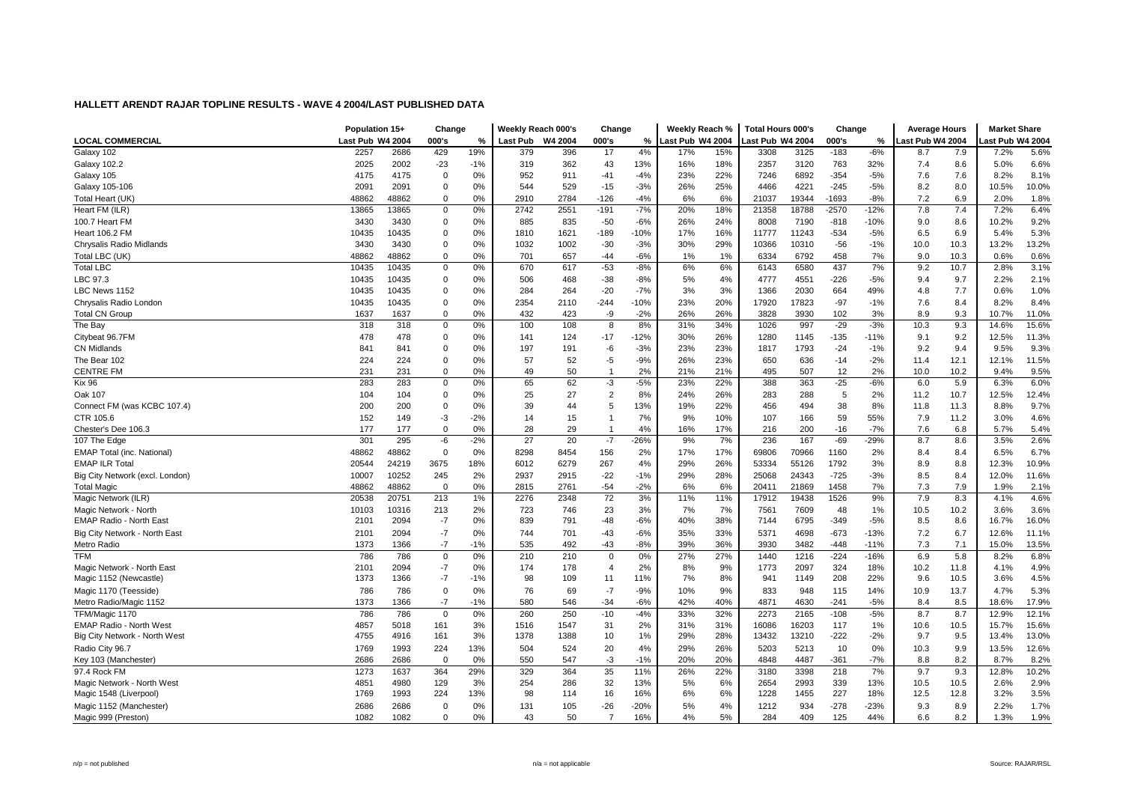|                                 | Population 15+   |       | Change      |               | Weekly Reach 000's |         | Change         |        | Weekly Reach %   |     | Total Hours 000's |       | Change  |        | <b>Average Hours</b> |      | <b>Market Share</b> |       |
|---------------------------------|------------------|-------|-------------|---------------|--------------------|---------|----------------|--------|------------------|-----|-------------------|-------|---------|--------|----------------------|------|---------------------|-------|
| <b>LOCAL COMMERCIAL</b>         | Last Pub W4 2004 |       | 000's       | $\frac{9}{6}$ | Last Pub           | W4 2004 | 000's          | %      | Last Pub W4 2004 |     | ast Pub W4 2004   |       | 000's   | %      | Last Pub W4 2004     |      | ast Pub W4 2004     |       |
| Galaxy 102                      | 2257             | 2686  | 429         | 19%           | 379                | 396     | 17             | 4%     | 17%              | 15% | 3308              | 3125  | $-183$  | $-6%$  | 8.7                  | 7.9  | 7.2%                | 5.6%  |
| <b>Galaxy 102.2</b>             | 2025             | 2002  | $-23$       | $-1%$         | 319                | 362     | 43             | 13%    | 16%              | 18% | 2357              | 3120  | 763     | 32%    | 7.4                  | 8.6  | 5.0%                | 6.6%  |
| Galaxy 105                      | 4175             | 4175  | $\Omega$    | 0%            | 952                | 911     | $-41$          | $-4%$  | 23%              | 22% | 7246              | 6892  | $-354$  | $-5%$  | 7.6                  | 7.6  | 8.2%                | 8.1%  |
| Galaxy 105-106                  | 2091             | 2091  | 0           | 0%            | 544                | 529     | $-15$          | $-3%$  | 26%              | 25% | 4466              | 4221  | $-245$  | $-5%$  | 8.2                  | 8.0  | 10.5%               | 10.0% |
| Total Heart (UK)                | 48862            | 48862 | 0           | 0%            | 2910               | 2784    | -126           | $-4%$  | 6%               | 6%  | 21037             | 19344 | -1693   | $-8%$  | 7.2                  | 6.9  | 2.0%                | 1.8%  |
| Heart FM (ILR)                  | 13865            | 13865 | 0           | 0%            | 2742               | 2551    | $-191$         | $-7%$  | 20%              | 18% | 21358             | 18788 | $-2570$ | $-12%$ | 7.8                  | 7.4  | 7.2%                | 6.4%  |
| 100.7 Heart FM                  | 3430             | 3430  | 0           | 0%            | 885                | 835     | $-50$          | $-6%$  | 26%              | 24% | 8008              | 7190  | $-818$  | $-10%$ | 9.0                  | 8.6  | 10.2%               | 9.2%  |
| <b>Heart 106.2 FM</b>           | 10435            | 10435 | $\Omega$    | 0%            | 1810               | 1621    | $-189$         | $-10%$ | 17%              | 16% | 11777             | 11243 | $-534$  | $-5%$  | 6.5                  | 6.9  | 5.4%                | 5.3%  |
| Chrysalis Radio Midlands        | 3430             | 3430  | $\Omega$    | 0%            | 1032               | 1002    | $-30$          | $-3%$  | 30%              | 29% | 10366             | 10310 | $-56$   | $-1%$  | 10.0                 | 10.3 | 13.2%               | 13.2% |
| Total LBC (UK)                  | 48862            | 48862 | 0           | 0%            | 701                | 657     | $-44$          | $-6%$  | 1%               | 1%  | 6334              | 6792  | 458     | 7%     | 9.0                  | 10.3 | 0.6%                | 0.6%  |
| <b>Total LBC</b>                | 10435            | 10435 | 0           | 0%            | 670                | 617     | $-53$          | $-8%$  | 6%               | 6%  | 6143              | 6580  | 437     | 7%     | 9.2                  | 10.7 | 2.8%                | 3.1%  |
| LBC 97.3                        | 10435            | 10435 | 0           | $0\%$         | 506                | 468     | $-38$          | $-8%$  | 5%               | 4%  | 4777              | 4551  | $-226$  | $-5%$  | 9.4                  | 9.7  | 2.2%                | 2.1%  |
| LBC News 1152                   | 10435            | 10435 | $\mathbf 0$ | 0%            | 284                | 264     | $-20$          | $-7%$  | 3%               | 3%  | 1366              | 2030  | 664     | 49%    | 4.8                  | 7.7  | 0.6%                | 1.0%  |
| Chrysalis Radio London          | 10435            | 10435 | $\Omega$    | 0%            | 2354               | 2110    | $-244$         | $-10%$ | 23%              | 20% | 17920             | 17823 | $-97$   | $-1%$  | 7.6                  | 8.4  | 8.2%                | 8.4%  |
| <b>Total CN Group</b>           | 1637             | 1637  | $\Omega$    | 0%            | 432                | 423     | -9             | $-2%$  | 26%              | 26% | 3828              | 3930  | 102     | 3%     | 8.9                  | 9.3  | 10.7%               | 11.0% |
| The Bay                         | 318              | 318   | $\mathbf 0$ | 0%            | 100                | 108     | 8              | 8%     | 31%              | 34% | 1026              | 997   | $-29$   | $-3%$  | 10.3                 | 9.3  | 14.6%               | 15.6% |
| Citybeat 96.7FM                 | 478              | 478   | 0           | 0%            | 141                | 124     | $-17$          | $-12%$ | 30%              | 26% | 1280              | 1145  | $-135$  | $-11%$ | 9.1                  | 9.2  | 12.5%               | 11.3% |
| <b>CN Midlands</b>              | 841              | 841   | 0           | 0%            | 197                | 191     | -6             | $-3%$  | 23%              | 23% | 1817              | 1793  | $-24$   | $-1%$  | 9.2                  | 9.4  | 9.5%                | 9.3%  |
| The Bear 102                    | 224              | 224   | $\Omega$    | 0%            | 57                 | 52      | -5             | $-9%$  | 26%              | 23% | 650               | 636   | $-14$   | $-2%$  | 11.4                 | 12.1 | 12.1%               | 11.5% |
| <b>CENTRE FM</b>                | 231              | 231   | $\Omega$    | 0%            | 49                 | 50      | $\overline{1}$ | 2%     | 21%              | 21% | 495               | 507   | 12      | 2%     | 10.0                 | 10.2 | 9.4%                | 9.5%  |
| <b>Kix 96</b>                   | 283              | 283   | $\mathbf 0$ | 0%            | 65                 | 62      | -3             | $-5%$  | 23%              | 22% | 388               | 363   | $-25$   | $-6%$  | 6.0                  | 5.9  | 6.3%                | 6.0%  |
| Oak 107                         | 104              | 104   | 0           | 0%            | 25                 | 27      | $\overline{2}$ | 8%     | 24%              | 26% | 283               | 288   | 5       | 2%     | 11.2                 | 10.7 | 12.5%               | 12.4% |
| Connect FM (was KCBC 107.4)     | 200              | 200   | $\Omega$    | 0%            | 39                 | 44      | 5              | 13%    | 19%              | 22% | 456               | 494   | 38      | 8%     | 11.8                 | 11.3 | 8.8%                | 9.7%  |
| CTR 105.6                       | 152              | 149   | $-3$        | $-2%$         | 14                 | 15      | $\mathbf{1}$   | 7%     | 9%               | 10% | 107               | 166   | 59      | 55%    | 7.9                  | 11.2 | 3.0%                | 4.6%  |
| Chester's Dee 106.3             | 177              | 177   | $\Omega$    | 0%            | 28                 | 29      | $\overline{1}$ | 4%     | 16%              | 17% | 216               | 200   | $-16$   | $-7%$  | 7.6                  | 6.8  | 5.7%                | 5.4%  |
| 107 The Edge                    | 301              | 295   | -6          | $-2%$         | 27                 | 20      | $-7$           | $-26%$ | 9%               | 7%  | 236               | 167   | $-69$   | $-29%$ | 8.7                  | 8.6  | 3.5%                | 2.6%  |
| EMAP Total (inc. National)      | 48862            | 48862 | $\Omega$    | 0%            | 8298               | 8454    | 156            | 2%     | 17%              | 17% | 69806             | 70966 | 1160    | 2%     | 8.4                  | 8.4  | 6.5%                | 6.7%  |
| <b>EMAP ILR Total</b>           | 20544            | 24219 | 3675        | 18%           | 6012               | 6279    | 267            | 4%     | 29%              | 26% | 53334             | 55126 | 1792    | 3%     | 8.9                  | 8.8  | 12.3%               | 10.9% |
| Big City Network (excl. London) | 10007            | 10252 | 245         | 2%            | 2937               | 2915    | $-22$          | $-1%$  | 29%              | 28% | 25068             | 24343 | $-725$  | $-3%$  | 8.5                  | 8.4  | 12.0%               | 11.6% |
| <b>Total Magic</b>              | 48862            | 48862 | $\mathbf 0$ | 0%            | 2815               | 2761    | $-54$          | $-2%$  | 6%               | 6%  | 20411             | 21869 | 1458    | 7%     | 7.3                  | 7.9  | 1.9%                | 2.1%  |
| Magic Network (ILR)             | 20538            | 20751 | 213         | 1%            | 2276               | 2348    | 72             | 3%     | 11%              | 11% | 17912             | 19438 | 1526    | 9%     | 7.9                  | 8.3  | 4.1%                | 4.6%  |
| Magic Network - North           | 10103            | 10316 | 213         | 2%            | 723                | 746     | 23             | 3%     | 7%               | 7%  | 7561              | 7609  | 48      | 1%     | 10.5                 | 10.2 | 3.6%                | 3.6%  |
| EMAP Radio - North East         | 2101             | 2094  | $-7$        | 0%            | 839                | 791     | $-48$          | $-6%$  | 40%              | 38% | 7144              | 6795  | $-349$  | $-5%$  | 8.5                  | 8.6  | 16.7%               | 16.0% |
| Big City Network - North East   | 2101             | 2094  | $-7$        | 0%            | 744                | 701     | $-43$          | -6%    | 35%              | 33% | 5371              | 4698  | $-673$  | $-13%$ | 7.2                  | 6.7  | 12.6%               | 11.1% |
| Metro Radio                     | 1373             | 1366  | $-7$        | $-1%$         | 535                | 492     | $-43$          | $-8%$  | 39%              | 36% | 3930              | 3482  | $-448$  | $-11%$ | 7.3                  | 7.1  | 15.0%               | 13.5% |
| <b>TFM</b>                      | 786              | 786   | $\mathbf 0$ | 0%            | 210                | 210     | $\mathbf 0$    | 0%     | 27%              | 27% | 1440              | 1216  | $-224$  | $-16%$ | 6.9                  | 5.8  | 8.2%                | 6.8%  |
| Magic Network - North East      | 2101             | 2094  | $-7$        | 0%            | 174                | 178     | $\overline{4}$ | 2%     | 8%               | 9%  | 1773              | 2097  | 324     | 18%    | 10.2                 | 11.8 | 4.1%                | 4.9%  |
| Magic 1152 (Newcastle)          | 1373             | 1366  | $-7$        | $-1%$         | 98                 | 109     | 11             | 11%    | 7%               | 8%  | 941               | 1149  | 208     | 22%    | 9.6                  | 10.5 | 3.6%                | 4.5%  |
| Magic 1170 (Teesside)           | 786              | 786   | 0           | 0%            | 76                 | 69      | $-7$           | $-9%$  | 10%              | 9%  | 833               | 948   | 115     | 14%    | 10.9                 | 13.7 | 4.7%                | 5.3%  |
| Metro Radio/Magic 1152          | 1373             | 1366  | $-7$        | $-1%$         | 580                | 546     | $-34$          | $-6%$  | 42%              | 40% | 4871              | 4630  | $-241$  | $-5%$  | 8.4                  | 8.5  | 18.6%               | 17.9% |
| TFM/Magic 1170                  | 786              | 786   | 0           | 0%            | 260                | 250     | $-10$          | $-4%$  | 33%              | 32% | 2273              | 2165  | $-108$  | $-5%$  | 8.7                  | 8.7  | 12.9%               | 12.1% |
| <b>EMAP Radio - North West</b>  | 4857             | 5018  | 161         | 3%            | 1516               | 1547    | 31             | 2%     | 31%              | 31% | 16086             | 16203 | 117     | 1%     | 10.6                 | 10.5 | 15.7%               | 15.6% |
| Big City Network - North West   | 4755             | 4916  | 161         | 3%            | 1378               | 1388    | 10             | 1%     | 29%              | 28% | 13432             | 13210 | $-222$  | $-2%$  | 9.7                  | 9.5  | 13.4%               | 13.0% |
| Radio City 96.7                 | 1769             | 1993  | 224         | 13%           | 504                | 524     | 20             | 4%     | 29%              | 26% | 5203              | 5213  | 10      | 0%     | 10.3                 | 9.9  | 13.5%               | 12.6% |
| Key 103 (Manchester)            | 2686             | 2686  | $\mathbf 0$ | 0%            | 550                | 547     | $-3$           | $-1%$  | 20%              | 20% | 4848              | 4487  | $-361$  | $-7%$  | 8.8                  | 8.2  | 8.7%                | 8.2%  |
| 97.4 Rock FM                    | 1273             | 1637  | 364         | 29%           | 329                | 364     | 35             | 11%    | 26%              | 22% | 3180              | 3398  | 218     | 7%     | 9.7                  | 9.3  | 12.8%               | 10.2% |
| Magic Network - North West      | 4851             | 4980  | 129         | 3%            | 254                | 286     | 32             | 13%    | 5%               | 6%  | 2654              | 2993  | 339     | 13%    | 10.5                 | 10.5 | 2.6%                | 2.9%  |
| Magic 1548 (Liverpool)          | 1769             | 1993  | 224         | 13%           | 98                 | 114     | 16             | 16%    | 6%               | 6%  | 1228              | 1455  | 227     | 18%    | 12.5                 | 12.8 | 3.2%                | 3.5%  |
| Magic 1152 (Manchester)         | 2686             | 2686  | $\mathbf 0$ | 0%            | 131                | 105     | $-26$          | $-20%$ | 5%               | 4%  | 1212              | 934   | $-278$  | $-23%$ | 9.3                  | 8.9  | 2.2%                | 1.7%  |
| Magic 999 (Preston)             | 1082             | 1082  | $\Omega$    | 0%            | 43                 | 50      | $\overline{7}$ | 16%    | 4%               | 5%  | 284               | 409   | 125     | 44%    | 6.6                  | 8.2  | 1.3%                | 1.9%  |
|                                 |                  |       |             |               |                    |         |                |        |                  |     |                   |       |         |        |                      |      |                     |       |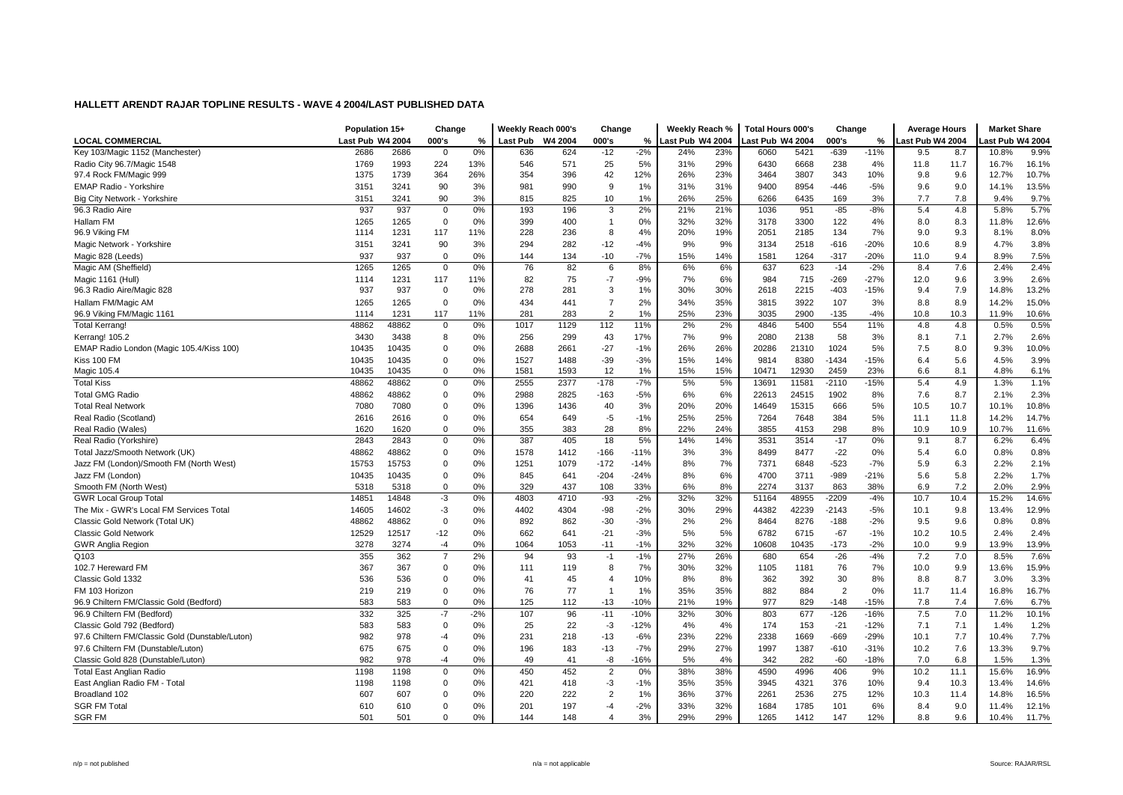|                                                 | Population 15+   |       | Change         |       | Weekly Reach 000's |         | Change         |        | Weekly Reach %   |     | Total Hours 000's |       | Change         |        | <b>Average Hours</b> |      | <b>Market Share</b> |       |
|-------------------------------------------------|------------------|-------|----------------|-------|--------------------|---------|----------------|--------|------------------|-----|-------------------|-------|----------------|--------|----------------------|------|---------------------|-------|
| <b>LOCAL COMMERCIAL</b>                         | Last Pub W4 2004 |       | 000's          | %     | Last Pub           | W4 2004 | 000's          | %      | Last Pub W4 2004 |     | Last Pub W4 2004  |       | 000's          | %      | Last Pub W4 2004     |      | ast Pub W4 2004     |       |
| Key 103/Magic 1152 (Manchester)                 | 2686             | 2686  | $\mathbf 0$    | 0%    | 636                | 624     | $-12$          | $-2%$  | 24%              | 23% | 6060              | 5421  | $-639$         | $-11%$ | 9.5                  | 8.7  | 10.8%               | 9.9%  |
| Radio City 96.7/Magic 1548                      | 1769             | 1993  | 224            | 13%   | 546                | 571     | 25             | 5%     | 31%              | 29% | 6430              | 6668  | 238            | 4%     | 11.8                 | 11.7 | 16.7%               | 16.1% |
| 97.4 Rock FM/Magic 999                          | 1375             | 1739  | 364            | 26%   | 354                | 396     | 42             | 12%    | 26%              | 23% | 3464              | 3807  | 343            | 10%    | 9.8                  | 9.6  | 12.7%               | 10.7% |
| <b>EMAP Radio - Yorkshire</b>                   | 3151             | 3241  | 90             | 3%    | 981                | 990     | 9              | 1%     | 31%              | 31% | 9400              | 8954  | $-446$         | $-5%$  | 9.6                  | 9.0  | 14.1%               | 13.5% |
| Big City Network - Yorkshire                    | 3151             | 3241  | 90             | 3%    | 815                | 825     | 10             | 1%     | 26%              | 25% | 6266              | 6435  | 169            | 3%     | 7.7                  | 7.8  | 9.4%                | 9.7%  |
| 96.3 Radio Aire                                 | 937              | 937   | $\mathbf 0$    | 0%    | 193                | 196     | 3              | 2%     | 21%              | 21% | 1036              | 951   | $-85$          | $-8%$  | 5.4                  | 4.8  | 5.8%                | 5.7%  |
| Hallam FM                                       | 1265             | 1265  | 0              | 0%    | 399                | 400     | $\overline{1}$ | 0%     | 32%              | 32% | 3178              | 3300  | 122            | 4%     | 8.0                  | 8.3  | 11.8%               | 12.6% |
| 96.9 Viking FM                                  | 1114             | 1231  | 117            | 11%   | 228                | 236     | 8              | 4%     | 20%              | 19% | 2051              | 2185  | 134            | 7%     | 9.0                  | 9.3  | 8.1%                | 8.0%  |
| Magic Network - Yorkshire                       | 3151             | 3241  | 90             | 3%    | 294                | 282     | $-12$          | $-4%$  | 9%               | 9%  | 3134              | 2518  | $-616$         | $-20%$ | 10.6                 | 8.9  | 4.7%                | 3.8%  |
| Magic 828 (Leeds)                               | 937              | 937   | 0              | 0%    | 144                | 134     | $-10$          | $-7%$  | 15%              | 14% | 1581              | 1264  | $-317$         | $-20%$ | 11.0                 | 9.4  | 8.9%                | 7.5%  |
| Magic AM (Sheffield)                            | 1265             | 1265  | 0              | 0%    | 76                 | 82      | 6              | 8%     | 6%               | 6%  | 637               | 623   | $-14$          | $-2%$  | 8.4                  | 7.6  | 2.4%                | 2.4%  |
| Magic 1161 (Hull)                               | 1114             | 1231  | 117            | 11%   | 82                 | 75      | $-7$           | $-9%$  | 7%               | 6%  | 984               | 715   | $-269$         | $-27%$ | 12.0                 | 9.6  | 3.9%                | 2.6%  |
| 96.3 Radio Aire/Magic 828                       | 937              | 937   | 0              | 0%    | 278                | 281     | 3              | 1%     | 30%              | 30% | 2618              | 2215  | $-403$         | $-15%$ | 9.4                  | 7.9  | 14.8%               | 13.2% |
| Hallam FM/Magic AM                              | 1265             | 1265  | 0              | 0%    | 434                | 441     | $\overline{7}$ | 2%     | 34%              | 35% | 3815              | 3922  | 107            | 3%     | 8.8                  | 8.9  | 14.2%               | 15.0% |
| 96.9 Viking FM/Magic 1161                       | 1114             | 1231  | 117            | 11%   | 281                | 283     | $\overline{2}$ | 1%     | 25%              | 23% | 3035              | 2900  | $-135$         | $-4%$  | 10.8                 | 10.3 | 11.9%               | 10.6% |
| <b>Total Kerrang!</b>                           | 48862            | 48862 | 0              | 0%    | 1017               | 1129    | 112            | 11%    | 2%               | 2%  | 4846              | 5400  | 554            | 11%    | 4.8                  | 4.8  | 0.5%                | 0.5%  |
| Kerrang! 105.2                                  | 3430             | 3438  | 8              | 0%    | 256                | 299     | 43             | 17%    | 7%               | 9%  | 2080              | 2138  | 58             | 3%     | 8.1                  | 7.1  | 2.7%                | 2.6%  |
| EMAP Radio London (Magic 105.4/Kiss 100)        | 10435            | 10435 | 0              | 0%    | 2688               | 2661    | $-27$          | $-1%$  | 26%              | 26% | 20286             | 21310 | 1024           | 5%     | 7.5                  | 8.0  | 9.3%                | 10.0% |
| Kiss 100 FM                                     | 10435            | 10435 | $\mathbf 0$    | 0%    | 1527               | 1488    | $-39$          | $-3%$  | 15%              | 14% | 9814              | 8380  | $-1434$        | $-15%$ | 6.4                  | 5.6  | 4.5%                | 3.9%  |
| Magic 105.4                                     | 10435            | 10435 | $\mathbf 0$    | 0%    | 1581               | 1593    | 12             | 1%     | 15%              | 15% | 10471             | 12930 | 2459           | 23%    | 6.6                  | 8.1  | 4.8%                | 6.1%  |
| <b>Total Kiss</b>                               | 48862            | 48862 | $\mathsf 0$    | 0%    | 2555               | 2377    | $-178$         | $-7%$  | 5%               | 5%  | 13691             | 11581 | $-2110$        | $-15%$ | 5.4                  | 4.9  | 1.3%                | 1.1%  |
| <b>Total GMG Radio</b>                          | 48862            | 48862 | 0              | 0%    | 2988               | 2825    | $-163$         | $-5%$  | 6%               | 6%  | 22613             | 24515 | 1902           | 8%     | 7.6                  | 8.7  | 2.1%                | 2.3%  |
| <b>Total Real Network</b>                       | 7080             | 7080  | 0              | 0%    | 1396               | 1436    | 40             | 3%     | 20%              | 20% | 14649             | 15315 | 666            | 5%     | 10.5                 | 10.7 | 10.1%               | 10.8% |
| Real Radio (Scotland)                           | 2616             | 2616  | 0              | 0%    | 654                | 649     | $-5$           | $-1%$  | 25%              | 25% | 7264              | 7648  | 384            | 5%     | 11.1                 | 11.8 | 14.2%               | 14.7% |
| Real Radio (Wales)                              | 1620             | 1620  | 0              | 0%    | 355                | 383     | 28             | 8%     | 22%              | 24% | 3855              | 4153  | 298            | 8%     | 10.9                 | 10.9 | 10.7%               | 11.6% |
| Real Radio (Yorkshire)                          | 2843             | 2843  | 0              | 0%    | 387                | 405     | 18             | 5%     | 14%              | 14% | 3531              | 3514  | $-17$          | 0%     | 9.1                  | 8.7  | 6.2%                | 6.4%  |
| Total Jazz/Smooth Network (UK)                  | 48862            | 48862 | $\mathbf 0$    | 0%    | 1578               | 1412    | $-166$         | $-11%$ | 3%               | 3%  | 8499              | 8477  | $-22$          | 0%     | 5.4                  | 6.0  | 0.8%                | 0.8%  |
| Jazz FM (London)/Smooth FM (North West)         | 15753            | 15753 | $\mathbf 0$    | 0%    | 1251               | 1079    | $-172$         | $-14%$ | 8%               | 7%  | 7371              | 6848  | $-523$         | $-7%$  | 5.9                  | 6.3  | 2.2%                | 2.1%  |
| Jazz FM (London)                                | 10435            | 10435 | 0              | 0%    | 845                | 641     | $-204$         | $-24%$ | 8%               | 6%  | 4700              | 3711  | $-989$         | $-21%$ | 5.6                  | 5.8  | 2.2%                | 1.7%  |
| Smooth FM (North West)                          | 5318             | 5318  | 0              | 0%    | 329                | 437     | 108            | 33%    | 6%               | 8%  | 2274              | 3137  | 863            | 38%    | 6.9                  | 7.2  | 2.0%                | 2.9%  |
| <b>GWR Local Group Total</b>                    | 14851            | 14848 | $-3$           | 0%    | 4803               | 4710    | $-93$          | $-2%$  | 32%              | 32% | 51164             | 48955 | $-2209$        | $-4%$  | 10.7                 | 10.4 | 15.2%               | 14.6% |
| The Mix - GWR's Local FM Services Total         | 14605            | 14602 | $-3$           | 0%    | 4402               | 4304    | $-98$          | $-2%$  | 30%              | 29% | 44382             | 42239 | $-2143$        | $-5%$  | 10.1                 | 9.8  | 13.4%               | 12.9% |
| Classic Gold Network (Total UK)                 | 48862            | 48862 | $\mathbf 0$    | 0%    | 892                | 862     | $-30$          | $-3%$  | 2%               | 2%  | 8464              | 8276  | $-188$         | $-2%$  | 9.5                  | 9.6  | 0.8%                | 0.8%  |
| <b>Classic Gold Network</b>                     | 12529            | 12517 | $-12$          | 0%    | 662                | 641     | $-21$          | $-3%$  | 5%               | 5%  | 6782              | 6715  | $-67$          | $-1%$  | 10.2                 | 10.5 | 2.4%                | 2.4%  |
| <b>GWR Anglia Region</b>                        | 3278             | 3274  | $-4$           | 0%    | 1064               | 1053    | $-11$          | $-1%$  | 32%              | 32% | 10608             | 10435 | $-173$         | $-2%$  | 10.0                 | 9.9  | 13.9%               | 13.9% |
| Q103                                            | 355              | 362   | $\overline{7}$ | 2%    | 94                 | 93      | $-1$           | $-1%$  | 27%              | 26% | 680               | 654   | $-26$          | $-4%$  | 7.2                  | 7.0  | 8.5%                | 7.6%  |
| 102.7 Hereward FM                               | 367              | 367   | 0              | 0%    | 111                | 119     | 8              | 7%     | 30%              | 32% | 1105              | 1181  | 76             | 7%     | 10.0                 | 9.9  | 13.6%               | 15.9% |
| Classic Gold 1332                               | 536              | 536   | 0              | 0%    | 41                 | 45      | $\overline{4}$ | 10%    | 8%               | 8%  | 362               | 392   | 30             | 8%     | 8.8                  | 8.7  | 3.0%                | 3.3%  |
| FM 103 Horizon                                  | 219              | 219   | 0              | 0%    | 76                 | 77      | $\overline{1}$ | 1%     | 35%              | 35% | 882               | 884   | $\overline{2}$ | 0%     | 11.7                 | 11.4 | 16.8%               | 16.7% |
| 96.9 Chiltern FM/Classic Gold (Bedford)         | 583              | 583   | $\mathbf 0$    | 0%    | 125                | 112     | $-13$          | $-10%$ | 21%              | 19% | 977               | 829   | $-148$         | $-15%$ | 7.8                  | 7.4  | 7.6%                | 6.7%  |
| 96.9 Chiltern FM (Bedford)                      | 332              | 325   | $-7$           | $-2%$ | 107                | 96      | $-11$          | $-10%$ | 32%              | 30% | 803               | 677   | $-126$         | $-16%$ | 7.5                  | 7.0  | 11.2%               | 10.1% |
| Classic Gold 792 (Bedford)                      | 583              | 583   | $\mathbf 0$    | 0%    | 25                 | 22      | $-3$           | $-12%$ | 4%               | 4%  | 174               | 153   | $-21$          | $-12%$ | 7.1                  | 7.1  | 1.4%                | 1.2%  |
| 97.6 Chiltern FM/Classic Gold (Dunstable/Luton) | 982              | 978   | $-4$           | 0%    | 231                | 218     | $-13$          | $-6%$  | 23%              | 22% | 2338              | 1669  | $-669$         | $-29%$ | 10.1                 | 7.7  | 10.4%               | 7.7%  |
| 97.6 Chiltern FM (Dunstable/Luton)              | 675              | 675   | 0              | 0%    | 196                | 183     | $-13$          | $-7%$  | 29%              | 27% | 1997              | 1387  | $-610$         | $-31%$ | 10.2                 | 7.6  | 13.3%               | 9.7%  |
| Classic Gold 828 (Dunstable/Luton)              | 982              | 978   | $-4$           | 0%    | 49                 | 41      | -8             | $-16%$ | 5%               | 4%  | 342               | 282   | $-60$          | $-18%$ | 7.0                  | 6.8  | 1.5%                | 1.3%  |
| <b>Total East Anglian Radio</b>                 | 1198             | 1198  | 0              | 0%    | 450                | 452     | $\overline{2}$ | 0%     | 38%              | 38% | 4590              | 4996  | 406            | 9%     | 10.2                 | 11.1 | 15.6%               | 16.9% |
| East Anglian Radio FM - Total                   | 1198             | 1198  | 0              | 0%    | 421                | 418     | -3             | $-1%$  | 35%              | 35% | 3945              | 4321  | 376            | 10%    | 9.4                  | 10.3 | 13.4%               | 14.6% |
| Broadland 102                                   | 607              | 607   | 0              | 0%    | 220                | 222     | $\overline{2}$ | 1%     | 36%              | 37% | 2261              | 2536  | 275            | 12%    | 10.3                 | 11.4 | 14.8%               | 16.5% |
| <b>SGR FM Total</b>                             | 610              | 610   | $\Omega$       | 0%    | 201                | 197     | $-4$           | $-2%$  | 33%              | 32% | 1684              | 1785  | 101            | 6%     | 8.4                  | 9.0  | 11.4%               | 12.1% |
| <b>SGR FM</b>                                   | 501              | 501   | $\Omega$       | 0%    | 144                | 148     | $\Delta$       | 3%     | 29%              | 29% | 1265              | 1412  | 147            | 12%    | 8.8                  | 9.6  | 10.4%               | 11.7% |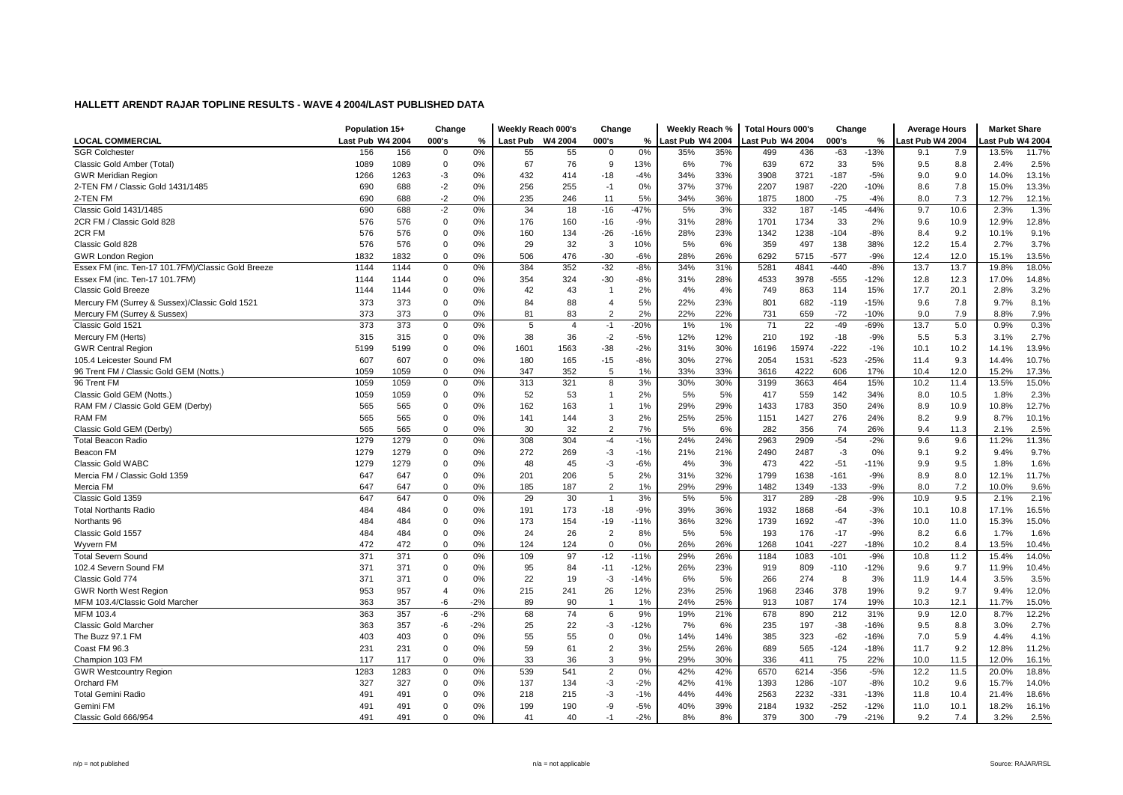|                                                    | Population 15+   |      | Change         |       | Weekly Reach 000's |                | Change         |        | Weekly Reach %   |     | Total Hours 000's |       | Change |        | <b>Average Hours</b> |      | <b>Market Share</b> |       |
|----------------------------------------------------|------------------|------|----------------|-------|--------------------|----------------|----------------|--------|------------------|-----|-------------------|-------|--------|--------|----------------------|------|---------------------|-------|
| <b>LOCAL COMMERCIAL</b>                            | Last Pub W4 2004 |      | 000's          | %     | Last Pub           | <b>W4 2004</b> | 000's          | %      | Last Pub W4 2004 |     | ast Pub W4 2004   |       | 000's  | %      | Last Pub W4 2004     |      | ast Pub W4 2004     |       |
| <b>SGR Colchester</b>                              | 156              | 156  | $\Omega$       | 0%    | 55                 | 55             | $\Omega$       | 0%     | 35%              | 35% | 499               | 436   | $-63$  | $-13%$ | 9.1                  | 7.9  | 13.5%               | 11.7% |
| Classic Gold Amber (Total)                         | 1089             | 1089 | 0              | 0%    | 67                 | 76             | 9              | 13%    | 6%               | 7%  | 639               | 672   | 33     | 5%     | 9.5                  | 8.8  | 2.4%                | 2.5%  |
| <b>GWR Meridian Region</b>                         | 1266             | 1263 | $-3$           | 0%    | 432                | 414            | $-18$          | $-4%$  | 34%              | 33% | 3908              | 3721  | $-187$ | $-5%$  | 9.0                  | 9.0  | 14.0%               | 13.1% |
| 2-TEN FM / Classic Gold 1431/1485                  | 690              | 688  | $-2$           | 0%    | 256                | 255            | $-1$           | 0%     | 37%              | 37% | 2207              | 1987  | $-220$ | $-10%$ | 8.6                  | 7.8  | 15.0%               | 13.3% |
| 2-TEN FM                                           | 690              | 688  | $-2$           | 0%    | 235                | 246            | 11             | 5%     | 34%              | 36% | 1875              | 1800  | $-75$  | $-4%$  | 8.0                  | 7.3  | 12.7%               | 12.1% |
| Classic Gold 1431/1485                             | 690              | 688  | $-2$           | 0%    | 34                 | 18             | $-16$          | $-47%$ | 5%               | 3%  | 332               | 187   | $-145$ | $-44%$ | 9.7                  | 10.6 | 2.3%                | 1.3%  |
| 2CR FM / Classic Gold 828                          | 576              | 576  | 0              | 0%    | 176                | 160            | $-16$          | $-9%$  | 31%              | 28% | 1701              | 1734  | 33     | 2%     | 9.6                  | 10.9 | 12.9%               | 12.8% |
| 2CR FM                                             | 576              | 576  | $\Omega$       | 0%    | 160                | 134            | $-26$          | $-16%$ | 28%              | 23% | 1342              | 1238  | $-104$ | $-8%$  | 8.4                  | 9.2  | 10.1%               | 9.1%  |
| Classic Gold 828                                   | 576              | 576  | 0              | 0%    | 29                 | 32             | 3              | 10%    | 5%               | 6%  | 359               | 497   | 138    | 38%    | 12.2                 | 15.4 | 2.7%                | 3.7%  |
| <b>GWR London Region</b>                           | 1832             | 1832 | $\mathbf 0$    | 0%    | 506                | 476            | $-30$          | $-6%$  | 28%              | 26% | 6292              | 5715  | $-577$ | $-9%$  | 12.4                 | 12.0 | 15.1%               | 13.5% |
| Essex FM (inc. Ten-17 101.7FM)/Classic Gold Breeze | 1144             | 1144 | $\mathbf 0$    | 0%    | 384                | 352            | $-32$          | $-8%$  | 34%              | 31% | 5281              | 4841  | $-440$ | $-8%$  | 13.7                 | 13.7 | 19.8%               | 18.0% |
| Essex FM (inc. Ten-17 101.7FM)                     | 1144             | 1144 | $\Omega$       | 0%    | 354                | 324            | $-30$          | $-8%$  | 31%              | 28% | 4533              | 3978  | $-555$ | $-12%$ | 12.8                 | 12.3 | 17.0%               | 14.8% |
| <b>Classic Gold Breeze</b>                         | 1144             | 1144 | $\mathbf 0$    | 0%    | 42                 | 43             | $\overline{1}$ | 2%     | 4%               | 4%  | 749               | 863   | 114    | 15%    | 17.7                 | 20.1 | 2.8%                | 3.2%  |
| Mercury FM (Surrey & Sussex)/Classic Gold 1521     | 373              | 373  | $\mathbf 0$    | 0%    | 84                 | 88             | $\overline{4}$ | 5%     | 22%              | 23% | 801               | 682   | $-119$ | $-15%$ | 9.6                  | 7.8  | 9.7%                | 8.1%  |
| Mercury FM (Surrey & Sussex)                       | 373              | 373  | $\Omega$       | 0%    | 81                 | 83             | $\overline{2}$ | 2%     | 22%              | 22% | 731               | 659   | $-72$  | $-10%$ | 9.0                  | 7.9  | 8.8%                | 7.9%  |
| Classic Gold 1521                                  | 373              | 373  | $\mathbf 0$    | 0%    | 5                  | $\overline{4}$ | $-1$           | $-20%$ | 1%               | 1%  | 71                | 22    | $-49$  | $-69%$ | 13.7                 | 5.0  | 0.9%                | 0.3%  |
| Mercury FM (Herts)                                 | 315              | 315  | 0              | 0%    | 38                 | 36             | $-2$           | $-5%$  | 12%              | 12% | 210               | 192   | $-18$  | $-9%$  | 5.5                  | 5.3  | 3.1%                | 2.7%  |
| <b>GWR Central Region</b>                          | 5199             | 5199 | $\mathbf 0$    | 0%    | 1601               | 1563           | $-38$          | $-2%$  | 31%              | 30% | 16196             | 15974 | $-222$ | $-1%$  | 10.1                 | 10.2 | 14.1%               | 13.9% |
| 105.4 Leicester Sound FM                           | 607              | 607  | $\Omega$       | 0%    | 180                | 165            | $-15$          | $-8%$  | 30%              | 27% | 2054              | 1531  | $-523$ | $-25%$ | 11.4                 | 9.3  | 14.4%               | 10.7% |
| 96 Trent FM / Classic Gold GEM (Notts.)            | 1059             | 1059 | 0              | 0%    | 347                | 352            | 5              | 1%     | 33%              | 33% | 3616              | 4222  | 606    | 17%    | 10.4                 | 12.0 | 15.2%               | 17.3% |
| 96 Trent FM                                        | 1059             | 1059 | 0              | 0%    | 313                | 321            | 8              | 3%     | 30%              | 30% | 3199              | 3663  | 464    | 15%    | 10.2                 | 11.4 | 13.5%               | 15.0% |
| Classic Gold GEM (Notts.)                          | 1059             | 1059 | $\mathbf 0$    | 0%    | 52                 | 53             | -1             | 2%     | 5%               | 5%  | 417               | 559   | 142    | 34%    | 8.0                  | 10.5 | 1.8%                | 2.3%  |
| RAM FM / Classic Gold GEM (Derby)                  | 565              | 565  | $\mathbf 0$    | 0%    | 162                | 163            | $\mathbf{1}$   | 1%     | 29%              | 29% | 1433              | 1783  | 350    | 24%    | 8.9                  | 10.9 | 10.8%               | 12.7% |
| <b>RAM FM</b>                                      | 565              | 565  | $\mathbf 0$    | 0%    | 141                | 144            | 3              | 2%     | 25%              | 25% | 1151              | 1427  | 276    | 24%    | 8.2                  | 9.9  | 8.7%                | 10.1% |
| Classic Gold GEM (Derby)                           | 565              | 565  | $\mathbf 0$    | 0%    | 30                 | 32             | $\overline{2}$ | 7%     | 5%               | 6%  | 282               | 356   | 74     | 26%    | 9.4                  | 11.3 | 2.1%                | 2.5%  |
| <b>Total Beacon Radio</b>                          | 1279             | 1279 | $\mathbf 0$    | 0%    | 308                | 304            | $-4$           | $-1%$  | 24%              | 24% | 2963              | 2909  | $-54$  | $-2%$  | 9.6                  | 9.6  | 11.2%               | 11.3% |
| Beacon FM                                          | 1279             | 1279 | $\Omega$       | 0%    | 272                | 269            | -3             | $-1%$  | 21%              | 21% | 2490              | 2487  | -3     | 0%     | 9.1                  | 9.2  | 9.4%                | 9.7%  |
| Classic Gold WABC                                  | 1279             | 1279 | $\mathbf 0$    | 0%    | 48                 | 45             | -3             | $-6%$  | 4%               | 3%  | 473               | 422   | $-51$  | $-11%$ | 9.9                  | 9.5  | 1.8%                | 1.6%  |
| Mercia FM / Classic Gold 1359                      | 647              | 647  | 0              | 0%    | 201                | 206            | 5              | 2%     | 31%              | 32% | 1799              | 1638  | $-161$ | $-9%$  | 8.9                  | 8.0  | 12.1%               | 11.7% |
| Mercia FM                                          | 647              | 647  | $\mathbf 0$    | 0%    | 185                | 187            | $\overline{2}$ | 1%     | 29%              | 29% | 1482              | 1349  | $-133$ | $-9%$  | 8.0                  | 7.2  | 10.0%               | 9.6%  |
| Classic Gold 1359                                  | 647              | 647  | $\mathbf 0$    | 0%    | 29                 | 30             | $\overline{1}$ | 3%     | 5%               | 5%  | 317               | 289   | $-28$  | $-9%$  | 10.9                 | 9.5  | 2.1%                | 2.1%  |
| <b>Total Northants Radio</b>                       | 484              | 484  | $\mathbf 0$    | 0%    | 191                | 173            | $-18$          | $-9%$  | 39%              | 36% | 1932              | 1868  | $-64$  | $-3%$  | 10.1                 | 10.8 | 17.1%               | 16.5% |
| Northants 96                                       | 484              | 484  | $\mathbf 0$    | 0%    | 173                | 154            | $-19$          | $-11%$ | 36%              | 32% | 1739              | 1692  | $-47$  | $-3%$  | 10.0                 | 11.0 | 15.3%               | 15.0% |
| Classic Gold 1557                                  | 484              | 484  | $\Omega$       | 0%    | 24                 | 26             | $\overline{2}$ | 8%     | 5%               | 5%  | 193               | 176   | $-17$  | $-9%$  | 8.2                  | 6.6  | 1.7%                | 1.6%  |
| Wyvern FM                                          | 472              | 472  | $\mathbf 0$    | 0%    | 124                | 124            | $\Omega$       | 0%     | 26%              | 26% | 1268              | 1041  | $-227$ | $-18%$ | 10.2                 | 8.4  | 13.5%               | 10.4% |
| <b>Total Severn Sound</b>                          | 371              | 371  | $\mathbf 0$    | 0%    | 109                | 97             | $-12$          | $-11%$ | 29%              | 26% | 1184              | 1083  | $-101$ | $-9%$  | 10.8                 | 11.2 | 15.4%               | 14.0% |
| 102.4 Severn Sound FM                              | 371              | 371  | 0              | 0%    | 95                 | 84             | $-11$          | $-12%$ | 26%              | 23% | 919               | 809   | $-110$ | $-12%$ | 9.6                  | 9.7  | 11.9%               | 10.4% |
| Classic Gold 774                                   | 371              | 371  | 0              | 0%    | 22                 | 19             | -3             | $-14%$ | 6%               | 5%  | 266               | 274   | 8      | 3%     | 11.9                 | 14.4 | 3.5%                | 3.5%  |
| <b>GWR North West Region</b>                       | 953              | 957  | $\overline{4}$ | 0%    | 215                | 241            | 26             | 12%    | 23%              | 25% | 1968              | 2346  | 378    | 19%    | 9.2                  | 9.7  | 9.4%                | 12.0% |
| MFM 103.4/Classic Gold Marcher                     | 363              | 357  | -6             | $-2%$ | 89                 | 90             | $\overline{1}$ | 1%     | 24%              | 25% | 913               | 1087  | 174    | 19%    | 10.3                 | 12.1 | 11.7%               | 15.0% |
| MFM 103.4                                          | 363              | 357  | -6             | $-2%$ | 68                 | 74             | 6              | 9%     | 19%              | 21% | 678               | 890   | 212    | 31%    | 9.9                  | 12.0 | 8.7%                | 12.2% |
| Classic Gold Marcher                               | 363              | 357  | -6             | $-2%$ | 25                 | 22             | -3             | $-12%$ | 7%               | 6%  | 235               | 197   | $-38$  | $-16%$ | 9.5                  | 8.8  | 3.0%                | 2.7%  |
| The Buzz 97.1 FM                                   | 403              | 403  | $\mathbf 0$    | 0%    | 55                 | 55             | $\Omega$       | 0%     | 14%              | 14% | 385               | 323   | $-62$  | $-16%$ | 7.0                  | 5.9  | 4.4%                | 4.1%  |
| Coast FM 96.3                                      | 231              | 231  | $\mathbf 0$    | 0%    | 59                 | 61             | $\overline{2}$ | 3%     | 25%              | 26% | 689               | 565   | $-124$ | $-18%$ | 11.7                 | 9.2  | 12.8%               | 11.2% |
| Champion 103 FM                                    | 117              | 117  | $\Omega$       | 0%    | 33                 | 36             | 3              | 9%     | 29%              | 30% | 336               | 411   | 75     | 22%    | 10.0                 | 11.5 | 12.0%               | 16.1% |
| <b>GWR Westcountry Region</b>                      | 1283             | 1283 | $\mathbf 0$    | 0%    | 539                | 541            | $\overline{2}$ | 0%     | 42%              | 42% | 6570              | 6214  | $-356$ | $-5%$  | 12.2                 | 11.5 | 20.0%               | 18.8% |
| Orchard FM                                         | 327              | 327  | $\mathbf 0$    | 0%    | 137                | 134            | -3             | $-2%$  | 42%              | 41% | 1393              | 1286  | $-107$ | $-8%$  | 10.2                 | 9.6  | 15.7%               | 14.0% |
| <b>Total Gemini Radio</b>                          | 491              | 491  | $\mathbf 0$    | 0%    | 218                | 215            | -3             | $-1%$  | 44%              | 44% | 2563              | 2232  | $-331$ | $-13%$ | 11.8                 | 10.4 | 21.4%               | 18.6% |
| Gemini FM                                          | 491              | 491  | 0              | 0%    | 199                | 190            | -9             | $-5%$  | 40%              | 39% | 2184              | 1932  | $-252$ | $-12%$ | 11.0                 | 10.1 | 18.2%               | 16.1% |
| Classic Gold 666/954                               | 491              | 491  | $\Omega$       | 0%    | 41                 | 40             | $-1$           | $-2%$  | 8%               | 8%  | 379               | 300   | $-79$  | $-21%$ | 9.2                  | 7.4  | 3.2%                | 2.5%  |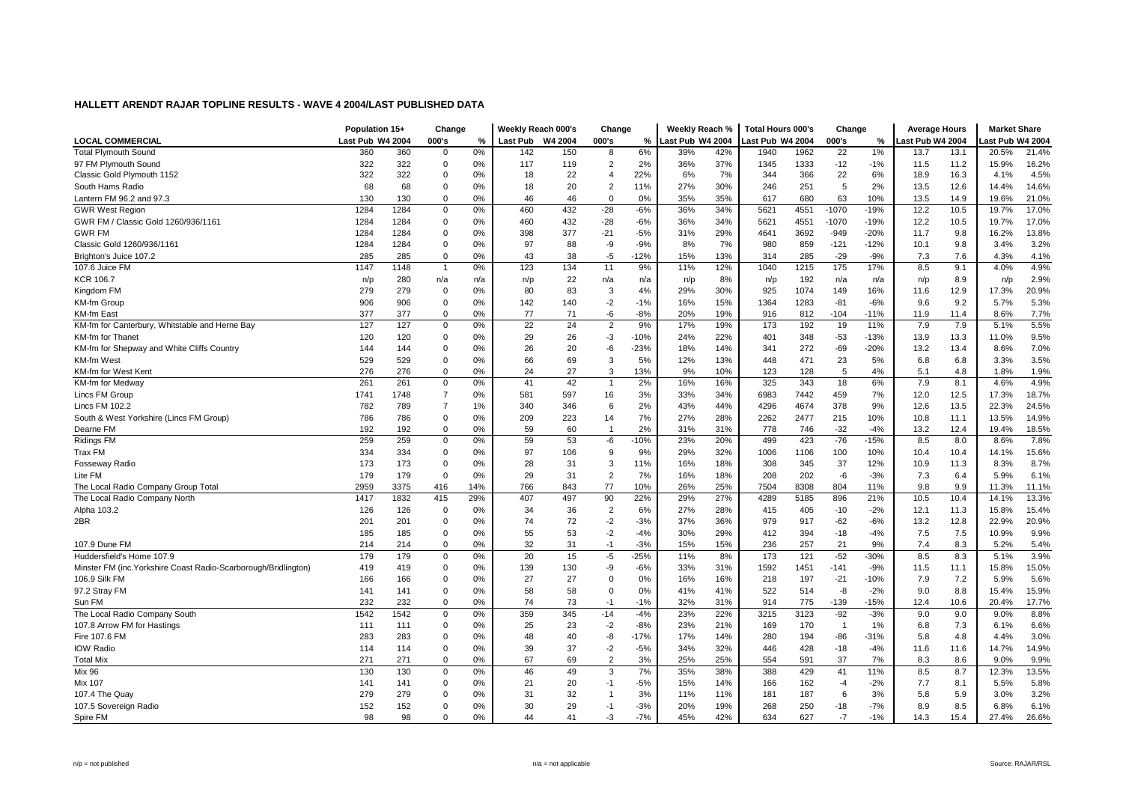|                                                                 | Population 15+   |      | Change         |     | Weekly Reach 000's |         | Change         |        | Weekly Reach %   |     | <b>Total Hours 000's</b> |      | Change         |        | <b>Average Hours</b> |      | <b>Market Share</b> |       |
|-----------------------------------------------------------------|------------------|------|----------------|-----|--------------------|---------|----------------|--------|------------------|-----|--------------------------|------|----------------|--------|----------------------|------|---------------------|-------|
| <b>LOCAL COMMERCIAL</b>                                         | Last Pub W4 2004 |      | 000's          | %   | <b>Last Pub</b>    | W4 2004 | 000's          | %      | Last Pub W4 2004 |     | Last Pub W4 2004         |      | 000's          | %      | ast Pub W4 2004      |      | ast Pub W4 2004     |       |
| <b>Total Plymouth Sound</b>                                     | 360              | 360  | $\mathbf 0$    | 0%  | 142                | 150     | 8              | 6%     | 39%              | 42% | 1940                     | 1962 | 22             | 1%     | 13.7                 | 13.1 | 20.5%               | 21.4% |
| 97 FM Plymouth Sound                                            | 322              | 322  | $\mathbf 0$    | 0%  | 117                | 119     | $\overline{2}$ | 2%     | 36%              | 37% | 1345                     | 1333 | $-12$          | $-1%$  | 11.5                 | 11.2 | 15.9%               | 16.2% |
| Classic Gold Plymouth 1152                                      | 322              | 322  | $\mathbf 0$    | 0%  | 18                 | 22      | $\overline{4}$ | 22%    | 6%               | 7%  | 344                      | 366  | 22             | 6%     | 18.9                 | 16.3 | 4.1%                | 4.5%  |
| South Hams Radio                                                | 68               | 68   | 0              | 0%  | 18                 | 20      | $\overline{2}$ | 11%    | 27%              | 30% | 246                      | 251  | 5              | 2%     | 13.5                 | 12.6 | 14.4%               | 14.6% |
| Lantern FM 96.2 and 97.3                                        | 130              | 130  | $\mathbf 0$    | 0%  | 46                 | 46      | $\mathbf 0$    | 0%     | 35%              | 35% | 617                      | 680  | 63             | 10%    | 13.5                 | 14.9 | 19.6%               | 21.0% |
| <b>GWR West Region</b>                                          | 1284             | 1284 | 0              | 0%  | 460                | 432     | $-28$          | $-6%$  | 36%              | 34% | 5621                     | 4551 | $-1070$        | $-19%$ | 12.2                 | 10.5 | 19.7%               | 17.0% |
| GWR FM / Classic Gold 1260/936/1161                             | 1284             | 1284 | 0              | 0%  | 460                | 432     | $-28$          | $-6%$  | 36%              | 34% | 5621                     | 4551 | $-1070$        | $-19%$ | 12.2                 | 10.5 | 19.7%               | 17.0% |
| <b>GWR FM</b>                                                   | 1284             | 1284 | $\mathbf 0$    | 0%  | 398                | 377     | $-21$          | $-5%$  | 31%              | 29% | 4641                     | 3692 | $-949$         | $-20%$ | 11.7                 | 9.8  | 16.2%               | 13.8% |
| Classic Gold 1260/936/1161                                      | 1284             | 1284 | $\mathbf 0$    | 0%  | 97                 | 88      | -9             | $-9%$  | 8%               | 7%  | 980                      | 859  | $-121$         | $-12%$ | 10.1                 | 9.8  | 3.4%                | 3.2%  |
| Brighton's Juice 107.2                                          | 285              | 285  | $\mathbf 0$    | 0%  | 43                 | 38      | $-5$           | $-12%$ | 15%              | 13% | 314                      | 285  | $-29$          | $-9%$  | 7.3                  | 7.6  | 4.3%                | 4.1%  |
| 107.6 Juice FM                                                  | 1147             | 1148 | $\overline{1}$ | 0%  | 123                | 134     | 11             | 9%     | 11%              | 12% | 1040                     | 1215 | 175            | 17%    | 8.5                  | 9.1  | 4.0%                | 4.9%  |
| <b>KCR 106.7</b>                                                | n/p              | 280  | n/a            | n/a | n/p                | 22      | n/a            | n/a    | n/p              | 8%  | n/p                      | 192  | n/a            | n/a    | n/p                  | 8.9  | n/p                 | 2.9%  |
| Kingdom FM                                                      | 279              | 279  | 0              | 0%  | 80                 | 83      | 3              | 4%     | 29%              | 30% | 925                      | 1074 | 149            | 16%    | 11.6                 | 12.9 | 17.3%               | 20.9% |
| <b>KM-fm Group</b>                                              | 906              | 906  | 0              | 0%  | 142                | 140     | $-2$           | $-1%$  | 16%              | 15% | 1364                     | 1283 | $-81$          | $-6%$  | 9.6                  | 9.2  | 5.7%                | 5.3%  |
| <b>KM-fm East</b>                                               | 377              | 377  | $\mathbf 0$    | 0%  | 77                 | 71      | $-6$           | $-8%$  | 20%              | 19% | 916                      | 812  | $-104$         | $-11%$ | 11.9                 | 11.4 | 8.6%                | 7.7%  |
| KM-fm for Canterbury, Whitstable and Herne Bay                  | 127              | 127  | $\mathbf 0$    | 0%  | 22                 | 24      | $\overline{2}$ | 9%     | 17%              | 19% | 173                      | 192  | 19             | 11%    | 7.9                  | 7.9  | 5.1%                | 5.5%  |
| KM-fm for Thanet                                                | 120              | 120  | 0              | 0%  | 29                 | 26      | -3             | $-10%$ | 24%              | 22% | 401                      | 348  | $-53$          | $-13%$ | 13.9                 | 13.3 | 11.0%               | 9.5%  |
| KM-fm for Shepway and White Cliffs Country                      | 144              | 144  | 0              | 0%  | 26                 | 20      | -6             | $-23%$ | 18%              | 14% | 341                      | 272  | $-69$          | $-20%$ | 13.2                 | 13.4 | 8.6%                | 7.0%  |
| KM-fm West                                                      | 529              | 529  | $\mathbf 0$    | 0%  | 66                 | 69      | 3              | 5%     | 12%              | 13% | 448                      | 471  | 23             | 5%     | 6.8                  | 6.8  | 3.3%                | 3.5%  |
| KM-fm for West Kent                                             | 276              | 276  | 0              | 0%  | 24                 | 27      | 3              | 13%    | 9%               | 10% | 123                      | 128  | 5              | 4%     | 5.1                  | 4.8  | 1.8%                | 1.9%  |
| KM-fm for Medway                                                | 261              | 261  | $\mathbf 0$    | 0%  | 41                 | 42      | $\overline{1}$ | 2%     | 16%              | 16% | 325                      | 343  | 18             | 6%     | 7.9                  | 8.1  | 4.6%                | 4.9%  |
| Lincs FM Group                                                  | 1741             | 1748 | $\overline{7}$ | 0%  | 581                | 597     | 16             | 3%     | 33%              | 34% | 6983                     | 7442 | 459            | 7%     | 12.0                 | 12.5 | 17.3%               | 18.7% |
| Lincs FM 102.2                                                  | 782              | 789  | $\overline{7}$ | 1%  | 340                | 346     | 6              | 2%     | 43%              | 44% | 4296                     | 4674 | 378            | 9%     | 12.6                 | 13.5 | 22.3%               | 24.5% |
| South & West Yorkshire (Lincs FM Group)                         | 786              | 786  | $\mathbf 0$    | 0%  | 209                | 223     | 14             | 7%     | 27%              | 28% | 2262                     | 2477 | 215            | 10%    | 10.8                 | 11.1 | 13.5%               | 14.9% |
| Dearne FM                                                       | 192              | 192  | 0              | 0%  | 59                 | 60      | $\overline{1}$ | 2%     | 31%              | 31% | 778                      | 746  | $-32$          | $-4%$  | 13.2                 | 12.4 | 19.4%               | 18.5% |
| <b>Ridings FM</b>                                               | 259              | 259  | 0              | 0%  | 59                 | 53      | -6             | $-10%$ | 23%              | 20% | 499                      | 423  | $-76$          | $-15%$ | 8.5                  | 8.0  | 8.6%                | 7.8%  |
| Trax FM                                                         | 334              | 334  | 0              | 0%  | 97                 | 106     | 9              | 9%     | 29%              | 32% | 1006                     | 1106 | 100            | 10%    | 10.4                 | 10.4 | 14.1%               | 15.6% |
| <b>Fosseway Radio</b>                                           | 173              | 173  | 0              | 0%  | 28                 | 31      | 3              | 11%    | 16%              | 18% | 308                      | 345  | 37             | 12%    | 10.9                 | 11.3 | 8.3%                | 8.7%  |
| Lite FM                                                         | 179              | 179  | 0              | 0%  | 29                 | 31      | $\overline{2}$ | 7%     | 16%              | 18% | 208                      | 202  | $-6$           | $-3%$  | 7.3                  | 6.4  | 5.9%                | 6.1%  |
| The Local Radio Company Group Total                             | 2959             | 3375 | 416            | 14% | 766                | 843     | 77             | 10%    | 26%              | 25% | 7504                     | 8308 | 804            | 11%    | 9.8                  | 9.9  | 11.3%               | 11.1% |
| The Local Radio Company North                                   | 1417             | 1832 | 415            | 29% | 407                | 497     | 90             | 22%    | 29%              | 27% | 4289                     | 5185 | 896            | 21%    | 10.5                 | 10.4 | 14.1%               | 13.3% |
| Alpha 103.2                                                     | 126              | 126  | 0              | 0%  | 34                 | 36      | $\overline{c}$ | 6%     | 27%              | 28% | 415                      | 405  | $-10$          | $-2%$  | 12.1                 | 11.3 | 15.8%               | 15.4% |
| 2BR                                                             | 201              | 201  | $\mathbf 0$    | 0%  | 74                 | 72      | $-2$           | $-3%$  | 37%              | 36% | 979                      | 917  | $-62$          | $-6%$  | 13.2                 | 12.8 | 22.9%               | 20.9% |
|                                                                 | 185              | 185  | 0              | 0%  | 55                 | 53      | $-2$           | $-4%$  | 30%              | 29% | 412                      | 394  | $-18$          | $-4%$  | 7.5                  | 7.5  | 10.9%               | 9.9%  |
| 107.9 Dune FM                                                   | 214              | 214  | $\mathbf 0$    | 0%  | 32                 | 31      | $-1$           | $-3%$  | 15%              | 15% | 236                      | 257  | 21             | 9%     | 7.4                  | 8.3  | 5.2%                | 5.4%  |
| Huddersfield's Home 107.9                                       | 179              | 179  | $\mathbf 0$    | 0%  | 20                 | 15      | $-5$           | $-25%$ | 11%              | 8%  | 173                      | 121  | $-52$          | $-30%$ | 8.5                  | 8.3  | 5.1%                | 3.9%  |
| Minster FM (inc. Yorkshire Coast Radio-Scarborough/Bridlington) | 419              | 419  | $\mathbf 0$    | 0%  | 139                | 130     | -9             | $-6%$  | 33%              | 31% | 1592                     | 1451 | $-141$         | $-9%$  | 11.5                 | 11.1 | 15.8%               | 15.0% |
| 106.9 Silk FM                                                   | 166              | 166  | 0              | 0%  | 27                 | 27      | $\overline{0}$ | 0%     | 16%              | 16% | 218                      | 197  | $-21$          | $-10%$ | 7.9                  | 7.2  | 5.9%                | 5.6%  |
| 97.2 Stray FM                                                   | 141              | 141  | 0              | 0%  | 58                 | 58      | $\overline{0}$ | 0%     | 41%              | 41% | 522                      | 514  | -8             | $-2%$  | 9.0                  | 8.8  | 15.4%               | 15.9% |
| Sun FM                                                          | 232              | 232  | $\mathbf 0$    | 0%  | 74                 | 73      | $-1$           | $-1%$  | 32%              | 31% | 914                      | 775  | $-139$         | $-15%$ | 12.4                 | 10.6 | 20.4%               | 17.7% |
| The Local Radio Company South                                   | 1542             | 1542 | $\mathbf 0$    | 0%  | 359                | 345     | $-14$          | $-4%$  | 23%              | 22% | 3215                     | 3123 | $-92$          | $-3%$  | 9.0                  | 9.0  | 9.0%                | 8.8%  |
| 107.8 Arrow FM for Hastings                                     | 111              | 111  | 0              | 0%  | 25                 | 23      | $-2$           | $-8%$  | 23%              | 21% | 169                      | 170  | $\overline{1}$ | 1%     | 6.8                  | 7.3  | 6.1%                | 6.6%  |
| Fire 107.6 FM                                                   | 283              | 283  | $\mathbf 0$    | 0%  | 48                 | 40      | -8             | $-17%$ | 17%              | 14% | 280                      | 194  | $-86$          | $-31%$ | 5.8                  | 4.8  | 4.4%                | 3.0%  |
| <b>IOW Radio</b>                                                | 114              | 114  | $\mathbf 0$    | 0%  | 39                 | 37      | $-2$           | $-5%$  | 34%              | 32% | 446                      | 428  | $-18$          | $-4%$  | 11.6                 | 11.6 | 14.7%               | 14.9% |
| <b>Total Mix</b>                                                | 271              | 271  | 0              | 0%  | 67                 | 69      | $\overline{2}$ | 3%     | 25%              | 25% | 554                      | 591  | 37             | 7%     | 8.3                  | 8.6  | 9.0%                | 9.9%  |
| Mix 96                                                          | 130              | 130  | 0              | 0%  | 46                 | 49      | 3              | 7%     | 35%              | 38% | 388                      | 429  | 41             | 11%    | 8.5                  | 8.7  | 12.3%               | 13.5% |
| <b>Mix 107</b>                                                  | 141              | 141  | 0              | 0%  | 21                 | 20      | $-1$           | $-5%$  | 15%              | 14% | 166                      | 162  | $-4$           | $-2%$  | 7.7                  | 8.1  | 5.5%                | 5.8%  |
| 107.4 The Quay                                                  | 279              | 279  | 0              | 0%  | 31                 | 32      | $\overline{1}$ | 3%     | 11%              | 11% | 181                      | 187  | 6              | 3%     | 5.8                  | 5.9  | 3.0%                | 3.2%  |
| 107.5 Sovereign Radio                                           | 152              | 152  | 0              | 0%  | 30                 | 29      | $-1$           | $-3%$  | 20%              | 19% | 268                      | 250  | $-18$          | $-7%$  | 8.9                  | 8.5  | 6.8%                | 6.1%  |
| Spire FM                                                        | 98               | 98   | $\Omega$       | 0%  | 44                 | 41      | -3             | $-7%$  | 45%              | 42% | 634                      | 627  | $-7$           | $-1%$  | 14.3                 | 15.4 | 27.4%               | 26.6% |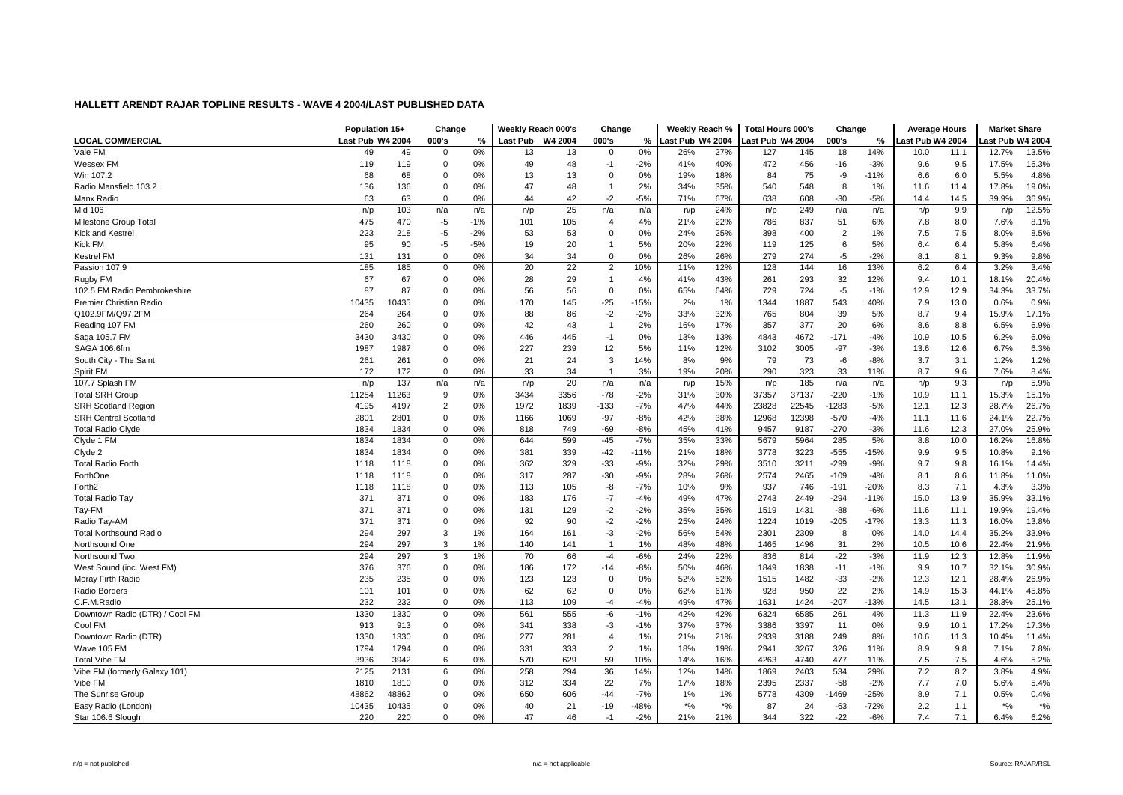| <b>LOCAL COMMERCIAL</b><br>Last Pub W4 2004<br>000's<br>%<br><b>Last Pub</b><br>W4 2004<br>000's<br>%<br>Last Pub W4 2004<br>Last Pub W4 2004<br>000's<br>%<br>ast Pub W4 2004<br>ast Pub W4 2004<br>Vale FM<br>0%<br>13.5%<br>49<br>0%<br>13<br>27%<br>127<br>145<br>18<br>14%<br>12.7%<br>49<br>$\Omega$<br>13<br>$\mathbf 0$<br>26%<br>10.0<br>11.1<br>$\mathbf 0$<br>48<br>40%<br>472<br>119<br>119<br>0%<br>49<br>$-2%$<br>41%<br>456<br>$-16$<br>$-3%$<br>9.6<br>9.5<br>17.5%<br>16.3%<br>Wessex FM<br>-1<br>Win 107.2<br>68<br>68<br>13<br>0%<br>19%<br>18%<br>75<br>$-11%$<br>6.0<br>5.5%<br>4.8%<br>$\mathbf 0$<br>0%<br>13<br>$\Omega$<br>84<br>-9<br>6.6<br>136<br>47<br>48<br>2%<br>34%<br>35%<br>540<br>548<br>1%<br>19.0%<br>Radio Mansfield 103.2<br>136<br>0<br>0%<br>$\overline{1}$<br>8<br>11.6<br>11.4<br>17.8%<br>42<br>$-5%$<br>63<br>63<br>$\mathbf 0$<br>0%<br>$-2$<br>71%<br>67%<br>638<br>$-30$<br>$-5%$<br>14.5<br>39.9%<br>36.9%<br>Manx Radio<br>44<br>608<br>14.4<br>12.5%<br>25<br>24%<br>9.9<br>Mid 106<br>n/p<br>103<br>n/a<br>n/a<br>n/p<br>n/a<br>n/a<br>249<br>n/a<br>n/a<br>n/p<br>n/p<br>n/p<br>n/p<br>475<br>8.1%<br>Milestone Group Total<br>470<br>$-5$<br>$-1%$<br>101<br>105<br>4%<br>21%<br>22%<br>786<br>837<br>51<br>6%<br>7.8<br>8.0<br>7.6%<br>$\overline{4}$<br>25%<br>7.5<br>8.5%<br><b>Kick and Kestrel</b><br>223<br>218<br>$-5$<br>$-2%$<br>53<br>53<br>$\Omega$<br>0%<br>24%<br>398<br>400<br>$\overline{2}$<br>1%<br>7.5<br>8.0%<br>5%<br>22%<br><b>Kick FM</b><br>95<br>90<br>$-5$<br>$-5%$<br>19<br>20<br>20%<br>119<br>125<br>6<br>5%<br>6.4<br>5.8%<br>6.4%<br>6.4<br>0%<br>131<br>131<br>$\mathbf 0$<br>0%<br>34<br>34<br>$\mathbf 0$<br>26%<br>26%<br>279<br>274<br>$-5$<br>$-2%$<br>8.1<br>9.3%<br>9.8%<br>Kestrel FM<br>8.1<br>22<br>185<br>20<br>10%<br>144<br>16<br>3.4%<br>Passion 107.9<br>185<br>0<br>0%<br>$\overline{2}$<br>11%<br>12%<br>128<br>13%<br>6.2<br>6.4<br>3.2%<br>Rugby FM<br>67<br>67<br>$\mathbf 0$<br>29<br>43%<br>32<br>20.4%<br>0%<br>28<br>4%<br>41%<br>261<br>293<br>12%<br>10.1<br>18.1%<br>$\overline{1}$<br>9.4<br>87<br>87<br>56<br>$\overline{0}$<br>0%<br>64%<br>729<br>724<br>$-5$<br>$-1%$<br>12.9<br>34.3%<br>33.7%<br>102.5 FM Radio Pembrokeshire<br>$\mathbf 0$<br>0%<br>56<br>65%<br>12.9<br>10435<br>10435<br>$\Omega$<br>170<br>1887<br>543<br>40%<br>13.0<br>0.9%<br>Premier Christian Radio<br>0%<br>145<br>$-25$<br>$-15%$<br>2%<br>1%<br>1344<br>7.9<br>0.6%<br>Q102.9FM/Q97.2FM<br>88<br>86<br>$-2$<br>$-2%$<br>33%<br>32%<br>804<br>39<br>9.4<br>264<br>264<br>$\Omega$<br>0%<br>765<br>5%<br>8.7<br>15.9%<br>17.1%<br>Reading 107 FM<br>260<br>260<br>$\mathbf 0$<br>0%<br>42<br>43<br>2%<br>16%<br>17%<br>357<br>377<br>20<br>6%<br>8.6<br>8.8<br>6.5%<br>6.9%<br>Saga 105.7 FM<br>3430<br>3430<br>$\mathbf 0$<br>$-1$<br>0%<br>13%<br>13%<br>4843<br>4672<br>$-171$<br>$-4%$<br>10.5<br>6.2%<br>6.0%<br>0%<br>446<br>445<br>10.9<br>6.3%<br>SAGA 106.6fm<br>1987<br>1987<br>0<br>227<br>239<br>12<br>5%<br>11%<br>12%<br>3102<br>3005<br>$-97$<br>$-3%$<br>13.6<br>12.6<br>6.7%<br>0%<br>$\mathbf 0$<br>21<br>24<br>3<br>9%<br>73<br>$-8%$<br>3.1<br>1.2%<br>South City - The Saint<br>261<br>261<br>0%<br>14%<br>8%<br>79<br>-6<br>3.7<br>1.2%<br>172<br>172<br>$\mathbf 0$<br>33<br>34<br>3%<br>19%<br>20%<br>290<br>323<br>11%<br>9.6<br>7.6%<br>8.4%<br>Spirit FM<br>0%<br>33<br>8.7<br>$\overline{1}$<br>107.7 Splash FM<br>20<br>185<br>5.9%<br>137<br>15%<br>9.3<br>n/p<br>n/a<br>n/a<br>n/p<br>n/a<br>n/a<br>n/p<br>n/p<br>n/a<br>n/a<br>n/p<br>n/p<br><b>Total SRH Group</b><br>11254<br>11263<br>9<br>0%<br>3434<br>3356<br>$-78$<br>$-2%$<br>31%<br>30%<br>37357<br>37137<br>$-220$<br>$-1%$<br>10.9<br>11.1<br>15.3%<br>15.1%<br>$\overline{2}$<br>22545<br>$-1283$<br>26.7%<br><b>SRH Scotland Region</b><br>4195<br>4197<br>0%<br>1972<br>1839<br>$-133$<br>$-7%$<br>47%<br>44%<br>23828<br>$-5%$<br>12.1<br>12.3<br>28.7%<br>2801<br>$\mathbf 0$<br>$-97$<br>$-8%$<br>42%<br>38%<br>12968<br>12398<br>$-570$<br>24.1%<br>22.7%<br><b>SRH Central Scotland</b><br>2801<br>0%<br>1166<br>1069<br>$-4%$<br>11.6<br>11.1<br>$-8%$<br>41%<br>$-270$<br>25.9%<br><b>Total Radio Clyde</b><br>1834<br>1834<br>$\Omega$<br>0%<br>818<br>749<br>$-69$<br>45%<br>9457<br>9187<br>$-3%$<br>12.3<br>27.0%<br>11.6<br>Clyde 1 FM<br>$-45$<br>$-7%$<br>33%<br>5964<br>16.8%<br>1834<br>1834<br>0<br>0%<br>644<br>599<br>35%<br>5679<br>285<br>5%<br>8.8<br>10.0<br>16.2%<br>$-555$<br>1834<br>1834<br>$\mathbf 0$<br>381<br>339<br>$-42$<br>21%<br>18%<br>3778<br>3223<br>$-15%$<br>9.5<br>10.8%<br>9.1%<br>Clyde 2<br>0%<br>$-11%$<br>9.9<br>14.4%<br><b>Total Radio Forth</b><br>1118<br>1118<br>$\mathbf 0$<br>0%<br>362<br>329<br>$-33$<br>$-9%$<br>32%<br>29%<br>3510<br>3211<br>$-299$<br>$-9%$<br>9.7<br>9.8<br>16.1%<br>11.0%<br>ForthOne<br>1118<br>1118<br>$\mathbf 0$<br>0%<br>317<br>287<br>$-30$<br>$-9%$<br>28%<br>26%<br>2574<br>2465<br>$-109$<br>$-4%$<br>8.1<br>8.6<br>11.8%<br>7.1<br>Forth <sub>2</sub><br>$\Omega$<br>0%<br>113<br>105<br>-8<br>$-7%$<br>10%<br>9%<br>937<br>$-191$<br>8.3<br>4.3%<br>3.3%<br>1118<br>1118<br>746<br>$-20%$<br>$-4%$<br>47%<br>33.1%<br>371<br>371<br>$\mathbf 0$<br>0%<br>183<br>176<br>$-7$<br>49%<br>2743<br>2449<br>$-294$<br>$-11%$<br>15.0<br>13.9<br>35.9%<br><b>Total Radio Tay</b><br>371<br>$-2$<br>$-2%$<br>35%<br>35%<br>19.9%<br>19.4%<br>Tay-FM<br>371<br>0<br>0%<br>131<br>129<br>1519<br>1431<br>$-88$<br>$-6%$<br>11.6<br>11.1<br>$-2$<br>371<br>371<br>$\pmb{0}$<br>90<br>$-2%$<br>24%<br>$-205$<br>$-17%$<br>11.3<br>13.8%<br>Radio Tay-AM<br>0%<br>92<br>25%<br>1224<br>1019<br>13.3<br>16.0%<br>294<br>$-2%$<br>33.9%<br><b>Total Northsound Radio</b><br>297<br>3<br>164<br>161<br>-3<br>56%<br>54%<br>2301<br>2309<br>8<br>0%<br>14.4<br>35.2%<br>1%<br>14.0<br>3<br>Northsound One<br>294<br>297<br>1%<br>140<br>141<br>$\overline{1}$<br>1%<br>48%<br>48%<br>1465<br>1496<br>31<br>2%<br>10.5<br>10.6<br>22.4%<br>21.9%<br>294<br>297<br>70<br>66<br>$-6%$<br>22%<br>$-22$<br>$-3%$<br>12.3<br>11.9%<br>3<br>1%<br>24%<br>836<br>814<br>11.9<br>12.8%<br>Northsound Two<br>$-4$<br>376<br>$\mathbf 0$<br>172<br>46%<br>30.9%<br>376<br>0%<br>186<br>50%<br>1849<br>1838<br>$-11$<br>$-1%$<br>9.9<br>10.7<br>32.1%<br>West Sound (inc. West FM)<br>$-14$<br>$-8%$<br>235<br>235<br>$\mathbf 0$<br>123<br>123<br>0%<br>52%<br>52%<br>1482<br>$-33$<br>$-2%$<br>12.3<br>12.1<br>28.4%<br>26.9%<br>Moray Firth Radio<br>0%<br>$\overline{0}$<br>1515<br>Radio Borders<br>101<br>$\mathbf 0$<br>0%<br>62<br>62<br>$\overline{0}$<br>0%<br>62%<br>61%<br>928<br>950<br>22<br>2%<br>14.9<br>15.3<br>44.1%<br>45.8%<br>101<br>$\Omega$<br>47%<br>$-207$<br>C.F.M.Radio<br>232<br>232<br>0%<br>113<br>109<br>$-4$<br>$-4%$<br>49%<br>1424<br>$-13%$<br>13.1<br>28.3%<br>25.1%<br>1631<br>14.5<br>Downtown Radio (DTR) / Cool FM<br>1330<br>1330<br>0%<br>561<br>555<br>-6<br>$-1%$<br>42%<br>42%<br>6324<br>6585<br>261<br>4%<br>11.9<br>22.4%<br>23.6%<br>0<br>11.3<br>Cool FM<br>17.3%<br>913<br>913<br>0<br>0%<br>341<br>338<br>-3<br>$-1%$<br>37%<br>37%<br>3386<br>3397<br>11<br>$0\%$<br>9.9<br>10.1<br>17.2%<br>277<br>1%<br>11.4%<br>Downtown Radio (DTR)<br>1330<br>1330<br>$\mathbf 0$<br>0%<br>281<br>$\overline{4}$<br>21%<br>21%<br>2939<br>3188<br>249<br>8%<br>10.6<br>11.3<br>10.4%<br>$\overline{2}$<br>$\mathbf 0$<br>331<br>1%<br>19%<br>9.8<br>7.1%<br>7.8%<br>Wave 105 FM<br>1794<br>1794<br>0%<br>333<br>18%<br>2941<br>3267<br>326<br>11%<br>8.9<br>59<br>7.5<br><b>Total Vibe FM</b><br>3936<br>3942<br>6<br>0%<br>570<br>629<br>10%<br>14%<br>16%<br>4263<br>4740<br>477<br>11%<br>7.5<br>4.6%<br>5.2%<br>14%<br>14%<br>534<br>29%<br>7.2<br>8.2<br>4.9%<br>Vibe FM (formerly Galaxy 101)<br>2125<br>2131<br>6<br>0%<br>258<br>294<br>36<br>12%<br>1869<br>2403<br>3.8%<br>Vibe FM<br>1810<br>1810<br>$\mathbf 0$<br>0%<br>312<br>334<br>22<br>7%<br>17%<br>18%<br>2395<br>2337<br>$-58$<br>$-2%$<br>7.7<br>7.0<br>5.6%<br>5.4%<br>650<br>$-7%$<br>4309<br>7.1<br>0.4%<br>The Sunrise Group<br>48862<br>48862<br>$\mathbf 0$<br>606<br>$-44$<br>1%<br>1%<br>5778<br>1469<br>$-25%$<br>8.9<br>0.5%<br>0%<br>10435<br>10435<br>$\mathbf 0$<br>21<br>$-48%$<br>$*9/6$<br>$*$ %<br>24<br>$-63$<br>$-72%$<br>$*9/6$<br>$*9/6$<br>Easy Radio (London)<br>0%<br>40<br>$-19$<br>87<br>2.2<br>1.1<br>Star 106.6 Slough<br>$\Omega$<br>0%<br>47<br>46<br>$-2%$<br>21%<br>21%<br>344<br>322<br>$-22$<br>$-6%$<br>7.4<br>7.1<br>6.4%<br>6.2%<br>220<br>220<br>$-1$ | Population 15+ | Change | Weekly Reach 000's | Change | Weekly Reach % | <b>Total Hours 000's</b> | Change | <b>Average Hours</b> | <b>Market Share</b> |  |
|-----------------------------------------------------------------------------------------------------------------------------------------------------------------------------------------------------------------------------------------------------------------------------------------------------------------------------------------------------------------------------------------------------------------------------------------------------------------------------------------------------------------------------------------------------------------------------------------------------------------------------------------------------------------------------------------------------------------------------------------------------------------------------------------------------------------------------------------------------------------------------------------------------------------------------------------------------------------------------------------------------------------------------------------------------------------------------------------------------------------------------------------------------------------------------------------------------------------------------------------------------------------------------------------------------------------------------------------------------------------------------------------------------------------------------------------------------------------------------------------------------------------------------------------------------------------------------------------------------------------------------------------------------------------------------------------------------------------------------------------------------------------------------------------------------------------------------------------------------------------------------------------------------------------------------------------------------------------------------------------------------------------------------------------------------------------------------------------------------------------------------------------------------------------------------------------------------------------------------------------------------------------------------------------------------------------------------------------------------------------------------------------------------------------------------------------------------------------------------------------------------------------------------------------------------------------------------------------------------------------------------------------------------------------------------------------------------------------------------------------------------------------------------------------------------------------------------------------------------------------------------------------------------------------------------------------------------------------------------------------------------------------------------------------------------------------------------------------------------------------------------------------------------------------------------------------------------------------------------------------------------------------------------------------------------------------------------------------------------------------------------------------------------------------------------------------------------------------------------------------------------------------------------------------------------------------------------------------------------------------------------------------------------------------------------------------------------------------------------------------------------------------------------------------------------------------------------------------------------------------------------------------------------------------------------------------------------------------------------------------------------------------------------------------------------------------------------------------------------------------------------------------------------------------------------------------------------------------------------------------------------------------------------------------------------------------------------------------------------------------------------------------------------------------------------------------------------------------------------------------------------------------------------------------------------------------------------------------------------------------------------------------------------------------------------------------------------------------------------------------------------------------------------------------------------------------------------------------------------------------------------------------------------------------------------------------------------------------------------------------------------------------------------------------------------------------------------------------------------------------------------------------------------------------------------------------------------------------------------------------------------------------------------------------------------------------------------------------------------------------------------------------------------------------------------------------------------------------------------------------------------------------------------------------------------------------------------------------------------------------------------------------------------------------------------------------------------------------------------------------------------------------------------------------------------------------------------------------------------------------------------------------------------------------------------------------------------------------------------------------------------------------------------------------------------------------------------------------------------------------------------------------------------------------------------------------------------------------------------------------------------------------------------------------------------------------------------------------------------------------------------------------------------------------------------------------------------------------------------------------------------------------------------------------------------------------------------------------------------------------------------------------------------------------------------------------------------------------------------------------------------------------------------------------------------------------------------------------------------------------------------------------------------------------------------------------------------------------------------------------------------------------------------------------------------------------------------------------------------------------------------------------------------------------------------------------------------------------------------------------------------------------------------------------------------------------------------------------------------------------------------------------------------------------------------------------------------------------------------------------------------------------------------------------------------------------------------------------------------------------------------------------------------------------------------------------------------------------------------------------------------------------------------------------------------------------------------------------------------------------------------------------------------------------------------------------------------------------------------------------------------------------------------------------------------------------------------------------------------------------------------------------------------------------------------------------------------------------------------------------------------------------------------------------------------------------------------------------------------------------------------------------------------------------------------------------------------------------------------------------------------------------------------------------------------------------------|----------------|--------|--------------------|--------|----------------|--------------------------|--------|----------------------|---------------------|--|
|                                                                                                                                                                                                                                                                                                                                                                                                                                                                                                                                                                                                                                                                                                                                                                                                                                                                                                                                                                                                                                                                                                                                                                                                                                                                                                                                                                                                                                                                                                                                                                                                                                                                                                                                                                                                                                                                                                                                                                                                                                                                                                                                                                                                                                                                                                                                                                                                                                                                                                                                                                                                                                                                                                                                                                                                                                                                                                                                                                                                                                                                                                                                                                                                                                                                                                                                                                                                                                                                                                                                                                                                                                                                                                                                                                                                                                                                                                                                                                                                                                                                                                                                                                                                                                                                                                                                                                                                                                                                                                                                                                                                                                                                                                                                                                                                                                                                                                                                                                                                                                                                                                                                                                                                                                                                                                                                                                                                                                                                                                                                                                                                                                                                                                                                                                                                                                                                                                                                                                                                                                                                                                                                                                                                                                                                                                                                                                                                                                                                                                                                                                                                                                                                                                                                                                                                                                                                                                                                                                                                                                                                                                                                                                                                                                                                                                                                                                                                                                                                                                                                                                                                                                                                                                                                                                                                                                                                                                                                                                                                                                                                                                                                                                                                                                                                                                                                                                                                                                                                                                                                                                       |                |        |                    |        |                |                          |        |                      |                     |  |
|                                                                                                                                                                                                                                                                                                                                                                                                                                                                                                                                                                                                                                                                                                                                                                                                                                                                                                                                                                                                                                                                                                                                                                                                                                                                                                                                                                                                                                                                                                                                                                                                                                                                                                                                                                                                                                                                                                                                                                                                                                                                                                                                                                                                                                                                                                                                                                                                                                                                                                                                                                                                                                                                                                                                                                                                                                                                                                                                                                                                                                                                                                                                                                                                                                                                                                                                                                                                                                                                                                                                                                                                                                                                                                                                                                                                                                                                                                                                                                                                                                                                                                                                                                                                                                                                                                                                                                                                                                                                                                                                                                                                                                                                                                                                                                                                                                                                                                                                                                                                                                                                                                                                                                                                                                                                                                                                                                                                                                                                                                                                                                                                                                                                                                                                                                                                                                                                                                                                                                                                                                                                                                                                                                                                                                                                                                                                                                                                                                                                                                                                                                                                                                                                                                                                                                                                                                                                                                                                                                                                                                                                                                                                                                                                                                                                                                                                                                                                                                                                                                                                                                                                                                                                                                                                                                                                                                                                                                                                                                                                                                                                                                                                                                                                                                                                                                                                                                                                                                                                                                                                                                       |                |        |                    |        |                |                          |        |                      |                     |  |
|                                                                                                                                                                                                                                                                                                                                                                                                                                                                                                                                                                                                                                                                                                                                                                                                                                                                                                                                                                                                                                                                                                                                                                                                                                                                                                                                                                                                                                                                                                                                                                                                                                                                                                                                                                                                                                                                                                                                                                                                                                                                                                                                                                                                                                                                                                                                                                                                                                                                                                                                                                                                                                                                                                                                                                                                                                                                                                                                                                                                                                                                                                                                                                                                                                                                                                                                                                                                                                                                                                                                                                                                                                                                                                                                                                                                                                                                                                                                                                                                                                                                                                                                                                                                                                                                                                                                                                                                                                                                                                                                                                                                                                                                                                                                                                                                                                                                                                                                                                                                                                                                                                                                                                                                                                                                                                                                                                                                                                                                                                                                                                                                                                                                                                                                                                                                                                                                                                                                                                                                                                                                                                                                                                                                                                                                                                                                                                                                                                                                                                                                                                                                                                                                                                                                                                                                                                                                                                                                                                                                                                                                                                                                                                                                                                                                                                                                                                                                                                                                                                                                                                                                                                                                                                                                                                                                                                                                                                                                                                                                                                                                                                                                                                                                                                                                                                                                                                                                                                                                                                                                                                       |                |        |                    |        |                |                          |        |                      |                     |  |
|                                                                                                                                                                                                                                                                                                                                                                                                                                                                                                                                                                                                                                                                                                                                                                                                                                                                                                                                                                                                                                                                                                                                                                                                                                                                                                                                                                                                                                                                                                                                                                                                                                                                                                                                                                                                                                                                                                                                                                                                                                                                                                                                                                                                                                                                                                                                                                                                                                                                                                                                                                                                                                                                                                                                                                                                                                                                                                                                                                                                                                                                                                                                                                                                                                                                                                                                                                                                                                                                                                                                                                                                                                                                                                                                                                                                                                                                                                                                                                                                                                                                                                                                                                                                                                                                                                                                                                                                                                                                                                                                                                                                                                                                                                                                                                                                                                                                                                                                                                                                                                                                                                                                                                                                                                                                                                                                                                                                                                                                                                                                                                                                                                                                                                                                                                                                                                                                                                                                                                                                                                                                                                                                                                                                                                                                                                                                                                                                                                                                                                                                                                                                                                                                                                                                                                                                                                                                                                                                                                                                                                                                                                                                                                                                                                                                                                                                                                                                                                                                                                                                                                                                                                                                                                                                                                                                                                                                                                                                                                                                                                                                                                                                                                                                                                                                                                                                                                                                                                                                                                                                                                       |                |        |                    |        |                |                          |        |                      |                     |  |
|                                                                                                                                                                                                                                                                                                                                                                                                                                                                                                                                                                                                                                                                                                                                                                                                                                                                                                                                                                                                                                                                                                                                                                                                                                                                                                                                                                                                                                                                                                                                                                                                                                                                                                                                                                                                                                                                                                                                                                                                                                                                                                                                                                                                                                                                                                                                                                                                                                                                                                                                                                                                                                                                                                                                                                                                                                                                                                                                                                                                                                                                                                                                                                                                                                                                                                                                                                                                                                                                                                                                                                                                                                                                                                                                                                                                                                                                                                                                                                                                                                                                                                                                                                                                                                                                                                                                                                                                                                                                                                                                                                                                                                                                                                                                                                                                                                                                                                                                                                                                                                                                                                                                                                                                                                                                                                                                                                                                                                                                                                                                                                                                                                                                                                                                                                                                                                                                                                                                                                                                                                                                                                                                                                                                                                                                                                                                                                                                                                                                                                                                                                                                                                                                                                                                                                                                                                                                                                                                                                                                                                                                                                                                                                                                                                                                                                                                                                                                                                                                                                                                                                                                                                                                                                                                                                                                                                                                                                                                                                                                                                                                                                                                                                                                                                                                                                                                                                                                                                                                                                                                                                       |                |        |                    |        |                |                          |        |                      |                     |  |
|                                                                                                                                                                                                                                                                                                                                                                                                                                                                                                                                                                                                                                                                                                                                                                                                                                                                                                                                                                                                                                                                                                                                                                                                                                                                                                                                                                                                                                                                                                                                                                                                                                                                                                                                                                                                                                                                                                                                                                                                                                                                                                                                                                                                                                                                                                                                                                                                                                                                                                                                                                                                                                                                                                                                                                                                                                                                                                                                                                                                                                                                                                                                                                                                                                                                                                                                                                                                                                                                                                                                                                                                                                                                                                                                                                                                                                                                                                                                                                                                                                                                                                                                                                                                                                                                                                                                                                                                                                                                                                                                                                                                                                                                                                                                                                                                                                                                                                                                                                                                                                                                                                                                                                                                                                                                                                                                                                                                                                                                                                                                                                                                                                                                                                                                                                                                                                                                                                                                                                                                                                                                                                                                                                                                                                                                                                                                                                                                                                                                                                                                                                                                                                                                                                                                                                                                                                                                                                                                                                                                                                                                                                                                                                                                                                                                                                                                                                                                                                                                                                                                                                                                                                                                                                                                                                                                                                                                                                                                                                                                                                                                                                                                                                                                                                                                                                                                                                                                                                                                                                                                                                       |                |        |                    |        |                |                          |        |                      |                     |  |
|                                                                                                                                                                                                                                                                                                                                                                                                                                                                                                                                                                                                                                                                                                                                                                                                                                                                                                                                                                                                                                                                                                                                                                                                                                                                                                                                                                                                                                                                                                                                                                                                                                                                                                                                                                                                                                                                                                                                                                                                                                                                                                                                                                                                                                                                                                                                                                                                                                                                                                                                                                                                                                                                                                                                                                                                                                                                                                                                                                                                                                                                                                                                                                                                                                                                                                                                                                                                                                                                                                                                                                                                                                                                                                                                                                                                                                                                                                                                                                                                                                                                                                                                                                                                                                                                                                                                                                                                                                                                                                                                                                                                                                                                                                                                                                                                                                                                                                                                                                                                                                                                                                                                                                                                                                                                                                                                                                                                                                                                                                                                                                                                                                                                                                                                                                                                                                                                                                                                                                                                                                                                                                                                                                                                                                                                                                                                                                                                                                                                                                                                                                                                                                                                                                                                                                                                                                                                                                                                                                                                                                                                                                                                                                                                                                                                                                                                                                                                                                                                                                                                                                                                                                                                                                                                                                                                                                                                                                                                                                                                                                                                                                                                                                                                                                                                                                                                                                                                                                                                                                                                                                       |                |        |                    |        |                |                          |        |                      |                     |  |
|                                                                                                                                                                                                                                                                                                                                                                                                                                                                                                                                                                                                                                                                                                                                                                                                                                                                                                                                                                                                                                                                                                                                                                                                                                                                                                                                                                                                                                                                                                                                                                                                                                                                                                                                                                                                                                                                                                                                                                                                                                                                                                                                                                                                                                                                                                                                                                                                                                                                                                                                                                                                                                                                                                                                                                                                                                                                                                                                                                                                                                                                                                                                                                                                                                                                                                                                                                                                                                                                                                                                                                                                                                                                                                                                                                                                                                                                                                                                                                                                                                                                                                                                                                                                                                                                                                                                                                                                                                                                                                                                                                                                                                                                                                                                                                                                                                                                                                                                                                                                                                                                                                                                                                                                                                                                                                                                                                                                                                                                                                                                                                                                                                                                                                                                                                                                                                                                                                                                                                                                                                                                                                                                                                                                                                                                                                                                                                                                                                                                                                                                                                                                                                                                                                                                                                                                                                                                                                                                                                                                                                                                                                                                                                                                                                                                                                                                                                                                                                                                                                                                                                                                                                                                                                                                                                                                                                                                                                                                                                                                                                                                                                                                                                                                                                                                                                                                                                                                                                                                                                                                                                       |                |        |                    |        |                |                          |        |                      |                     |  |
|                                                                                                                                                                                                                                                                                                                                                                                                                                                                                                                                                                                                                                                                                                                                                                                                                                                                                                                                                                                                                                                                                                                                                                                                                                                                                                                                                                                                                                                                                                                                                                                                                                                                                                                                                                                                                                                                                                                                                                                                                                                                                                                                                                                                                                                                                                                                                                                                                                                                                                                                                                                                                                                                                                                                                                                                                                                                                                                                                                                                                                                                                                                                                                                                                                                                                                                                                                                                                                                                                                                                                                                                                                                                                                                                                                                                                                                                                                                                                                                                                                                                                                                                                                                                                                                                                                                                                                                                                                                                                                                                                                                                                                                                                                                                                                                                                                                                                                                                                                                                                                                                                                                                                                                                                                                                                                                                                                                                                                                                                                                                                                                                                                                                                                                                                                                                                                                                                                                                                                                                                                                                                                                                                                                                                                                                                                                                                                                                                                                                                                                                                                                                                                                                                                                                                                                                                                                                                                                                                                                                                                                                                                                                                                                                                                                                                                                                                                                                                                                                                                                                                                                                                                                                                                                                                                                                                                                                                                                                                                                                                                                                                                                                                                                                                                                                                                                                                                                                                                                                                                                                                                       |                |        |                    |        |                |                          |        |                      |                     |  |
|                                                                                                                                                                                                                                                                                                                                                                                                                                                                                                                                                                                                                                                                                                                                                                                                                                                                                                                                                                                                                                                                                                                                                                                                                                                                                                                                                                                                                                                                                                                                                                                                                                                                                                                                                                                                                                                                                                                                                                                                                                                                                                                                                                                                                                                                                                                                                                                                                                                                                                                                                                                                                                                                                                                                                                                                                                                                                                                                                                                                                                                                                                                                                                                                                                                                                                                                                                                                                                                                                                                                                                                                                                                                                                                                                                                                                                                                                                                                                                                                                                                                                                                                                                                                                                                                                                                                                                                                                                                                                                                                                                                                                                                                                                                                                                                                                                                                                                                                                                                                                                                                                                                                                                                                                                                                                                                                                                                                                                                                                                                                                                                                                                                                                                                                                                                                                                                                                                                                                                                                                                                                                                                                                                                                                                                                                                                                                                                                                                                                                                                                                                                                                                                                                                                                                                                                                                                                                                                                                                                                                                                                                                                                                                                                                                                                                                                                                                                                                                                                                                                                                                                                                                                                                                                                                                                                                                                                                                                                                                                                                                                                                                                                                                                                                                                                                                                                                                                                                                                                                                                                                                       |                |        |                    |        |                |                          |        |                      |                     |  |
|                                                                                                                                                                                                                                                                                                                                                                                                                                                                                                                                                                                                                                                                                                                                                                                                                                                                                                                                                                                                                                                                                                                                                                                                                                                                                                                                                                                                                                                                                                                                                                                                                                                                                                                                                                                                                                                                                                                                                                                                                                                                                                                                                                                                                                                                                                                                                                                                                                                                                                                                                                                                                                                                                                                                                                                                                                                                                                                                                                                                                                                                                                                                                                                                                                                                                                                                                                                                                                                                                                                                                                                                                                                                                                                                                                                                                                                                                                                                                                                                                                                                                                                                                                                                                                                                                                                                                                                                                                                                                                                                                                                                                                                                                                                                                                                                                                                                                                                                                                                                                                                                                                                                                                                                                                                                                                                                                                                                                                                                                                                                                                                                                                                                                                                                                                                                                                                                                                                                                                                                                                                                                                                                                                                                                                                                                                                                                                                                                                                                                                                                                                                                                                                                                                                                                                                                                                                                                                                                                                                                                                                                                                                                                                                                                                                                                                                                                                                                                                                                                                                                                                                                                                                                                                                                                                                                                                                                                                                                                                                                                                                                                                                                                                                                                                                                                                                                                                                                                                                                                                                                                                       |                |        |                    |        |                |                          |        |                      |                     |  |
|                                                                                                                                                                                                                                                                                                                                                                                                                                                                                                                                                                                                                                                                                                                                                                                                                                                                                                                                                                                                                                                                                                                                                                                                                                                                                                                                                                                                                                                                                                                                                                                                                                                                                                                                                                                                                                                                                                                                                                                                                                                                                                                                                                                                                                                                                                                                                                                                                                                                                                                                                                                                                                                                                                                                                                                                                                                                                                                                                                                                                                                                                                                                                                                                                                                                                                                                                                                                                                                                                                                                                                                                                                                                                                                                                                                                                                                                                                                                                                                                                                                                                                                                                                                                                                                                                                                                                                                                                                                                                                                                                                                                                                                                                                                                                                                                                                                                                                                                                                                                                                                                                                                                                                                                                                                                                                                                                                                                                                                                                                                                                                                                                                                                                                                                                                                                                                                                                                                                                                                                                                                                                                                                                                                                                                                                                                                                                                                                                                                                                                                                                                                                                                                                                                                                                                                                                                                                                                                                                                                                                                                                                                                                                                                                                                                                                                                                                                                                                                                                                                                                                                                                                                                                                                                                                                                                                                                                                                                                                                                                                                                                                                                                                                                                                                                                                                                                                                                                                                                                                                                                                                       |                |        |                    |        |                |                          |        |                      |                     |  |
|                                                                                                                                                                                                                                                                                                                                                                                                                                                                                                                                                                                                                                                                                                                                                                                                                                                                                                                                                                                                                                                                                                                                                                                                                                                                                                                                                                                                                                                                                                                                                                                                                                                                                                                                                                                                                                                                                                                                                                                                                                                                                                                                                                                                                                                                                                                                                                                                                                                                                                                                                                                                                                                                                                                                                                                                                                                                                                                                                                                                                                                                                                                                                                                                                                                                                                                                                                                                                                                                                                                                                                                                                                                                                                                                                                                                                                                                                                                                                                                                                                                                                                                                                                                                                                                                                                                                                                                                                                                                                                                                                                                                                                                                                                                                                                                                                                                                                                                                                                                                                                                                                                                                                                                                                                                                                                                                                                                                                                                                                                                                                                                                                                                                                                                                                                                                                                                                                                                                                                                                                                                                                                                                                                                                                                                                                                                                                                                                                                                                                                                                                                                                                                                                                                                                                                                                                                                                                                                                                                                                                                                                                                                                                                                                                                                                                                                                                                                                                                                                                                                                                                                                                                                                                                                                                                                                                                                                                                                                                                                                                                                                                                                                                                                                                                                                                                                                                                                                                                                                                                                                                                       |                |        |                    |        |                |                          |        |                      |                     |  |
|                                                                                                                                                                                                                                                                                                                                                                                                                                                                                                                                                                                                                                                                                                                                                                                                                                                                                                                                                                                                                                                                                                                                                                                                                                                                                                                                                                                                                                                                                                                                                                                                                                                                                                                                                                                                                                                                                                                                                                                                                                                                                                                                                                                                                                                                                                                                                                                                                                                                                                                                                                                                                                                                                                                                                                                                                                                                                                                                                                                                                                                                                                                                                                                                                                                                                                                                                                                                                                                                                                                                                                                                                                                                                                                                                                                                                                                                                                                                                                                                                                                                                                                                                                                                                                                                                                                                                                                                                                                                                                                                                                                                                                                                                                                                                                                                                                                                                                                                                                                                                                                                                                                                                                                                                                                                                                                                                                                                                                                                                                                                                                                                                                                                                                                                                                                                                                                                                                                                                                                                                                                                                                                                                                                                                                                                                                                                                                                                                                                                                                                                                                                                                                                                                                                                                                                                                                                                                                                                                                                                                                                                                                                                                                                                                                                                                                                                                                                                                                                                                                                                                                                                                                                                                                                                                                                                                                                                                                                                                                                                                                                                                                                                                                                                                                                                                                                                                                                                                                                                                                                                                                       |                |        |                    |        |                |                          |        |                      |                     |  |
|                                                                                                                                                                                                                                                                                                                                                                                                                                                                                                                                                                                                                                                                                                                                                                                                                                                                                                                                                                                                                                                                                                                                                                                                                                                                                                                                                                                                                                                                                                                                                                                                                                                                                                                                                                                                                                                                                                                                                                                                                                                                                                                                                                                                                                                                                                                                                                                                                                                                                                                                                                                                                                                                                                                                                                                                                                                                                                                                                                                                                                                                                                                                                                                                                                                                                                                                                                                                                                                                                                                                                                                                                                                                                                                                                                                                                                                                                                                                                                                                                                                                                                                                                                                                                                                                                                                                                                                                                                                                                                                                                                                                                                                                                                                                                                                                                                                                                                                                                                                                                                                                                                                                                                                                                                                                                                                                                                                                                                                                                                                                                                                                                                                                                                                                                                                                                                                                                                                                                                                                                                                                                                                                                                                                                                                                                                                                                                                                                                                                                                                                                                                                                                                                                                                                                                                                                                                                                                                                                                                                                                                                                                                                                                                                                                                                                                                                                                                                                                                                                                                                                                                                                                                                                                                                                                                                                                                                                                                                                                                                                                                                                                                                                                                                                                                                                                                                                                                                                                                                                                                                                                       |                |        |                    |        |                |                          |        |                      |                     |  |
|                                                                                                                                                                                                                                                                                                                                                                                                                                                                                                                                                                                                                                                                                                                                                                                                                                                                                                                                                                                                                                                                                                                                                                                                                                                                                                                                                                                                                                                                                                                                                                                                                                                                                                                                                                                                                                                                                                                                                                                                                                                                                                                                                                                                                                                                                                                                                                                                                                                                                                                                                                                                                                                                                                                                                                                                                                                                                                                                                                                                                                                                                                                                                                                                                                                                                                                                                                                                                                                                                                                                                                                                                                                                                                                                                                                                                                                                                                                                                                                                                                                                                                                                                                                                                                                                                                                                                                                                                                                                                                                                                                                                                                                                                                                                                                                                                                                                                                                                                                                                                                                                                                                                                                                                                                                                                                                                                                                                                                                                                                                                                                                                                                                                                                                                                                                                                                                                                                                                                                                                                                                                                                                                                                                                                                                                                                                                                                                                                                                                                                                                                                                                                                                                                                                                                                                                                                                                                                                                                                                                                                                                                                                                                                                                                                                                                                                                                                                                                                                                                                                                                                                                                                                                                                                                                                                                                                                                                                                                                                                                                                                                                                                                                                                                                                                                                                                                                                                                                                                                                                                                                                       |                |        |                    |        |                |                          |        |                      |                     |  |
|                                                                                                                                                                                                                                                                                                                                                                                                                                                                                                                                                                                                                                                                                                                                                                                                                                                                                                                                                                                                                                                                                                                                                                                                                                                                                                                                                                                                                                                                                                                                                                                                                                                                                                                                                                                                                                                                                                                                                                                                                                                                                                                                                                                                                                                                                                                                                                                                                                                                                                                                                                                                                                                                                                                                                                                                                                                                                                                                                                                                                                                                                                                                                                                                                                                                                                                                                                                                                                                                                                                                                                                                                                                                                                                                                                                                                                                                                                                                                                                                                                                                                                                                                                                                                                                                                                                                                                                                                                                                                                                                                                                                                                                                                                                                                                                                                                                                                                                                                                                                                                                                                                                                                                                                                                                                                                                                                                                                                                                                                                                                                                                                                                                                                                                                                                                                                                                                                                                                                                                                                                                                                                                                                                                                                                                                                                                                                                                                                                                                                                                                                                                                                                                                                                                                                                                                                                                                                                                                                                                                                                                                                                                                                                                                                                                                                                                                                                                                                                                                                                                                                                                                                                                                                                                                                                                                                                                                                                                                                                                                                                                                                                                                                                                                                                                                                                                                                                                                                                                                                                                                                                       |                |        |                    |        |                |                          |        |                      |                     |  |
|                                                                                                                                                                                                                                                                                                                                                                                                                                                                                                                                                                                                                                                                                                                                                                                                                                                                                                                                                                                                                                                                                                                                                                                                                                                                                                                                                                                                                                                                                                                                                                                                                                                                                                                                                                                                                                                                                                                                                                                                                                                                                                                                                                                                                                                                                                                                                                                                                                                                                                                                                                                                                                                                                                                                                                                                                                                                                                                                                                                                                                                                                                                                                                                                                                                                                                                                                                                                                                                                                                                                                                                                                                                                                                                                                                                                                                                                                                                                                                                                                                                                                                                                                                                                                                                                                                                                                                                                                                                                                                                                                                                                                                                                                                                                                                                                                                                                                                                                                                                                                                                                                                                                                                                                                                                                                                                                                                                                                                                                                                                                                                                                                                                                                                                                                                                                                                                                                                                                                                                                                                                                                                                                                                                                                                                                                                                                                                                                                                                                                                                                                                                                                                                                                                                                                                                                                                                                                                                                                                                                                                                                                                                                                                                                                                                                                                                                                                                                                                                                                                                                                                                                                                                                                                                                                                                                                                                                                                                                                                                                                                                                                                                                                                                                                                                                                                                                                                                                                                                                                                                                                                       |                |        |                    |        |                |                          |        |                      |                     |  |
|                                                                                                                                                                                                                                                                                                                                                                                                                                                                                                                                                                                                                                                                                                                                                                                                                                                                                                                                                                                                                                                                                                                                                                                                                                                                                                                                                                                                                                                                                                                                                                                                                                                                                                                                                                                                                                                                                                                                                                                                                                                                                                                                                                                                                                                                                                                                                                                                                                                                                                                                                                                                                                                                                                                                                                                                                                                                                                                                                                                                                                                                                                                                                                                                                                                                                                                                                                                                                                                                                                                                                                                                                                                                                                                                                                                                                                                                                                                                                                                                                                                                                                                                                                                                                                                                                                                                                                                                                                                                                                                                                                                                                                                                                                                                                                                                                                                                                                                                                                                                                                                                                                                                                                                                                                                                                                                                                                                                                                                                                                                                                                                                                                                                                                                                                                                                                                                                                                                                                                                                                                                                                                                                                                                                                                                                                                                                                                                                                                                                                                                                                                                                                                                                                                                                                                                                                                                                                                                                                                                                                                                                                                                                                                                                                                                                                                                                                                                                                                                                                                                                                                                                                                                                                                                                                                                                                                                                                                                                                                                                                                                                                                                                                                                                                                                                                                                                                                                                                                                                                                                                                                       |                |        |                    |        |                |                          |        |                      |                     |  |
|                                                                                                                                                                                                                                                                                                                                                                                                                                                                                                                                                                                                                                                                                                                                                                                                                                                                                                                                                                                                                                                                                                                                                                                                                                                                                                                                                                                                                                                                                                                                                                                                                                                                                                                                                                                                                                                                                                                                                                                                                                                                                                                                                                                                                                                                                                                                                                                                                                                                                                                                                                                                                                                                                                                                                                                                                                                                                                                                                                                                                                                                                                                                                                                                                                                                                                                                                                                                                                                                                                                                                                                                                                                                                                                                                                                                                                                                                                                                                                                                                                                                                                                                                                                                                                                                                                                                                                                                                                                                                                                                                                                                                                                                                                                                                                                                                                                                                                                                                                                                                                                                                                                                                                                                                                                                                                                                                                                                                                                                                                                                                                                                                                                                                                                                                                                                                                                                                                                                                                                                                                                                                                                                                                                                                                                                                                                                                                                                                                                                                                                                                                                                                                                                                                                                                                                                                                                                                                                                                                                                                                                                                                                                                                                                                                                                                                                                                                                                                                                                                                                                                                                                                                                                                                                                                                                                                                                                                                                                                                                                                                                                                                                                                                                                                                                                                                                                                                                                                                                                                                                                                                       |                |        |                    |        |                |                          |        |                      |                     |  |
|                                                                                                                                                                                                                                                                                                                                                                                                                                                                                                                                                                                                                                                                                                                                                                                                                                                                                                                                                                                                                                                                                                                                                                                                                                                                                                                                                                                                                                                                                                                                                                                                                                                                                                                                                                                                                                                                                                                                                                                                                                                                                                                                                                                                                                                                                                                                                                                                                                                                                                                                                                                                                                                                                                                                                                                                                                                                                                                                                                                                                                                                                                                                                                                                                                                                                                                                                                                                                                                                                                                                                                                                                                                                                                                                                                                                                                                                                                                                                                                                                                                                                                                                                                                                                                                                                                                                                                                                                                                                                                                                                                                                                                                                                                                                                                                                                                                                                                                                                                                                                                                                                                                                                                                                                                                                                                                                                                                                                                                                                                                                                                                                                                                                                                                                                                                                                                                                                                                                                                                                                                                                                                                                                                                                                                                                                                                                                                                                                                                                                                                                                                                                                                                                                                                                                                                                                                                                                                                                                                                                                                                                                                                                                                                                                                                                                                                                                                                                                                                                                                                                                                                                                                                                                                                                                                                                                                                                                                                                                                                                                                                                                                                                                                                                                                                                                                                                                                                                                                                                                                                                                                       |                |        |                    |        |                |                          |        |                      |                     |  |
|                                                                                                                                                                                                                                                                                                                                                                                                                                                                                                                                                                                                                                                                                                                                                                                                                                                                                                                                                                                                                                                                                                                                                                                                                                                                                                                                                                                                                                                                                                                                                                                                                                                                                                                                                                                                                                                                                                                                                                                                                                                                                                                                                                                                                                                                                                                                                                                                                                                                                                                                                                                                                                                                                                                                                                                                                                                                                                                                                                                                                                                                                                                                                                                                                                                                                                                                                                                                                                                                                                                                                                                                                                                                                                                                                                                                                                                                                                                                                                                                                                                                                                                                                                                                                                                                                                                                                                                                                                                                                                                                                                                                                                                                                                                                                                                                                                                                                                                                                                                                                                                                                                                                                                                                                                                                                                                                                                                                                                                                                                                                                                                                                                                                                                                                                                                                                                                                                                                                                                                                                                                                                                                                                                                                                                                                                                                                                                                                                                                                                                                                                                                                                                                                                                                                                                                                                                                                                                                                                                                                                                                                                                                                                                                                                                                                                                                                                                                                                                                                                                                                                                                                                                                                                                                                                                                                                                                                                                                                                                                                                                                                                                                                                                                                                                                                                                                                                                                                                                                                                                                                                                       |                |        |                    |        |                |                          |        |                      |                     |  |
|                                                                                                                                                                                                                                                                                                                                                                                                                                                                                                                                                                                                                                                                                                                                                                                                                                                                                                                                                                                                                                                                                                                                                                                                                                                                                                                                                                                                                                                                                                                                                                                                                                                                                                                                                                                                                                                                                                                                                                                                                                                                                                                                                                                                                                                                                                                                                                                                                                                                                                                                                                                                                                                                                                                                                                                                                                                                                                                                                                                                                                                                                                                                                                                                                                                                                                                                                                                                                                                                                                                                                                                                                                                                                                                                                                                                                                                                                                                                                                                                                                                                                                                                                                                                                                                                                                                                                                                                                                                                                                                                                                                                                                                                                                                                                                                                                                                                                                                                                                                                                                                                                                                                                                                                                                                                                                                                                                                                                                                                                                                                                                                                                                                                                                                                                                                                                                                                                                                                                                                                                                                                                                                                                                                                                                                                                                                                                                                                                                                                                                                                                                                                                                                                                                                                                                                                                                                                                                                                                                                                                                                                                                                                                                                                                                                                                                                                                                                                                                                                                                                                                                                                                                                                                                                                                                                                                                                                                                                                                                                                                                                                                                                                                                                                                                                                                                                                                                                                                                                                                                                                                                       |                |        |                    |        |                |                          |        |                      |                     |  |
|                                                                                                                                                                                                                                                                                                                                                                                                                                                                                                                                                                                                                                                                                                                                                                                                                                                                                                                                                                                                                                                                                                                                                                                                                                                                                                                                                                                                                                                                                                                                                                                                                                                                                                                                                                                                                                                                                                                                                                                                                                                                                                                                                                                                                                                                                                                                                                                                                                                                                                                                                                                                                                                                                                                                                                                                                                                                                                                                                                                                                                                                                                                                                                                                                                                                                                                                                                                                                                                                                                                                                                                                                                                                                                                                                                                                                                                                                                                                                                                                                                                                                                                                                                                                                                                                                                                                                                                                                                                                                                                                                                                                                                                                                                                                                                                                                                                                                                                                                                                                                                                                                                                                                                                                                                                                                                                                                                                                                                                                                                                                                                                                                                                                                                                                                                                                                                                                                                                                                                                                                                                                                                                                                                                                                                                                                                                                                                                                                                                                                                                                                                                                                                                                                                                                                                                                                                                                                                                                                                                                                                                                                                                                                                                                                                                                                                                                                                                                                                                                                                                                                                                                                                                                                                                                                                                                                                                                                                                                                                                                                                                                                                                                                                                                                                                                                                                                                                                                                                                                                                                                                                       |                |        |                    |        |                |                          |        |                      |                     |  |
|                                                                                                                                                                                                                                                                                                                                                                                                                                                                                                                                                                                                                                                                                                                                                                                                                                                                                                                                                                                                                                                                                                                                                                                                                                                                                                                                                                                                                                                                                                                                                                                                                                                                                                                                                                                                                                                                                                                                                                                                                                                                                                                                                                                                                                                                                                                                                                                                                                                                                                                                                                                                                                                                                                                                                                                                                                                                                                                                                                                                                                                                                                                                                                                                                                                                                                                                                                                                                                                                                                                                                                                                                                                                                                                                                                                                                                                                                                                                                                                                                                                                                                                                                                                                                                                                                                                                                                                                                                                                                                                                                                                                                                                                                                                                                                                                                                                                                                                                                                                                                                                                                                                                                                                                                                                                                                                                                                                                                                                                                                                                                                                                                                                                                                                                                                                                                                                                                                                                                                                                                                                                                                                                                                                                                                                                                                                                                                                                                                                                                                                                                                                                                                                                                                                                                                                                                                                                                                                                                                                                                                                                                                                                                                                                                                                                                                                                                                                                                                                                                                                                                                                                                                                                                                                                                                                                                                                                                                                                                                                                                                                                                                                                                                                                                                                                                                                                                                                                                                                                                                                                                                       |                |        |                    |        |                |                          |        |                      |                     |  |
|                                                                                                                                                                                                                                                                                                                                                                                                                                                                                                                                                                                                                                                                                                                                                                                                                                                                                                                                                                                                                                                                                                                                                                                                                                                                                                                                                                                                                                                                                                                                                                                                                                                                                                                                                                                                                                                                                                                                                                                                                                                                                                                                                                                                                                                                                                                                                                                                                                                                                                                                                                                                                                                                                                                                                                                                                                                                                                                                                                                                                                                                                                                                                                                                                                                                                                                                                                                                                                                                                                                                                                                                                                                                                                                                                                                                                                                                                                                                                                                                                                                                                                                                                                                                                                                                                                                                                                                                                                                                                                                                                                                                                                                                                                                                                                                                                                                                                                                                                                                                                                                                                                                                                                                                                                                                                                                                                                                                                                                                                                                                                                                                                                                                                                                                                                                                                                                                                                                                                                                                                                                                                                                                                                                                                                                                                                                                                                                                                                                                                                                                                                                                                                                                                                                                                                                                                                                                                                                                                                                                                                                                                                                                                                                                                                                                                                                                                                                                                                                                                                                                                                                                                                                                                                                                                                                                                                                                                                                                                                                                                                                                                                                                                                                                                                                                                                                                                                                                                                                                                                                                                                       |                |        |                    |        |                |                          |        |                      |                     |  |
|                                                                                                                                                                                                                                                                                                                                                                                                                                                                                                                                                                                                                                                                                                                                                                                                                                                                                                                                                                                                                                                                                                                                                                                                                                                                                                                                                                                                                                                                                                                                                                                                                                                                                                                                                                                                                                                                                                                                                                                                                                                                                                                                                                                                                                                                                                                                                                                                                                                                                                                                                                                                                                                                                                                                                                                                                                                                                                                                                                                                                                                                                                                                                                                                                                                                                                                                                                                                                                                                                                                                                                                                                                                                                                                                                                                                                                                                                                                                                                                                                                                                                                                                                                                                                                                                                                                                                                                                                                                                                                                                                                                                                                                                                                                                                                                                                                                                                                                                                                                                                                                                                                                                                                                                                                                                                                                                                                                                                                                                                                                                                                                                                                                                                                                                                                                                                                                                                                                                                                                                                                                                                                                                                                                                                                                                                                                                                                                                                                                                                                                                                                                                                                                                                                                                                                                                                                                                                                                                                                                                                                                                                                                                                                                                                                                                                                                                                                                                                                                                                                                                                                                                                                                                                                                                                                                                                                                                                                                                                                                                                                                                                                                                                                                                                                                                                                                                                                                                                                                                                                                                                                       |                |        |                    |        |                |                          |        |                      |                     |  |
|                                                                                                                                                                                                                                                                                                                                                                                                                                                                                                                                                                                                                                                                                                                                                                                                                                                                                                                                                                                                                                                                                                                                                                                                                                                                                                                                                                                                                                                                                                                                                                                                                                                                                                                                                                                                                                                                                                                                                                                                                                                                                                                                                                                                                                                                                                                                                                                                                                                                                                                                                                                                                                                                                                                                                                                                                                                                                                                                                                                                                                                                                                                                                                                                                                                                                                                                                                                                                                                                                                                                                                                                                                                                                                                                                                                                                                                                                                                                                                                                                                                                                                                                                                                                                                                                                                                                                                                                                                                                                                                                                                                                                                                                                                                                                                                                                                                                                                                                                                                                                                                                                                                                                                                                                                                                                                                                                                                                                                                                                                                                                                                                                                                                                                                                                                                                                                                                                                                                                                                                                                                                                                                                                                                                                                                                                                                                                                                                                                                                                                                                                                                                                                                                                                                                                                                                                                                                                                                                                                                                                                                                                                                                                                                                                                                                                                                                                                                                                                                                                                                                                                                                                                                                                                                                                                                                                                                                                                                                                                                                                                                                                                                                                                                                                                                                                                                                                                                                                                                                                                                                                                       |                |        |                    |        |                |                          |        |                      |                     |  |
|                                                                                                                                                                                                                                                                                                                                                                                                                                                                                                                                                                                                                                                                                                                                                                                                                                                                                                                                                                                                                                                                                                                                                                                                                                                                                                                                                                                                                                                                                                                                                                                                                                                                                                                                                                                                                                                                                                                                                                                                                                                                                                                                                                                                                                                                                                                                                                                                                                                                                                                                                                                                                                                                                                                                                                                                                                                                                                                                                                                                                                                                                                                                                                                                                                                                                                                                                                                                                                                                                                                                                                                                                                                                                                                                                                                                                                                                                                                                                                                                                                                                                                                                                                                                                                                                                                                                                                                                                                                                                                                                                                                                                                                                                                                                                                                                                                                                                                                                                                                                                                                                                                                                                                                                                                                                                                                                                                                                                                                                                                                                                                                                                                                                                                                                                                                                                                                                                                                                                                                                                                                                                                                                                                                                                                                                                                                                                                                                                                                                                                                                                                                                                                                                                                                                                                                                                                                                                                                                                                                                                                                                                                                                                                                                                                                                                                                                                                                                                                                                                                                                                                                                                                                                                                                                                                                                                                                                                                                                                                                                                                                                                                                                                                                                                                                                                                                                                                                                                                                                                                                                                                       |                |        |                    |        |                |                          |        |                      |                     |  |
|                                                                                                                                                                                                                                                                                                                                                                                                                                                                                                                                                                                                                                                                                                                                                                                                                                                                                                                                                                                                                                                                                                                                                                                                                                                                                                                                                                                                                                                                                                                                                                                                                                                                                                                                                                                                                                                                                                                                                                                                                                                                                                                                                                                                                                                                                                                                                                                                                                                                                                                                                                                                                                                                                                                                                                                                                                                                                                                                                                                                                                                                                                                                                                                                                                                                                                                                                                                                                                                                                                                                                                                                                                                                                                                                                                                                                                                                                                                                                                                                                                                                                                                                                                                                                                                                                                                                                                                                                                                                                                                                                                                                                                                                                                                                                                                                                                                                                                                                                                                                                                                                                                                                                                                                                                                                                                                                                                                                                                                                                                                                                                                                                                                                                                                                                                                                                                                                                                                                                                                                                                                                                                                                                                                                                                                                                                                                                                                                                                                                                                                                                                                                                                                                                                                                                                                                                                                                                                                                                                                                                                                                                                                                                                                                                                                                                                                                                                                                                                                                                                                                                                                                                                                                                                                                                                                                                                                                                                                                                                                                                                                                                                                                                                                                                                                                                                                                                                                                                                                                                                                                                                       |                |        |                    |        |                |                          |        |                      |                     |  |
|                                                                                                                                                                                                                                                                                                                                                                                                                                                                                                                                                                                                                                                                                                                                                                                                                                                                                                                                                                                                                                                                                                                                                                                                                                                                                                                                                                                                                                                                                                                                                                                                                                                                                                                                                                                                                                                                                                                                                                                                                                                                                                                                                                                                                                                                                                                                                                                                                                                                                                                                                                                                                                                                                                                                                                                                                                                                                                                                                                                                                                                                                                                                                                                                                                                                                                                                                                                                                                                                                                                                                                                                                                                                                                                                                                                                                                                                                                                                                                                                                                                                                                                                                                                                                                                                                                                                                                                                                                                                                                                                                                                                                                                                                                                                                                                                                                                                                                                                                                                                                                                                                                                                                                                                                                                                                                                                                                                                                                                                                                                                                                                                                                                                                                                                                                                                                                                                                                                                                                                                                                                                                                                                                                                                                                                                                                                                                                                                                                                                                                                                                                                                                                                                                                                                                                                                                                                                                                                                                                                                                                                                                                                                                                                                                                                                                                                                                                                                                                                                                                                                                                                                                                                                                                                                                                                                                                                                                                                                                                                                                                                                                                                                                                                                                                                                                                                                                                                                                                                                                                                                                                       |                |        |                    |        |                |                          |        |                      |                     |  |
|                                                                                                                                                                                                                                                                                                                                                                                                                                                                                                                                                                                                                                                                                                                                                                                                                                                                                                                                                                                                                                                                                                                                                                                                                                                                                                                                                                                                                                                                                                                                                                                                                                                                                                                                                                                                                                                                                                                                                                                                                                                                                                                                                                                                                                                                                                                                                                                                                                                                                                                                                                                                                                                                                                                                                                                                                                                                                                                                                                                                                                                                                                                                                                                                                                                                                                                                                                                                                                                                                                                                                                                                                                                                                                                                                                                                                                                                                                                                                                                                                                                                                                                                                                                                                                                                                                                                                                                                                                                                                                                                                                                                                                                                                                                                                                                                                                                                                                                                                                                                                                                                                                                                                                                                                                                                                                                                                                                                                                                                                                                                                                                                                                                                                                                                                                                                                                                                                                                                                                                                                                                                                                                                                                                                                                                                                                                                                                                                                                                                                                                                                                                                                                                                                                                                                                                                                                                                                                                                                                                                                                                                                                                                                                                                                                                                                                                                                                                                                                                                                                                                                                                                                                                                                                                                                                                                                                                                                                                                                                                                                                                                                                                                                                                                                                                                                                                                                                                                                                                                                                                                                                       |                |        |                    |        |                |                          |        |                      |                     |  |
|                                                                                                                                                                                                                                                                                                                                                                                                                                                                                                                                                                                                                                                                                                                                                                                                                                                                                                                                                                                                                                                                                                                                                                                                                                                                                                                                                                                                                                                                                                                                                                                                                                                                                                                                                                                                                                                                                                                                                                                                                                                                                                                                                                                                                                                                                                                                                                                                                                                                                                                                                                                                                                                                                                                                                                                                                                                                                                                                                                                                                                                                                                                                                                                                                                                                                                                                                                                                                                                                                                                                                                                                                                                                                                                                                                                                                                                                                                                                                                                                                                                                                                                                                                                                                                                                                                                                                                                                                                                                                                                                                                                                                                                                                                                                                                                                                                                                                                                                                                                                                                                                                                                                                                                                                                                                                                                                                                                                                                                                                                                                                                                                                                                                                                                                                                                                                                                                                                                                                                                                                                                                                                                                                                                                                                                                                                                                                                                                                                                                                                                                                                                                                                                                                                                                                                                                                                                                                                                                                                                                                                                                                                                                                                                                                                                                                                                                                                                                                                                                                                                                                                                                                                                                                                                                                                                                                                                                                                                                                                                                                                                                                                                                                                                                                                                                                                                                                                                                                                                                                                                                                                       |                |        |                    |        |                |                          |        |                      |                     |  |
|                                                                                                                                                                                                                                                                                                                                                                                                                                                                                                                                                                                                                                                                                                                                                                                                                                                                                                                                                                                                                                                                                                                                                                                                                                                                                                                                                                                                                                                                                                                                                                                                                                                                                                                                                                                                                                                                                                                                                                                                                                                                                                                                                                                                                                                                                                                                                                                                                                                                                                                                                                                                                                                                                                                                                                                                                                                                                                                                                                                                                                                                                                                                                                                                                                                                                                                                                                                                                                                                                                                                                                                                                                                                                                                                                                                                                                                                                                                                                                                                                                                                                                                                                                                                                                                                                                                                                                                                                                                                                                                                                                                                                                                                                                                                                                                                                                                                                                                                                                                                                                                                                                                                                                                                                                                                                                                                                                                                                                                                                                                                                                                                                                                                                                                                                                                                                                                                                                                                                                                                                                                                                                                                                                                                                                                                                                                                                                                                                                                                                                                                                                                                                                                                                                                                                                                                                                                                                                                                                                                                                                                                                                                                                                                                                                                                                                                                                                                                                                                                                                                                                                                                                                                                                                                                                                                                                                                                                                                                                                                                                                                                                                                                                                                                                                                                                                                                                                                                                                                                                                                                                                       |                |        |                    |        |                |                          |        |                      |                     |  |
|                                                                                                                                                                                                                                                                                                                                                                                                                                                                                                                                                                                                                                                                                                                                                                                                                                                                                                                                                                                                                                                                                                                                                                                                                                                                                                                                                                                                                                                                                                                                                                                                                                                                                                                                                                                                                                                                                                                                                                                                                                                                                                                                                                                                                                                                                                                                                                                                                                                                                                                                                                                                                                                                                                                                                                                                                                                                                                                                                                                                                                                                                                                                                                                                                                                                                                                                                                                                                                                                                                                                                                                                                                                                                                                                                                                                                                                                                                                                                                                                                                                                                                                                                                                                                                                                                                                                                                                                                                                                                                                                                                                                                                                                                                                                                                                                                                                                                                                                                                                                                                                                                                                                                                                                                                                                                                                                                                                                                                                                                                                                                                                                                                                                                                                                                                                                                                                                                                                                                                                                                                                                                                                                                                                                                                                                                                                                                                                                                                                                                                                                                                                                                                                                                                                                                                                                                                                                                                                                                                                                                                                                                                                                                                                                                                                                                                                                                                                                                                                                                                                                                                                                                                                                                                                                                                                                                                                                                                                                                                                                                                                                                                                                                                                                                                                                                                                                                                                                                                                                                                                                                                       |                |        |                    |        |                |                          |        |                      |                     |  |
|                                                                                                                                                                                                                                                                                                                                                                                                                                                                                                                                                                                                                                                                                                                                                                                                                                                                                                                                                                                                                                                                                                                                                                                                                                                                                                                                                                                                                                                                                                                                                                                                                                                                                                                                                                                                                                                                                                                                                                                                                                                                                                                                                                                                                                                                                                                                                                                                                                                                                                                                                                                                                                                                                                                                                                                                                                                                                                                                                                                                                                                                                                                                                                                                                                                                                                                                                                                                                                                                                                                                                                                                                                                                                                                                                                                                                                                                                                                                                                                                                                                                                                                                                                                                                                                                                                                                                                                                                                                                                                                                                                                                                                                                                                                                                                                                                                                                                                                                                                                                                                                                                                                                                                                                                                                                                                                                                                                                                                                                                                                                                                                                                                                                                                                                                                                                                                                                                                                                                                                                                                                                                                                                                                                                                                                                                                                                                                                                                                                                                                                                                                                                                                                                                                                                                                                                                                                                                                                                                                                                                                                                                                                                                                                                                                                                                                                                                                                                                                                                                                                                                                                                                                                                                                                                                                                                                                                                                                                                                                                                                                                                                                                                                                                                                                                                                                                                                                                                                                                                                                                                                                       |                |        |                    |        |                |                          |        |                      |                     |  |
|                                                                                                                                                                                                                                                                                                                                                                                                                                                                                                                                                                                                                                                                                                                                                                                                                                                                                                                                                                                                                                                                                                                                                                                                                                                                                                                                                                                                                                                                                                                                                                                                                                                                                                                                                                                                                                                                                                                                                                                                                                                                                                                                                                                                                                                                                                                                                                                                                                                                                                                                                                                                                                                                                                                                                                                                                                                                                                                                                                                                                                                                                                                                                                                                                                                                                                                                                                                                                                                                                                                                                                                                                                                                                                                                                                                                                                                                                                                                                                                                                                                                                                                                                                                                                                                                                                                                                                                                                                                                                                                                                                                                                                                                                                                                                                                                                                                                                                                                                                                                                                                                                                                                                                                                                                                                                                                                                                                                                                                                                                                                                                                                                                                                                                                                                                                                                                                                                                                                                                                                                                                                                                                                                                                                                                                                                                                                                                                                                                                                                                                                                                                                                                                                                                                                                                                                                                                                                                                                                                                                                                                                                                                                                                                                                                                                                                                                                                                                                                                                                                                                                                                                                                                                                                                                                                                                                                                                                                                                                                                                                                                                                                                                                                                                                                                                                                                                                                                                                                                                                                                                                                       |                |        |                    |        |                |                          |        |                      |                     |  |
|                                                                                                                                                                                                                                                                                                                                                                                                                                                                                                                                                                                                                                                                                                                                                                                                                                                                                                                                                                                                                                                                                                                                                                                                                                                                                                                                                                                                                                                                                                                                                                                                                                                                                                                                                                                                                                                                                                                                                                                                                                                                                                                                                                                                                                                                                                                                                                                                                                                                                                                                                                                                                                                                                                                                                                                                                                                                                                                                                                                                                                                                                                                                                                                                                                                                                                                                                                                                                                                                                                                                                                                                                                                                                                                                                                                                                                                                                                                                                                                                                                                                                                                                                                                                                                                                                                                                                                                                                                                                                                                                                                                                                                                                                                                                                                                                                                                                                                                                                                                                                                                                                                                                                                                                                                                                                                                                                                                                                                                                                                                                                                                                                                                                                                                                                                                                                                                                                                                                                                                                                                                                                                                                                                                                                                                                                                                                                                                                                                                                                                                                                                                                                                                                                                                                                                                                                                                                                                                                                                                                                                                                                                                                                                                                                                                                                                                                                                                                                                                                                                                                                                                                                                                                                                                                                                                                                                                                                                                                                                                                                                                                                                                                                                                                                                                                                                                                                                                                                                                                                                                                                                       |                |        |                    |        |                |                          |        |                      |                     |  |
|                                                                                                                                                                                                                                                                                                                                                                                                                                                                                                                                                                                                                                                                                                                                                                                                                                                                                                                                                                                                                                                                                                                                                                                                                                                                                                                                                                                                                                                                                                                                                                                                                                                                                                                                                                                                                                                                                                                                                                                                                                                                                                                                                                                                                                                                                                                                                                                                                                                                                                                                                                                                                                                                                                                                                                                                                                                                                                                                                                                                                                                                                                                                                                                                                                                                                                                                                                                                                                                                                                                                                                                                                                                                                                                                                                                                                                                                                                                                                                                                                                                                                                                                                                                                                                                                                                                                                                                                                                                                                                                                                                                                                                                                                                                                                                                                                                                                                                                                                                                                                                                                                                                                                                                                                                                                                                                                                                                                                                                                                                                                                                                                                                                                                                                                                                                                                                                                                                                                                                                                                                                                                                                                                                                                                                                                                                                                                                                                                                                                                                                                                                                                                                                                                                                                                                                                                                                                                                                                                                                                                                                                                                                                                                                                                                                                                                                                                                                                                                                                                                                                                                                                                                                                                                                                                                                                                                                                                                                                                                                                                                                                                                                                                                                                                                                                                                                                                                                                                                                                                                                                                                       |                |        |                    |        |                |                          |        |                      |                     |  |
|                                                                                                                                                                                                                                                                                                                                                                                                                                                                                                                                                                                                                                                                                                                                                                                                                                                                                                                                                                                                                                                                                                                                                                                                                                                                                                                                                                                                                                                                                                                                                                                                                                                                                                                                                                                                                                                                                                                                                                                                                                                                                                                                                                                                                                                                                                                                                                                                                                                                                                                                                                                                                                                                                                                                                                                                                                                                                                                                                                                                                                                                                                                                                                                                                                                                                                                                                                                                                                                                                                                                                                                                                                                                                                                                                                                                                                                                                                                                                                                                                                                                                                                                                                                                                                                                                                                                                                                                                                                                                                                                                                                                                                                                                                                                                                                                                                                                                                                                                                                                                                                                                                                                                                                                                                                                                                                                                                                                                                                                                                                                                                                                                                                                                                                                                                                                                                                                                                                                                                                                                                                                                                                                                                                                                                                                                                                                                                                                                                                                                                                                                                                                                                                                                                                                                                                                                                                                                                                                                                                                                                                                                                                                                                                                                                                                                                                                                                                                                                                                                                                                                                                                                                                                                                                                                                                                                                                                                                                                                                                                                                                                                                                                                                                                                                                                                                                                                                                                                                                                                                                                                                       |                |        |                    |        |                |                          |        |                      |                     |  |
|                                                                                                                                                                                                                                                                                                                                                                                                                                                                                                                                                                                                                                                                                                                                                                                                                                                                                                                                                                                                                                                                                                                                                                                                                                                                                                                                                                                                                                                                                                                                                                                                                                                                                                                                                                                                                                                                                                                                                                                                                                                                                                                                                                                                                                                                                                                                                                                                                                                                                                                                                                                                                                                                                                                                                                                                                                                                                                                                                                                                                                                                                                                                                                                                                                                                                                                                                                                                                                                                                                                                                                                                                                                                                                                                                                                                                                                                                                                                                                                                                                                                                                                                                                                                                                                                                                                                                                                                                                                                                                                                                                                                                                                                                                                                                                                                                                                                                                                                                                                                                                                                                                                                                                                                                                                                                                                                                                                                                                                                                                                                                                                                                                                                                                                                                                                                                                                                                                                                                                                                                                                                                                                                                                                                                                                                                                                                                                                                                                                                                                                                                                                                                                                                                                                                                                                                                                                                                                                                                                                                                                                                                                                                                                                                                                                                                                                                                                                                                                                                                                                                                                                                                                                                                                                                                                                                                                                                                                                                                                                                                                                                                                                                                                                                                                                                                                                                                                                                                                                                                                                                                                       |                |        |                    |        |                |                          |        |                      |                     |  |
|                                                                                                                                                                                                                                                                                                                                                                                                                                                                                                                                                                                                                                                                                                                                                                                                                                                                                                                                                                                                                                                                                                                                                                                                                                                                                                                                                                                                                                                                                                                                                                                                                                                                                                                                                                                                                                                                                                                                                                                                                                                                                                                                                                                                                                                                                                                                                                                                                                                                                                                                                                                                                                                                                                                                                                                                                                                                                                                                                                                                                                                                                                                                                                                                                                                                                                                                                                                                                                                                                                                                                                                                                                                                                                                                                                                                                                                                                                                                                                                                                                                                                                                                                                                                                                                                                                                                                                                                                                                                                                                                                                                                                                                                                                                                                                                                                                                                                                                                                                                                                                                                                                                                                                                                                                                                                                                                                                                                                                                                                                                                                                                                                                                                                                                                                                                                                                                                                                                                                                                                                                                                                                                                                                                                                                                                                                                                                                                                                                                                                                                                                                                                                                                                                                                                                                                                                                                                                                                                                                                                                                                                                                                                                                                                                                                                                                                                                                                                                                                                                                                                                                                                                                                                                                                                                                                                                                                                                                                                                                                                                                                                                                                                                                                                                                                                                                                                                                                                                                                                                                                                                                       |                |        |                    |        |                |                          |        |                      |                     |  |
|                                                                                                                                                                                                                                                                                                                                                                                                                                                                                                                                                                                                                                                                                                                                                                                                                                                                                                                                                                                                                                                                                                                                                                                                                                                                                                                                                                                                                                                                                                                                                                                                                                                                                                                                                                                                                                                                                                                                                                                                                                                                                                                                                                                                                                                                                                                                                                                                                                                                                                                                                                                                                                                                                                                                                                                                                                                                                                                                                                                                                                                                                                                                                                                                                                                                                                                                                                                                                                                                                                                                                                                                                                                                                                                                                                                                                                                                                                                                                                                                                                                                                                                                                                                                                                                                                                                                                                                                                                                                                                                                                                                                                                                                                                                                                                                                                                                                                                                                                                                                                                                                                                                                                                                                                                                                                                                                                                                                                                                                                                                                                                                                                                                                                                                                                                                                                                                                                                                                                                                                                                                                                                                                                                                                                                                                                                                                                                                                                                                                                                                                                                                                                                                                                                                                                                                                                                                                                                                                                                                                                                                                                                                                                                                                                                                                                                                                                                                                                                                                                                                                                                                                                                                                                                                                                                                                                                                                                                                                                                                                                                                                                                                                                                                                                                                                                                                                                                                                                                                                                                                                                                       |                |        |                    |        |                |                          |        |                      |                     |  |
|                                                                                                                                                                                                                                                                                                                                                                                                                                                                                                                                                                                                                                                                                                                                                                                                                                                                                                                                                                                                                                                                                                                                                                                                                                                                                                                                                                                                                                                                                                                                                                                                                                                                                                                                                                                                                                                                                                                                                                                                                                                                                                                                                                                                                                                                                                                                                                                                                                                                                                                                                                                                                                                                                                                                                                                                                                                                                                                                                                                                                                                                                                                                                                                                                                                                                                                                                                                                                                                                                                                                                                                                                                                                                                                                                                                                                                                                                                                                                                                                                                                                                                                                                                                                                                                                                                                                                                                                                                                                                                                                                                                                                                                                                                                                                                                                                                                                                                                                                                                                                                                                                                                                                                                                                                                                                                                                                                                                                                                                                                                                                                                                                                                                                                                                                                                                                                                                                                                                                                                                                                                                                                                                                                                                                                                                                                                                                                                                                                                                                                                                                                                                                                                                                                                                                                                                                                                                                                                                                                                                                                                                                                                                                                                                                                                                                                                                                                                                                                                                                                                                                                                                                                                                                                                                                                                                                                                                                                                                                                                                                                                                                                                                                                                                                                                                                                                                                                                                                                                                                                                                                                       |                |        |                    |        |                |                          |        |                      |                     |  |
|                                                                                                                                                                                                                                                                                                                                                                                                                                                                                                                                                                                                                                                                                                                                                                                                                                                                                                                                                                                                                                                                                                                                                                                                                                                                                                                                                                                                                                                                                                                                                                                                                                                                                                                                                                                                                                                                                                                                                                                                                                                                                                                                                                                                                                                                                                                                                                                                                                                                                                                                                                                                                                                                                                                                                                                                                                                                                                                                                                                                                                                                                                                                                                                                                                                                                                                                                                                                                                                                                                                                                                                                                                                                                                                                                                                                                                                                                                                                                                                                                                                                                                                                                                                                                                                                                                                                                                                                                                                                                                                                                                                                                                                                                                                                                                                                                                                                                                                                                                                                                                                                                                                                                                                                                                                                                                                                                                                                                                                                                                                                                                                                                                                                                                                                                                                                                                                                                                                                                                                                                                                                                                                                                                                                                                                                                                                                                                                                                                                                                                                                                                                                                                                                                                                                                                                                                                                                                                                                                                                                                                                                                                                                                                                                                                                                                                                                                                                                                                                                                                                                                                                                                                                                                                                                                                                                                                                                                                                                                                                                                                                                                                                                                                                                                                                                                                                                                                                                                                                                                                                                                                       |                |        |                    |        |                |                          |        |                      |                     |  |
|                                                                                                                                                                                                                                                                                                                                                                                                                                                                                                                                                                                                                                                                                                                                                                                                                                                                                                                                                                                                                                                                                                                                                                                                                                                                                                                                                                                                                                                                                                                                                                                                                                                                                                                                                                                                                                                                                                                                                                                                                                                                                                                                                                                                                                                                                                                                                                                                                                                                                                                                                                                                                                                                                                                                                                                                                                                                                                                                                                                                                                                                                                                                                                                                                                                                                                                                                                                                                                                                                                                                                                                                                                                                                                                                                                                                                                                                                                                                                                                                                                                                                                                                                                                                                                                                                                                                                                                                                                                                                                                                                                                                                                                                                                                                                                                                                                                                                                                                                                                                                                                                                                                                                                                                                                                                                                                                                                                                                                                                                                                                                                                                                                                                                                                                                                                                                                                                                                                                                                                                                                                                                                                                                                                                                                                                                                                                                                                                                                                                                                                                                                                                                                                                                                                                                                                                                                                                                                                                                                                                                                                                                                                                                                                                                                                                                                                                                                                                                                                                                                                                                                                                                                                                                                                                                                                                                                                                                                                                                                                                                                                                                                                                                                                                                                                                                                                                                                                                                                                                                                                                                                       |                |        |                    |        |                |                          |        |                      |                     |  |
|                                                                                                                                                                                                                                                                                                                                                                                                                                                                                                                                                                                                                                                                                                                                                                                                                                                                                                                                                                                                                                                                                                                                                                                                                                                                                                                                                                                                                                                                                                                                                                                                                                                                                                                                                                                                                                                                                                                                                                                                                                                                                                                                                                                                                                                                                                                                                                                                                                                                                                                                                                                                                                                                                                                                                                                                                                                                                                                                                                                                                                                                                                                                                                                                                                                                                                                                                                                                                                                                                                                                                                                                                                                                                                                                                                                                                                                                                                                                                                                                                                                                                                                                                                                                                                                                                                                                                                                                                                                                                                                                                                                                                                                                                                                                                                                                                                                                                                                                                                                                                                                                                                                                                                                                                                                                                                                                                                                                                                                                                                                                                                                                                                                                                                                                                                                                                                                                                                                                                                                                                                                                                                                                                                                                                                                                                                                                                                                                                                                                                                                                                                                                                                                                                                                                                                                                                                                                                                                                                                                                                                                                                                                                                                                                                                                                                                                                                                                                                                                                                                                                                                                                                                                                                                                                                                                                                                                                                                                                                                                                                                                                                                                                                                                                                                                                                                                                                                                                                                                                                                                                                                       |                |        |                    |        |                |                          |        |                      |                     |  |
|                                                                                                                                                                                                                                                                                                                                                                                                                                                                                                                                                                                                                                                                                                                                                                                                                                                                                                                                                                                                                                                                                                                                                                                                                                                                                                                                                                                                                                                                                                                                                                                                                                                                                                                                                                                                                                                                                                                                                                                                                                                                                                                                                                                                                                                                                                                                                                                                                                                                                                                                                                                                                                                                                                                                                                                                                                                                                                                                                                                                                                                                                                                                                                                                                                                                                                                                                                                                                                                                                                                                                                                                                                                                                                                                                                                                                                                                                                                                                                                                                                                                                                                                                                                                                                                                                                                                                                                                                                                                                                                                                                                                                                                                                                                                                                                                                                                                                                                                                                                                                                                                                                                                                                                                                                                                                                                                                                                                                                                                                                                                                                                                                                                                                                                                                                                                                                                                                                                                                                                                                                                                                                                                                                                                                                                                                                                                                                                                                                                                                                                                                                                                                                                                                                                                                                                                                                                                                                                                                                                                                                                                                                                                                                                                                                                                                                                                                                                                                                                                                                                                                                                                                                                                                                                                                                                                                                                                                                                                                                                                                                                                                                                                                                                                                                                                                                                                                                                                                                                                                                                                                                       |                |        |                    |        |                |                          |        |                      |                     |  |
|                                                                                                                                                                                                                                                                                                                                                                                                                                                                                                                                                                                                                                                                                                                                                                                                                                                                                                                                                                                                                                                                                                                                                                                                                                                                                                                                                                                                                                                                                                                                                                                                                                                                                                                                                                                                                                                                                                                                                                                                                                                                                                                                                                                                                                                                                                                                                                                                                                                                                                                                                                                                                                                                                                                                                                                                                                                                                                                                                                                                                                                                                                                                                                                                                                                                                                                                                                                                                                                                                                                                                                                                                                                                                                                                                                                                                                                                                                                                                                                                                                                                                                                                                                                                                                                                                                                                                                                                                                                                                                                                                                                                                                                                                                                                                                                                                                                                                                                                                                                                                                                                                                                                                                                                                                                                                                                                                                                                                                                                                                                                                                                                                                                                                                                                                                                                                                                                                                                                                                                                                                                                                                                                                                                                                                                                                                                                                                                                                                                                                                                                                                                                                                                                                                                                                                                                                                                                                                                                                                                                                                                                                                                                                                                                                                                                                                                                                                                                                                                                                                                                                                                                                                                                                                                                                                                                                                                                                                                                                                                                                                                                                                                                                                                                                                                                                                                                                                                                                                                                                                                                                                       |                |        |                    |        |                |                          |        |                      |                     |  |
|                                                                                                                                                                                                                                                                                                                                                                                                                                                                                                                                                                                                                                                                                                                                                                                                                                                                                                                                                                                                                                                                                                                                                                                                                                                                                                                                                                                                                                                                                                                                                                                                                                                                                                                                                                                                                                                                                                                                                                                                                                                                                                                                                                                                                                                                                                                                                                                                                                                                                                                                                                                                                                                                                                                                                                                                                                                                                                                                                                                                                                                                                                                                                                                                                                                                                                                                                                                                                                                                                                                                                                                                                                                                                                                                                                                                                                                                                                                                                                                                                                                                                                                                                                                                                                                                                                                                                                                                                                                                                                                                                                                                                                                                                                                                                                                                                                                                                                                                                                                                                                                                                                                                                                                                                                                                                                                                                                                                                                                                                                                                                                                                                                                                                                                                                                                                                                                                                                                                                                                                                                                                                                                                                                                                                                                                                                                                                                                                                                                                                                                                                                                                                                                                                                                                                                                                                                                                                                                                                                                                                                                                                                                                                                                                                                                                                                                                                                                                                                                                                                                                                                                                                                                                                                                                                                                                                                                                                                                                                                                                                                                                                                                                                                                                                                                                                                                                                                                                                                                                                                                                                                       |                |        |                    |        |                |                          |        |                      |                     |  |
|                                                                                                                                                                                                                                                                                                                                                                                                                                                                                                                                                                                                                                                                                                                                                                                                                                                                                                                                                                                                                                                                                                                                                                                                                                                                                                                                                                                                                                                                                                                                                                                                                                                                                                                                                                                                                                                                                                                                                                                                                                                                                                                                                                                                                                                                                                                                                                                                                                                                                                                                                                                                                                                                                                                                                                                                                                                                                                                                                                                                                                                                                                                                                                                                                                                                                                                                                                                                                                                                                                                                                                                                                                                                                                                                                                                                                                                                                                                                                                                                                                                                                                                                                                                                                                                                                                                                                                                                                                                                                                                                                                                                                                                                                                                                                                                                                                                                                                                                                                                                                                                                                                                                                                                                                                                                                                                                                                                                                                                                                                                                                                                                                                                                                                                                                                                                                                                                                                                                                                                                                                                                                                                                                                                                                                                                                                                                                                                                                                                                                                                                                                                                                                                                                                                                                                                                                                                                                                                                                                                                                                                                                                                                                                                                                                                                                                                                                                                                                                                                                                                                                                                                                                                                                                                                                                                                                                                                                                                                                                                                                                                                                                                                                                                                                                                                                                                                                                                                                                                                                                                                                                       |                |        |                    |        |                |                          |        |                      |                     |  |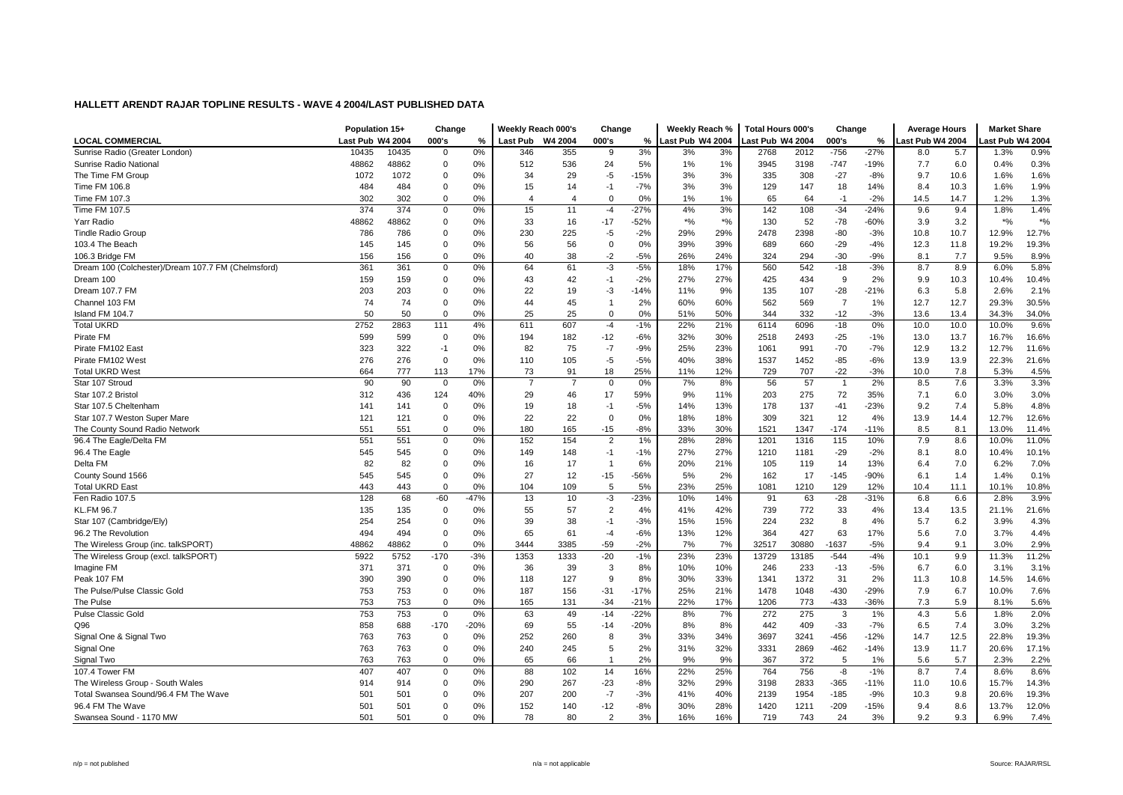|                                                    | Population 15+   |       | Change       |        | Weekly Reach 000's |                | Change         |        | Weekly Reach %   |        | <b>Total Hours 000's</b> |       | Change         |        | <b>Average Hours</b> |      | <b>Market Share</b> |        |
|----------------------------------------------------|------------------|-------|--------------|--------|--------------------|----------------|----------------|--------|------------------|--------|--------------------------|-------|----------------|--------|----------------------|------|---------------------|--------|
| <b>LOCAL COMMERCIAL</b>                            | Last Pub W4 2004 |       | 000's        | %      | <b>Last Pub</b>    | W4 2004        | 000's          | %      | Last Pub W4 2004 |        | Last Pub W4 2004         |       | 000's          | %      | ast Pub W4 2004      |      | ast Pub W4 2004     |        |
| Sunrise Radio (Greater London)                     | 10435            | 10435 | 0            | 0%     | 346                | 355            | -9             | 3%     | 3%               | 3%     | 2768                     | 2012  | $-756$         | $-27%$ | 8.0                  | 5.7  | 1.3%                | 0.9%   |
| Sunrise Radio National                             | 48862            | 48862 | $\mathbf 0$  | 0%     | 512                | 536            | 24             | 5%     | 1%               | 1%     | 3945                     | 3198  | $-747$         | $-19%$ | 7.7                  | 6.0  | 0.4%                | 0.3%   |
| The Time FM Group                                  | 1072             | 1072  | 0            | 0%     | 34                 | 29             | $-5$           | $-15%$ | 3%               | 3%     | 335                      | 308   | $-27$          | $-8%$  | 9.7                  | 10.6 | 1.6%                | 1.6%   |
| Time FM 106.8                                      | 484              | 484   | 0            | 0%     | 15                 | 14             | $-1$           | $-7%$  | 3%               | 3%     | 129                      | 147   | 18             | 14%    | 8.4                  | 10.3 | 1.6%                | 1.9%   |
| Time FM 107.3                                      | 302              | 302   | 0            | 0%     | $\overline{4}$     | 4              | $\mathbf 0$    | 0%     | 1%               | 1%     | 65                       | 64    | $-1$           | $-2%$  | 14.5                 | 14.7 | 1.2%                | 1.3%   |
| Time FM 107.5                                      | 374              | 374   | $\mathbf 0$  | 0%     | 15                 | 11             | $-4$           | $-27%$ | 4%               | 3%     | 142                      | 108   | $-34$          | $-24%$ | 9.6                  | 9.4  | 1.8%                | 1.4%   |
| Yarr Radio                                         | 48862            | 48862 | 0            | 0%     | 33                 | 16             | $-17$          | $-52%$ | $*9/6$           | $*9/6$ | 130                      | 52    | $-78$          | $-60%$ | 3.9                  | 3.2  | $*$ %               | $*9/0$ |
| <b>Tindle Radio Group</b>                          | 786              | 786   | 0            | 0%     | 230                | 225            | -5             | $-2%$  | 29%              | 29%    | 2478                     | 2398  | $-80$          | $-3%$  | 10.8                 | 10.7 | 12.9%               | 12.7%  |
| 103.4 The Beach                                    | 145              | 145   | $\mathbf 0$  | 0%     | 56                 | 56             | $\Omega$       | 0%     | 39%              | 39%    | 689                      | 660   | $-29$          | $-4%$  | 12.3                 | 11.8 | 19.2%               | 19.3%  |
| 106.3 Bridge FM                                    | 156              | 156   | $\mathbf 0$  | 0%     | 40                 | 38             | $-2$           | $-5%$  | 26%              | 24%    | 324                      | 294   | $-30$          | $-9%$  | 8.1                  | 7.7  | 9.5%                | 8.9%   |
| Dream 100 (Colchester)/Dream 107.7 FM (Chelmsford) | 361              | 361   | 0            | 0%     | 64                 | 61             | -3             | $-5%$  | 18%              | 17%    | 560                      | 542   | $-18$          | $-3%$  | 8.7                  | 8.9  | 6.0%                | 5.8%   |
| Dream 100                                          | 159              | 159   | 0            | 0%     | 43                 | 42             | $-1$           | $-2%$  | 27%              | 27%    | 425                      | 434   | 9              | 2%     | 9.9                  | 10.3 | 10.4%               | 10.4%  |
| Dream 107.7 FM                                     | 203              | 203   | 0            | 0%     | 22                 | 19             | -3             | $-14%$ | 11%              | 9%     | 135                      | 107   | $-28$          | $-21%$ | 6.3                  | 5.8  | 2.6%                | 2.1%   |
| Channel 103 FM                                     | 74               | 74    | 0            | 0%     | 44                 | 45             | $\overline{1}$ | 2%     | 60%              | 60%    | 562                      | 569   | $\overline{7}$ | 1%     | 12.7                 | 12.7 | 29.3%               | 30.5%  |
| Island FM 104.7                                    | 50               | 50    | $\Omega$     | 0%     | 25                 | 25             | $\mathbf 0$    | 0%     | 51%              | 50%    | 344                      | 332   | $-12$          | $-3%$  | 13.6                 | 13.4 | 34.3%               | 34.0%  |
| <b>Total UKRD</b>                                  | 2752             | 2863  | 111          | 4%     | 611                | 607            | $-4$           | $-1%$  | 22%              | 21%    | 6114                     | 6096  | $-18$          | 0%     | 10.0                 | 10.0 | 10.0%               | 9.6%   |
| Pirate FM                                          | 599              | 599   | 0            | 0%     | 194                | 182            | $-12$          | $-6%$  | 32%              | 30%    | 2518                     | 2493  | $-25$          | $-1%$  | 13.0                 | 13.7 | 16.7%               | 16.6%  |
| Pirate FM102 East                                  | 323              | 322   | $-1$         | 0%     | 82                 | 75             | $-7$           | $-9%$  | 25%              | 23%    | 1061                     | 991   | $-70$          | $-7%$  | 12.9                 | 13.2 | 12.7%               | 11.6%  |
| Pirate FM102 West                                  | 276              | 276   | $\mathbf 0$  | 0%     | 110                | 105            | $-5$           | $-5%$  | 40%              | 38%    | 1537                     | 1452  | $-85$          | $-6%$  | 13.9                 | 13.9 | 22.3%               | 21.6%  |
| <b>Total UKRD West</b>                             | 664              | 777   | 113          | 17%    | 73                 | 91             | 18             | 25%    | 11%              | 12%    | 729                      | 707   | $-22$          | $-3%$  | 10.0                 | 7.8  | 5.3%                | 4.5%   |
| Star 107 Stroud                                    | 90               | 90    | $\mathbf{0}$ | 0%     | $\overline{7}$     | $\overline{7}$ | $\mathbf 0$    | 0%     | 7%               | 8%     | 56                       | 57    | $\overline{1}$ | 2%     | 8.5                  | 7.6  | 3.3%                | 3.3%   |
| Star 107.2 Bristo                                  | 312              | 436   | 124          | 40%    | 29                 | 46             | 17             | 59%    | 9%               | 11%    | 203                      | 275   | 72             | 35%    | 7.1                  | 6.0  | 3.0%                | 3.0%   |
| Star 107.5 Cheltenham                              | 141              | 141   | 0            | 0%     | 19                 | 18             | -1             | $-5%$  | 14%              | 13%    | 178                      | 137   | $-41$          | $-23%$ | 9.2                  | 7.4  | 5.8%                | 4.8%   |
| Star 107.7 Weston Super Mare                       | 121              | 121   | 0            | 0%     | 22                 | 22             | $\overline{0}$ | 0%     | 18%              | 18%    | 309                      | 321   | 12             | 4%     | 13.9                 | 14.4 | 12.7%               | 12.6%  |
| The County Sound Radio Network                     | 551              | 551   | 0            | 0%     | 180                | 165            | $-15$          | $-8%$  | 33%              | 30%    | 1521                     | 1347  | $-174$         | $-11%$ | 8.5                  | 8.1  | 13.0%               | 11.4%  |
| 96.4 The Eagle/Delta FM                            | 551              | 551   | 0            | 0%     | 152                | 154            | $\overline{2}$ | 1%     | 28%              | 28%    | 1201                     | 1316  | 115            | 10%    | 7.9                  | 8.6  | 10.0%               | 11.0%  |
| 96.4 The Eagle                                     | 545              | 545   | $\mathbf 0$  | 0%     | 149                | 148            | $-1$           | $-1%$  | 27%              | 27%    | 1210                     | 1181  | $-29$          | $-2%$  | 8.1                  | 8.0  | 10.4%               | 10.1%  |
| Delta FM                                           | 82               | 82    | 0            | 0%     | 16                 | 17             | $\overline{1}$ | 6%     | 20%              | 21%    | 105                      | 119   | 14             | 13%    | 6.4                  | 7.0  | 6.2%                | 7.0%   |
| County Sound 1566                                  | 545              | 545   | 0            | 0%     | 27                 | 12             | $-15$          | $-56%$ | 5%               | 2%     | 162                      | 17    | $-145$         | -90%   | 6.1                  | 1.4  | 1.4%                | 0.1%   |
| <b>Total UKRD East</b>                             | 443              | 443   | $\mathbf 0$  | 0%     | 104                | 109            | 5              | 5%     | 23%              | 25%    | 1081                     | 1210  | 129            | 12%    | 10.4                 | 11.1 | 10.1%               | 10.8%  |
| Fen Radio 107.5                                    | 128              | 68    | $-60$        | $-47%$ | 13                 | 10             | -3             | $-23%$ | 10%              | 14%    | 91                       | 63    | $-28$          | $-31%$ | 6.8                  | 6.6  | 2.8%                | 3.9%   |
| <b>KL.FM 96.7</b>                                  | 135              | 135   | 0            | 0%     | 55                 | 57             | $\overline{2}$ | 4%     | 41%              | 42%    | 739                      | 772   | 33             | 4%     | 13.4                 | 13.5 | 21.1%               | 21.6%  |
| Star 107 (Cambridge/Ely)                           | 254              | 254   | 0            | 0%     | 39                 | 38             | $-1$           | $-3%$  | 15%              | 15%    | 224                      | 232   | 8              | 4%     | 5.7                  | 6.2  | 3.9%                | 4.3%   |
| 96.2 The Revolution                                | 494              | 494   | 0            | 0%     | 65                 | 61             | -4             | $-6%$  | 13%              | 12%    | 364                      | 427   | 63             | 17%    | 5.6                  | 7.0  | 3.7%                | 4.4%   |
| The Wireless Group (inc. talkSPORT)                | 48862            | 48862 | 0            | 0%     | 3444               | 3385           | $-59$          | $-2%$  | 7%               | 7%     | 32517                    | 30880 | -1637          | $-5%$  | 9.4                  | 9.1  | 3.0%                | 2.9%   |
| The Wireless Group (excl. talkSPORT)               | 5922             | 5752  | $-170$       | $-3%$  | 1353               | 1333           | $-20$          | $-1%$  | 23%              | 23%    | 13729                    | 13185 | $-544$         | $-4%$  | 10.1                 | 9.9  | 11.3%               | 11.2%  |
| Imagine FM                                         | 371              | 371   | $\mathbf 0$  | 0%     | 36                 | 39             | 3              | 8%     | 10%              | 10%    | 246                      | 233   | $-13$          | $-5%$  | 6.7                  | 6.0  | 3.1%                | 3.1%   |
| Peak 107 FM                                        | 390              | 390   | 0            | 0%     | 118                | 127            | 9              | 8%     | 30%              | 33%    | 1341                     | 1372  | 31             | 2%     | 11.3                 | 10.8 | 14.5%               | 14.6%  |
| The Pulse/Pulse Classic Gold                       | 753              | 753   | $\mathbf 0$  | 0%     | 187                | 156            | $-31$          | $-17%$ | 25%              | 21%    | 1478                     | 1048  | $-430$         | $-29%$ | 7.9                  | 6.7  | 10.0%               | 7.6%   |
| The Pulse                                          | 753              | 753   | 0            | 0%     | 165                | 131            | $-34$          | $-21%$ | 22%              | 17%    | 1206                     | 773   | $-433$         | -36%   | 7.3                  | 5.9  | 8.1%                | 5.6%   |
| <b>Pulse Classic Gold</b>                          | 753              | 753   | 0            | 0%     | 63                 | 49             | $-14$          | $-22%$ | 8%               | 7%     | 272                      | 275   | 3              | 1%     | 4.3                  | 5.6  | 1.8%                | 2.0%   |
| Q96                                                | 858              | 688   | $-170$       | $-20%$ | 69                 | 55             | $-14$          | $-20%$ | 8%               | 8%     | 442                      | 409   | $-33$          | $-7%$  | 6.5                  | 7.4  | 3.0%                | 3.2%   |
| Signal One & Signal Two                            | 763              | 763   | 0            | 0%     | 252                | 260            | 8              | 3%     | 33%              | 34%    | 3697                     | 3241  | $-456$         | $-12%$ | 14.7                 | 12.5 | 22.8%               | 19.3%  |
| Signal One                                         | 763              | 763   | $\mathbf 0$  | 0%     | 240                | 245            | 5              | 2%     | 31%              | 32%    | 3331                     | 2869  | $-462$         | $-14%$ | 13.9                 | 11.7 | 20.6%               | 17.1%  |
| Signal Two                                         | 763              | 763   | 0            | 0%     | 65                 | 66             | $\overline{1}$ | 2%     | 9%               | 9%     | 367                      | 372   | 5              | 1%     | 5.6                  | 5.7  | 2.3%                | 2.2%   |
| 107.4 Tower FM                                     | 407              | 407   | 0            | 0%     | 88                 | 102            | 14             | 16%    | 22%              | 25%    | 764                      | 756   | -8             | $-1%$  | 8.7                  | 7.4  | 8.6%                | 8.6%   |
| The Wireless Group - South Wales                   | 914              | 914   | 0            | 0%     | 290                | 267            | $-23$          | $-8%$  | 32%              | 29%    | 3198                     | 2833  | $-365$         | $-11%$ | 11.0                 | 10.6 | 15.7%               | 14.3%  |
| Total Swansea Sound/96.4 FM The Wave               | 501              | 501   | 0            | $0\%$  | 207                | 200            | $-7$           | $-3%$  | 41%              | 40%    | 2139                     | 1954  | $-185$         | $-9%$  | 10.3                 | 9.8  | 20.6%               | 19.3%  |
| 96.4 FM The Wave                                   | 501              | 501   | 0            | 0%     | 152                | 140            | $-12$          | $-8%$  | 30%              | 28%    | 1420                     | 1211  | $-209$         | $-15%$ | 9.4                  | 8.6  | 13.7%               | 12.0%  |
| Swansea Sound - 1170 MW                            | 501              | 501   | $\Omega$     | 0%     | 78                 | 80             | $\overline{2}$ | 3%     | 16%              | 16%    | 719                      | 743   | 24             | 3%     | 9.2                  | 9.3  | 6.9%                | 7.4%   |
|                                                    |                  |       |              |        |                    |                |                |        |                  |        |                          |       |                |        |                      |      |                     |        |